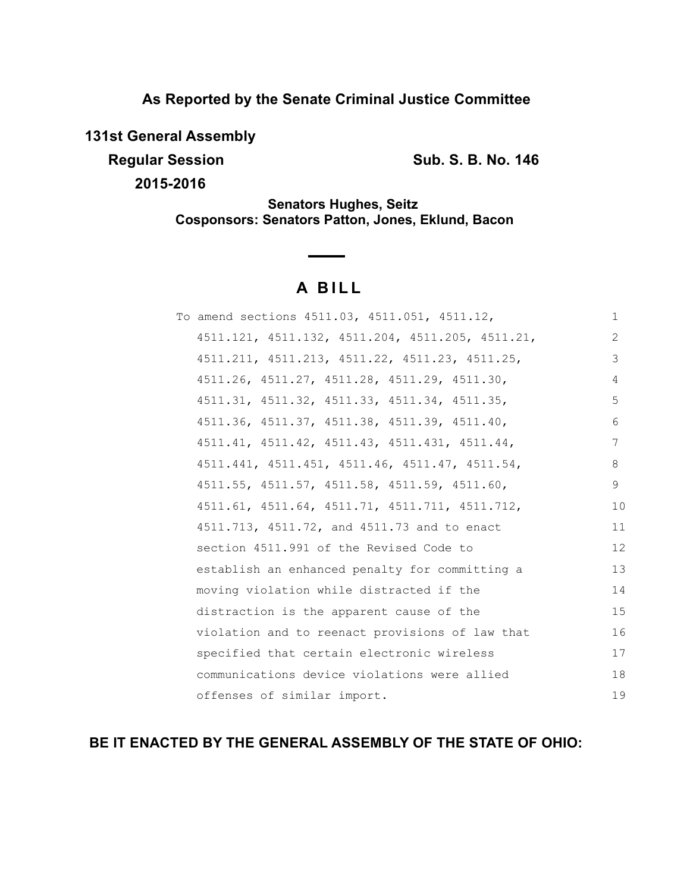**As Reported by the Senate Criminal Justice Committee**

**131st General Assembly**

**Regular Session Sub. S. B. No. 146** 

**2015-2016**

**Senators Hughes, Seitz Cosponsors: Senators Patton, Jones, Eklund, Bacon**

# **A B I L L**

| To amend sections 4511.03, 4511.051, 4511.12,    | $\mathbf 1$ |
|--------------------------------------------------|-------------|
| 4511.121, 4511.132, 4511.204, 4511.205, 4511.21, | 2           |
| 4511.211, 4511.213, 4511.22, 4511.23, 4511.25,   | 3           |
| 4511.26, 4511.27, 4511.28, 4511.29, 4511.30,     | 4           |
| 4511.31, 4511.32, 4511.33, 4511.34, 4511.35,     | 5           |
| 4511.36, 4511.37, 4511.38, 4511.39, 4511.40,     | 6           |
| 4511.41, 4511.42, 4511.43, 4511.431, 4511.44,    | 7           |
| 4511.441, 4511.451, 4511.46, 4511.47, 4511.54,   | 8           |
| 4511.55, 4511.57, 4511.58, 4511.59, 4511.60,     | 9           |
| 4511.61, 4511.64, 4511.71, 4511.711, 4511.712,   | 10          |
| 4511.713, 4511.72, and 4511.73 and to enact      | 11          |
| section 4511.991 of the Revised Code to          | 12          |
| establish an enhanced penalty for committing a   | 13          |
| moving violation while distracted if the         | 14          |
| distraction is the apparent cause of the         | 15          |
| violation and to reenact provisions of law that  | 16          |
| specified that certain electronic wireless       | 17          |
| communications device violations were allied     | 18          |
| offenses of similar import.                      | 19          |

## **BE IT ENACTED BY THE GENERAL ASSEMBLY OF THE STATE OF OHIO:**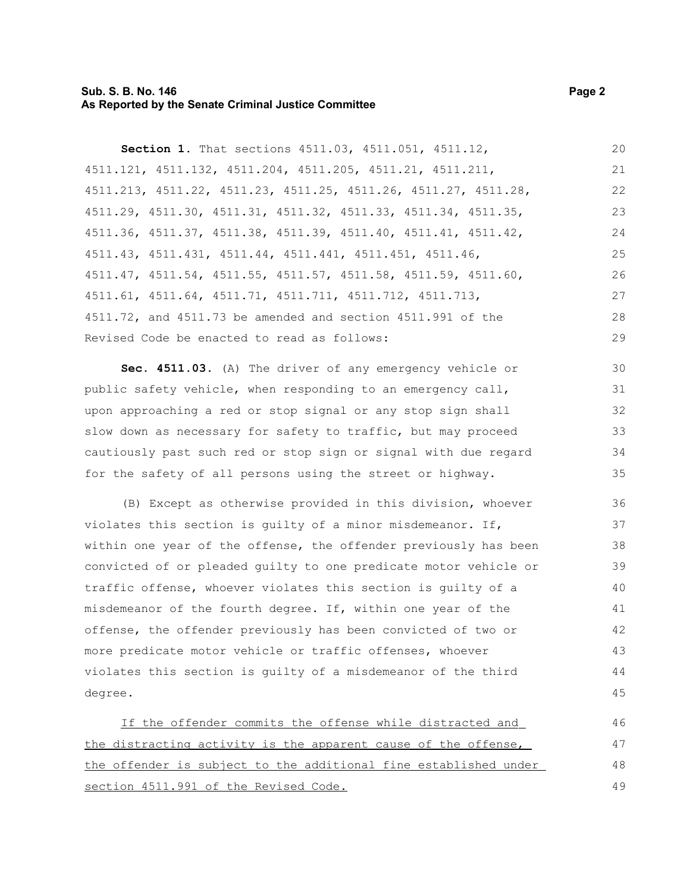#### **Sub. S. B. No. 146 Page 2 As Reported by the Senate Criminal Justice Committee**

**Section 1.** That sections 4511.03, 4511.051, 4511.12, 4511.121, 4511.132, 4511.204, 4511.205, 4511.21, 4511.211, 4511.213, 4511.22, 4511.23, 4511.25, 4511.26, 4511.27, 4511.28, 4511.29, 4511.30, 4511.31, 4511.32, 4511.33, 4511.34, 4511.35, 4511.36, 4511.37, 4511.38, 4511.39, 4511.40, 4511.41, 4511.42, 4511.43, 4511.431, 4511.44, 4511.441, 4511.451, 4511.46, 4511.47, 4511.54, 4511.55, 4511.57, 4511.58, 4511.59, 4511.60, 4511.61, 4511.64, 4511.71, 4511.711, 4511.712, 4511.713, 4511.72, and 4511.73 be amended and section 4511.991 of the Revised Code be enacted to read as follows: 20 21 22 23 24 25 26 27 28 29

**Sec. 4511.03.** (A) The driver of any emergency vehicle or public safety vehicle, when responding to an emergency call, upon approaching a red or stop signal or any stop sign shall slow down as necessary for safety to traffic, but may proceed cautiously past such red or stop sign or signal with due regard for the safety of all persons using the street or highway. 30 31 32 33 34 35

(B) Except as otherwise provided in this division, whoever violates this section is guilty of a minor misdemeanor. If, within one year of the offense, the offender previously has been convicted of or pleaded guilty to one predicate motor vehicle or traffic offense, whoever violates this section is guilty of a misdemeanor of the fourth degree. If, within one year of the offense, the offender previously has been convicted of two or more predicate motor vehicle or traffic offenses, whoever violates this section is guilty of a misdemeanor of the third degree. 36 37 38 39 40 41 42 43 44 45

 If the offender commits the offense while distracted and the distracting activity is the apparent cause of the offense, the offender is subject to the additional fine established under section 4511.991 of the Revised Code. 46 47 48 49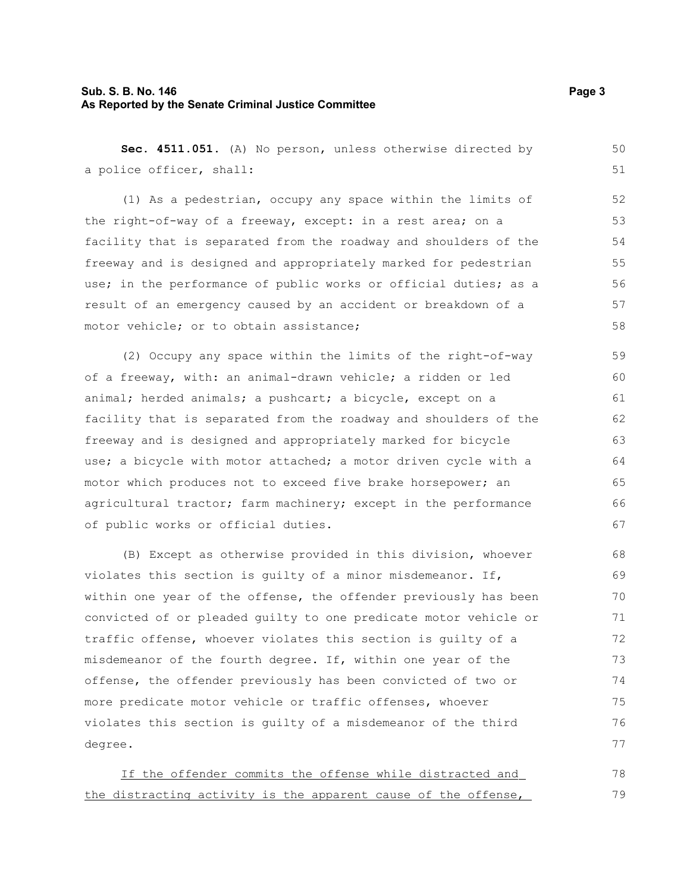#### **Sub. S. B. No. 146 Page 3 As Reported by the Senate Criminal Justice Committee**

of public works or official duties.

**Sec. 4511.051.** (A) No person, unless otherwise directed by a police officer, shall: (1) As a pedestrian, occupy any space within the limits of the right-of-way of a freeway, except: in a rest area; on a facility that is separated from the roadway and shoulders of the freeway and is designed and appropriately marked for pedestrian use; in the performance of public works or official duties; as a result of an emergency caused by an accident or breakdown of a motor vehicle; or to obtain assistance; (2) Occupy any space within the limits of the right-of-way of a freeway, with: an animal-drawn vehicle; a ridden or led animal; herded animals; a pushcart; a bicycle, except on a facility that is separated from the roadway and shoulders of the freeway and is designed and appropriately marked for bicycle use; a bicycle with motor attached; a motor driven cycle with a motor which produces not to exceed five brake horsepower; an agricultural tractor; farm machinery; except in the performance 52 53 54 55 56 57 58 59 60 61 62 63 64 65 66

(B) Except as otherwise provided in this division, whoever violates this section is guilty of a minor misdemeanor. If, within one year of the offense, the offender previously has been convicted of or pleaded guilty to one predicate motor vehicle or traffic offense, whoever violates this section is guilty of a misdemeanor of the fourth degree. If, within one year of the offense, the offender previously has been convicted of two or more predicate motor vehicle or traffic offenses, whoever violates this section is guilty of a misdemeanor of the third degree. 68 69 70 71 72 73 74 75 76 77

If the offender commits the offense while distracted and the distracting activity is the apparent cause of the offense, 78 79

50 51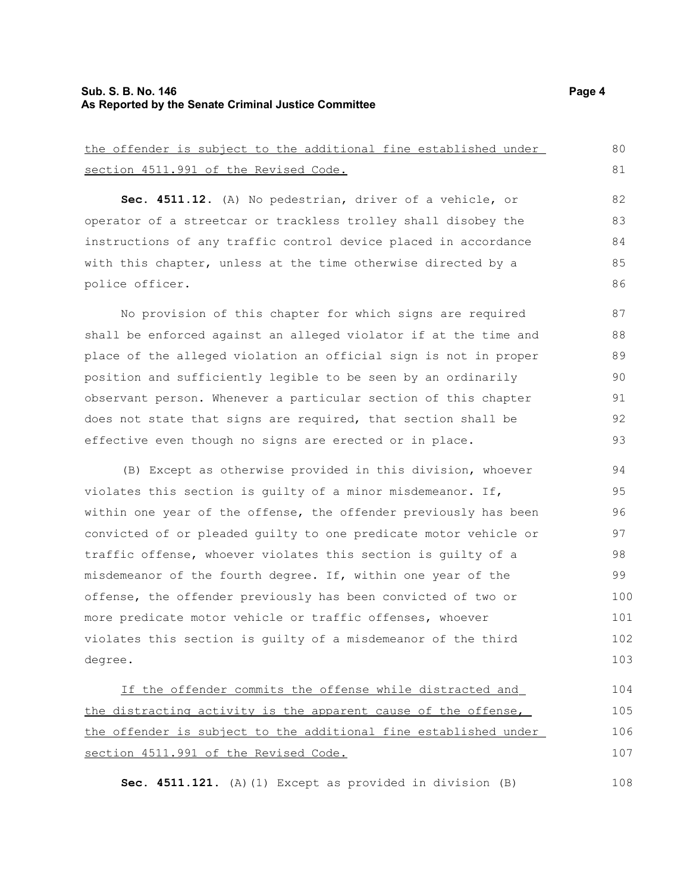#### **Sub. S. B. No. 146 Page 4 As Reported by the Senate Criminal Justice Committee**

| the offender is subject to the additional fine established under | 80  |
|------------------------------------------------------------------|-----|
| section 4511.991 of the Revised Code.                            | 81  |
| Sec. 4511.12. (A) No pedestrian, driver of a vehicle, or         | 82  |
| operator of a streetcar or trackless trolley shall disobey the   | 83  |
| instructions of any traffic control device placed in accordance  | 84  |
| with this chapter, unless at the time otherwise directed by a    | 85  |
| police officer.                                                  | 86  |
| No provision of this chapter for which signs are required        | 87  |
| shall be enforced against an alleged violator if at the time and | 88  |
| place of the alleged violation an official sign is not in proper | 89  |
| position and sufficiently legible to be seen by an ordinarily    | 90  |
| observant person. Whenever a particular section of this chapter  | 91  |
| does not state that signs are required, that section shall be    | 92  |
| effective even though no signs are erected or in place.          | 93  |
| (B) Except as otherwise provided in this division, whoever       | 94  |
| violates this section is guilty of a minor misdemeanor. If,      | 95  |
| within one year of the offense, the offender previously has been | 96  |
| convicted of or pleaded guilty to one predicate motor vehicle or | 97  |
| traffic offense, whoever violates this section is quilty of a    | 98  |
| misdemeanor of the fourth degree. If, within one year of the     | 99  |
| offense, the offender previously has been convicted of two or    | 100 |
| more predicate motor vehicle or traffic offenses, whoever        | 101 |
| violates this section is quilty of a misdemeanor of the third    | 102 |
| degree.                                                          | 103 |
| If the offender commits the offense while distracted and         | 104 |
| the distracting activity is the apparent cause of the offense,   | 105 |

**Sec. 4511.121.** (A)(1) Except as provided in division (B)

the offender is subject to the additional fine established under

section 4511.991 of the Revised Code.

108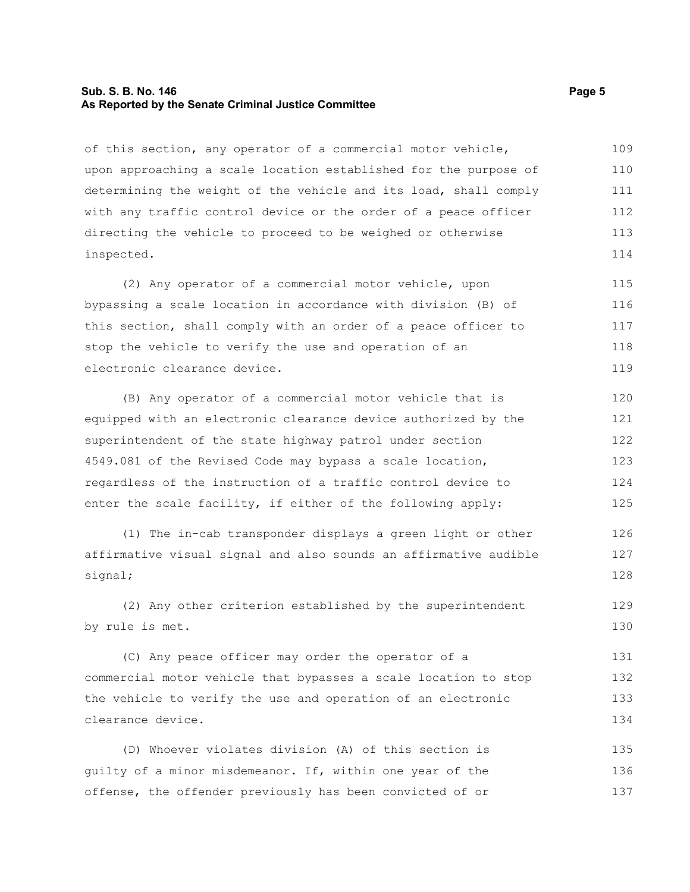#### **Sub. S. B. No. 146 Page 5 As Reported by the Senate Criminal Justice Committee**

of this section, any operator of a commercial motor vehicle, upon approaching a scale location established for the purpose of determining the weight of the vehicle and its load, shall comply with any traffic control device or the order of a peace officer directing the vehicle to proceed to be weighed or otherwise inspected. 109 110 111 112 113 114

(2) Any operator of a commercial motor vehicle, upon bypassing a scale location in accordance with division (B) of this section, shall comply with an order of a peace officer to stop the vehicle to verify the use and operation of an electronic clearance device. 115 116 117 118 119

(B) Any operator of a commercial motor vehicle that is equipped with an electronic clearance device authorized by the superintendent of the state highway patrol under section 4549.081 of the Revised Code may bypass a scale location, regardless of the instruction of a traffic control device to enter the scale facility, if either of the following apply: 120 121 122 123 124 125

(1) The in-cab transponder displays a green light or other affirmative visual signal and also sounds an affirmative audible signal; 126 127 128

(2) Any other criterion established by the superintendent by rule is met. 129 130

(C) Any peace officer may order the operator of a commercial motor vehicle that bypasses a scale location to stop the vehicle to verify the use and operation of an electronic clearance device. 131 132 133 134

(D) Whoever violates division (A) of this section is guilty of a minor misdemeanor. If, within one year of the offense, the offender previously has been convicted of or 135 136 137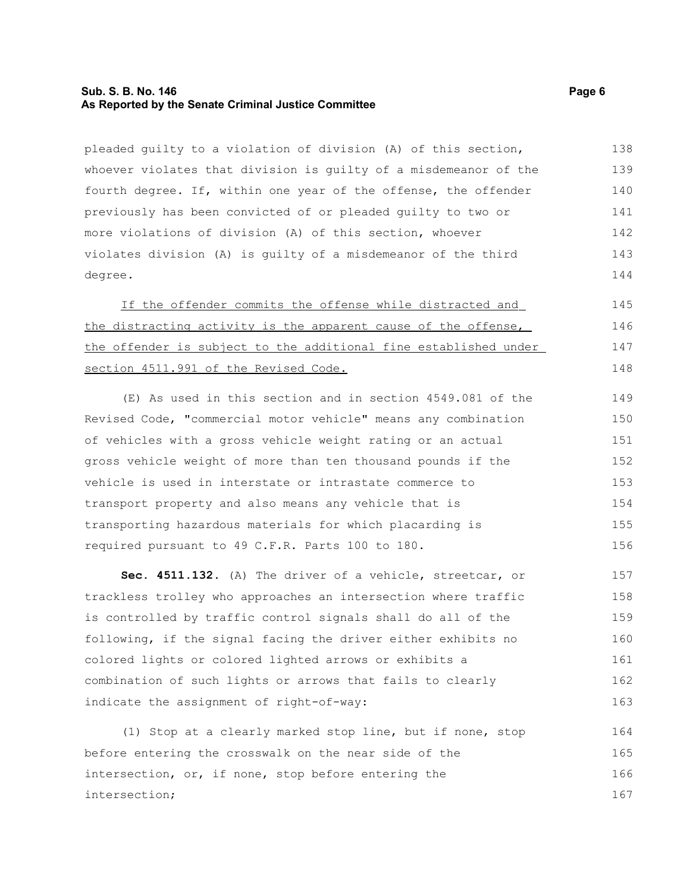#### **Sub. S. B. No. 146 Page 6 As Reported by the Senate Criminal Justice Committee**

pleaded guilty to a violation of division (A) of this section, whoever violates that division is guilty of a misdemeanor of the fourth degree. If, within one year of the offense, the offender previously has been convicted of or pleaded guilty to two or more violations of division (A) of this section, whoever violates division (A) is guilty of a misdemeanor of the third degree. 138 139 140 141 142 143 144

 If the offender commits the offense while distracted and the distracting activity is the apparent cause of the offense, the offender is subject to the additional fine established under section 4511.991 of the Revised Code. 145 146 147 148

(E) As used in this section and in section 4549.081 of the Revised Code, "commercial motor vehicle" means any combination of vehicles with a gross vehicle weight rating or an actual gross vehicle weight of more than ten thousand pounds if the vehicle is used in interstate or intrastate commerce to transport property and also means any vehicle that is transporting hazardous materials for which placarding is required pursuant to 49 C.F.R. Parts 100 to 180. 149 150 151 152 153 154 155 156

**Sec. 4511.132.** (A) The driver of a vehicle, streetcar, or trackless trolley who approaches an intersection where traffic is controlled by traffic control signals shall do all of the following, if the signal facing the driver either exhibits no colored lights or colored lighted arrows or exhibits a combination of such lights or arrows that fails to clearly indicate the assignment of right-of-way: 157 158 159 160 161 162 163

(1) Stop at a clearly marked stop line, but if none, stop before entering the crosswalk on the near side of the intersection, or, if none, stop before entering the intersection; 164 165 166 167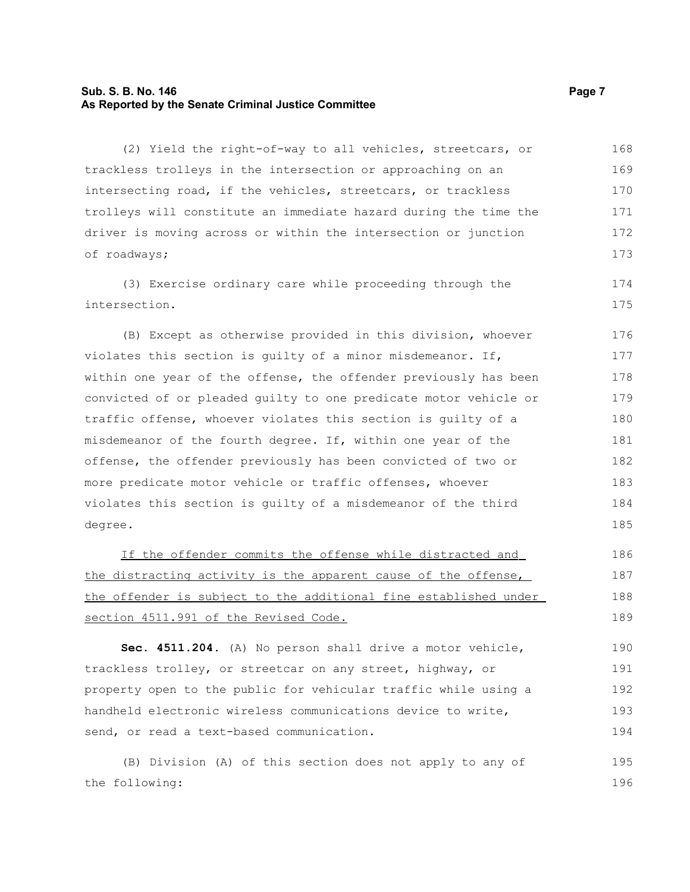#### **Sub. S. B. No. 146 Page 7 As Reported by the Senate Criminal Justice Committee**

(2) Yield the right-of-way to all vehicles, streetcars, or trackless trolleys in the intersection or approaching on an intersecting road, if the vehicles, streetcars, or trackless trolleys will constitute an immediate hazard during the time the driver is moving across or within the intersection or junction of roadways; 168 169 170 171 172 173

(3) Exercise ordinary care while proceeding through the intersection.

(B) Except as otherwise provided in this division, whoever violates this section is guilty of a minor misdemeanor. If, within one year of the offense, the offender previously has been convicted of or pleaded guilty to one predicate motor vehicle or traffic offense, whoever violates this section is guilty of a misdemeanor of the fourth degree. If, within one year of the offense, the offender previously has been convicted of two or more predicate motor vehicle or traffic offenses, whoever violates this section is guilty of a misdemeanor of the third degree. 176 177 178 179 180 181 182 183 184 185

If the offender commits the offense while distracted and the distracting activity is the apparent cause of the offense, the offender is subject to the additional fine established under section 4511.991 of the Revised Code. 186 187 188 189

**Sec. 4511.204.** (A) No person shall drive a motor vehicle, trackless trolley, or streetcar on any street, highway, or property open to the public for vehicular traffic while using a handheld electronic wireless communications device to write, send, or read a text-based communication. 190 191 192 193 194

(B) Division (A) of this section does not apply to any of the following: 195 196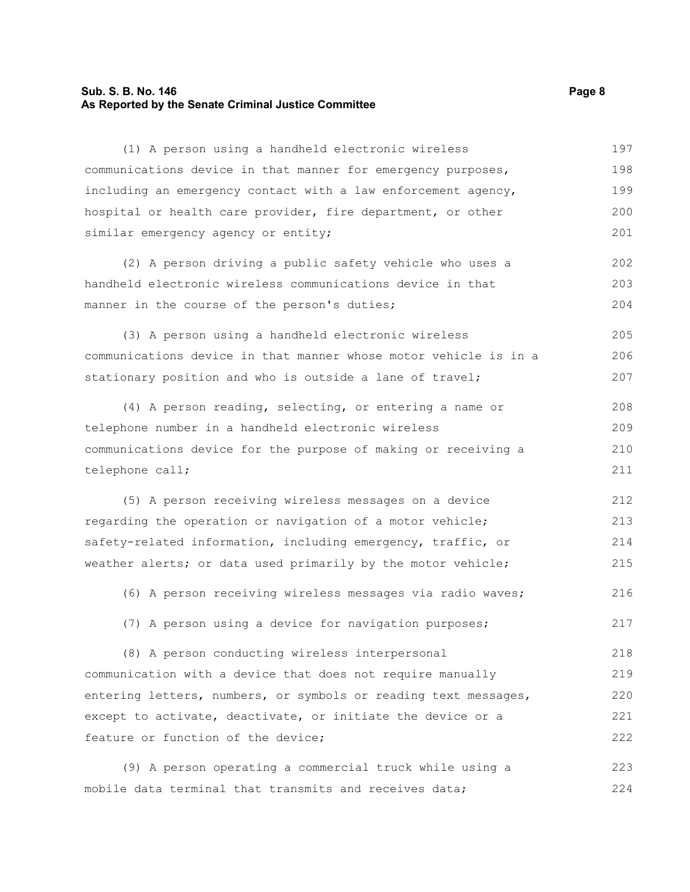#### **Sub. S. B. No. 146 Page 8 As Reported by the Senate Criminal Justice Committee**

(1) A person using a handheld electronic wireless communications device in that manner for emergency purposes, including an emergency contact with a law enforcement agency, hospital or health care provider, fire department, or other similar emergency agency or entity; (2) A person driving a public safety vehicle who uses a handheld electronic wireless communications device in that manner in the course of the person's duties; (3) A person using a handheld electronic wireless communications device in that manner whose motor vehicle is in a stationary position and who is outside a lane of travel; (4) A person reading, selecting, or entering a name or telephone number in a handheld electronic wireless communications device for the purpose of making or receiving a telephone call; (5) A person receiving wireless messages on a device regarding the operation or navigation of a motor vehicle; safety-related information, including emergency, traffic, or weather alerts; or data used primarily by the motor vehicle; (6) A person receiving wireless messages via radio waves; 197 198 199 200 201 202 203 204 205 206 207 208 209 210 211 212 213 214 215 216

(7) A person using a device for navigation purposes; 217

(8) A person conducting wireless interpersonal communication with a device that does not require manually entering letters, numbers, or symbols or reading text messages, except to activate, deactivate, or initiate the device or a feature or function of the device; 218 219 220 221 222

(9) A person operating a commercial truck while using a mobile data terminal that transmits and receives data; 223 224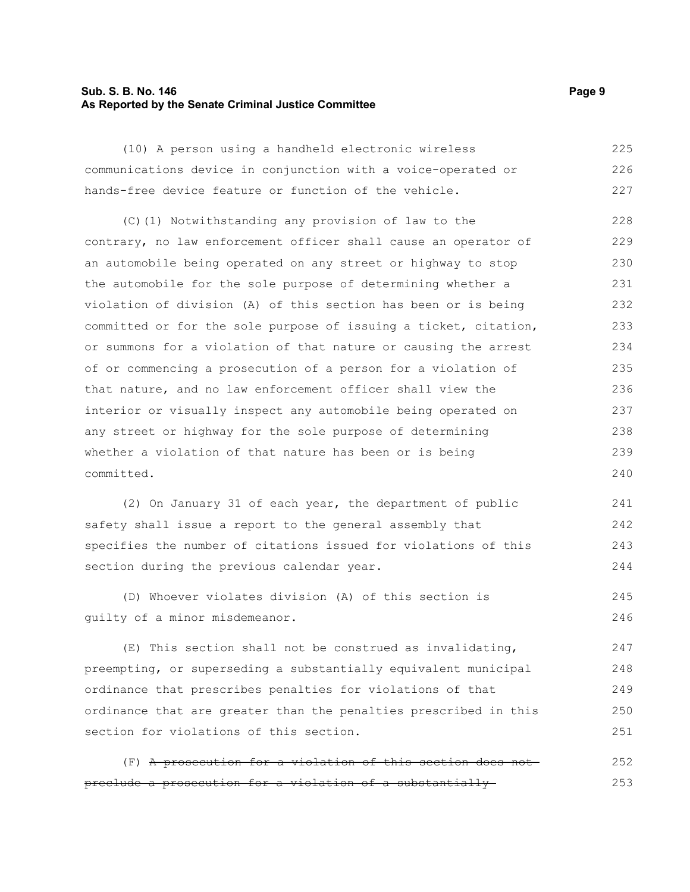#### **Sub. S. B. No. 146 Page 9 As Reported by the Senate Criminal Justice Committee**

(10) A person using a handheld electronic wireless communications device in conjunction with a voice-operated or hands-free device feature or function of the vehicle. 225 226 227

(C)(1) Notwithstanding any provision of law to the contrary, no law enforcement officer shall cause an operator of an automobile being operated on any street or highway to stop the automobile for the sole purpose of determining whether a violation of division (A) of this section has been or is being committed or for the sole purpose of issuing a ticket, citation, or summons for a violation of that nature or causing the arrest of or commencing a prosecution of a person for a violation of that nature, and no law enforcement officer shall view the interior or visually inspect any automobile being operated on any street or highway for the sole purpose of determining whether a violation of that nature has been or is being committed. 228 229 230 231 232 233 234 235 236 237 238 239 240

(2) On January 31 of each year, the department of public safety shall issue a report to the general assembly that specifies the number of citations issued for violations of this section during the previous calendar year. 241 242 243 244

(D) Whoever violates division (A) of this section is guilty of a minor misdemeanor. 245 246

(E) This section shall not be construed as invalidating, preempting, or superseding a substantially equivalent municipal ordinance that prescribes penalties for violations of that ordinance that are greater than the penalties prescribed in this section for violations of this section. 247 248 249 250 251

(F) A prosecution for a violation of this section does not preclude a prosecution for a violation of a substantially 252 253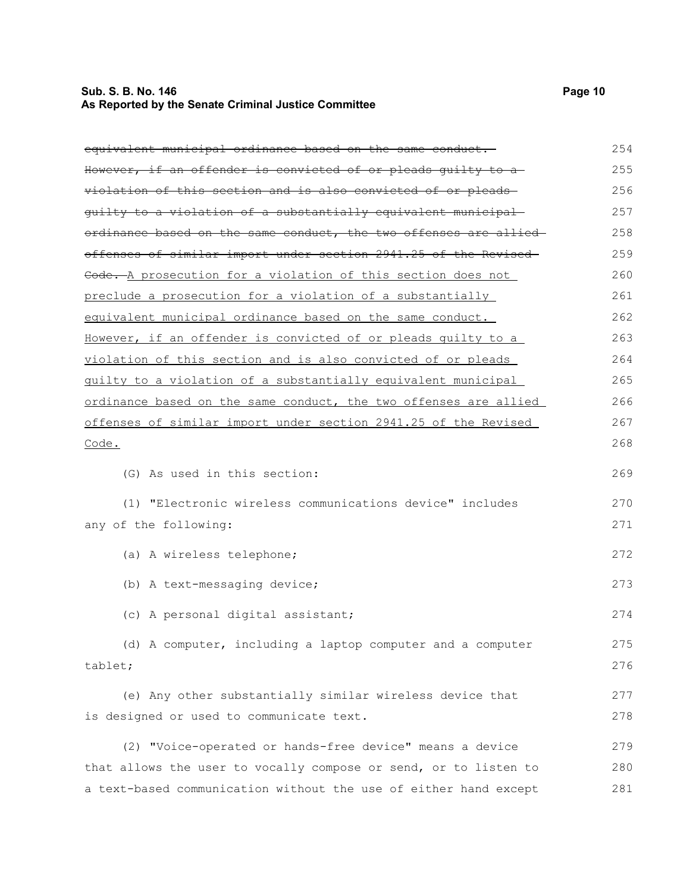## **Sub. S. B. No. 146 Page 10 As Reported by the Senate Criminal Justice Committee**

| equivalent municipal ordinance based on the same conduct.        | 254 |
|------------------------------------------------------------------|-----|
| However, if an offender is convicted of or pleads quilty to a    | 255 |
| violation of this section and is also convicted of or pleads     | 256 |
| guilty to a violation of a substantially equivalent municipal    | 257 |
| ordinance based on the same conduct, the two offenses are allied | 258 |
| offenses of similar import under section 2941.25 of the Revised- | 259 |
| Code. A prosecution for a violation of this section does not     | 260 |
| preclude a prosecution for a violation of a substantially        | 261 |
| equivalent municipal ordinance based on the same conduct.        | 262 |
| However, if an offender is convicted of or pleads quilty to a    | 263 |
| violation of this section and is also convicted of or pleads     | 264 |
| guilty to a violation of a substantially equivalent municipal    | 265 |
| ordinance based on the same conduct, the two offenses are allied | 266 |
| offenses of similar import under section 2941.25 of the Revised  | 267 |
| Code.                                                            | 268 |
| (G) As used in this section:                                     | 269 |
| (1) "Electronic wireless communications device" includes         | 270 |
| any of the following:                                            | 271 |
| (a) A wireless telephone;                                        | 272 |
| (b) A text-messaging device;                                     | 273 |
| (c) A personal digital assistant;                                | 274 |
| (d) A computer, including a laptop computer and a computer       | 275 |
| tablet;                                                          | 276 |
| (e) Any other substantially similar wireless device that         | 277 |
| is designed or used to communicate text.                         | 278 |
|                                                                  |     |
| (2) "Voice-operated or hands-free device" means a device         | 279 |
| that allows the user to vocally compose or send, or to listen to | 280 |
| a text-based communication without the use of either hand except | 281 |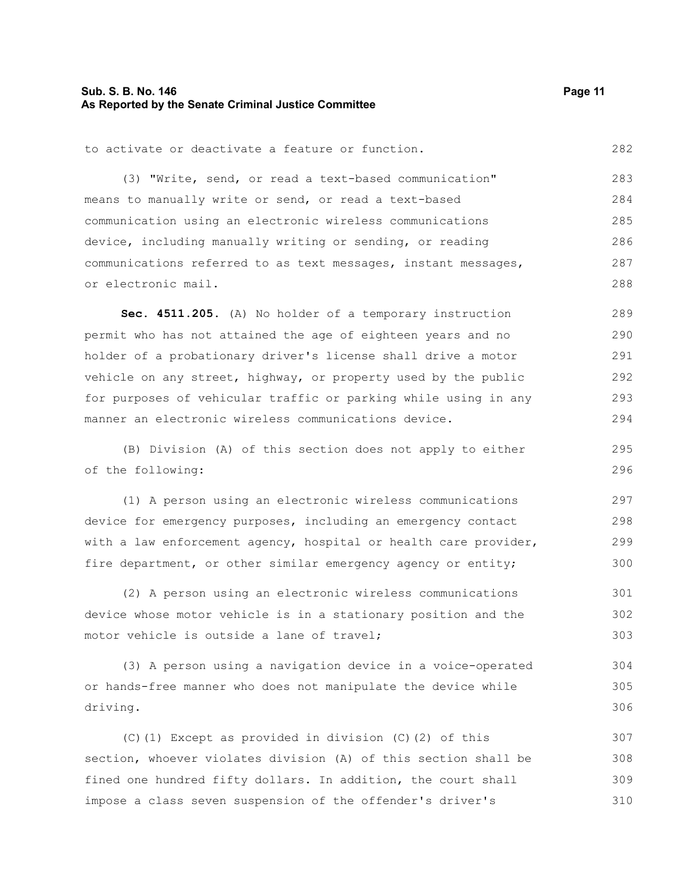#### **Sub. S. B. No. 146 Page 11 As Reported by the Senate Criminal Justice Committee**

282

295 296

to activate or deactivate a feature or function.

(3) "Write, send, or read a text-based communication" means to manually write or send, or read a text-based communication using an electronic wireless communications device, including manually writing or sending, or reading communications referred to as text messages, instant messages, or electronic mail. 283 284 285 286 287 288

**Sec. 4511.205.** (A) No holder of a temporary instruction permit who has not attained the age of eighteen years and no holder of a probationary driver's license shall drive a motor vehicle on any street, highway, or property used by the public for purposes of vehicular traffic or parking while using in any manner an electronic wireless communications device. 289 290 291 292 293 294

(B) Division (A) of this section does not apply to either of the following:

(1) A person using an electronic wireless communications device for emergency purposes, including an emergency contact with a law enforcement agency, hospital or health care provider, fire department, or other similar emergency agency or entity; 297 298 299 300

(2) A person using an electronic wireless communications device whose motor vehicle is in a stationary position and the motor vehicle is outside a lane of travel; 301 302 303

(3) A person using a navigation device in a voice-operated or hands-free manner who does not manipulate the device while driving. 304 305 306

(C)(1) Except as provided in division (C)(2) of this section, whoever violates division (A) of this section shall be fined one hundred fifty dollars. In addition, the court shall impose a class seven suspension of the offender's driver's 307 308 309 310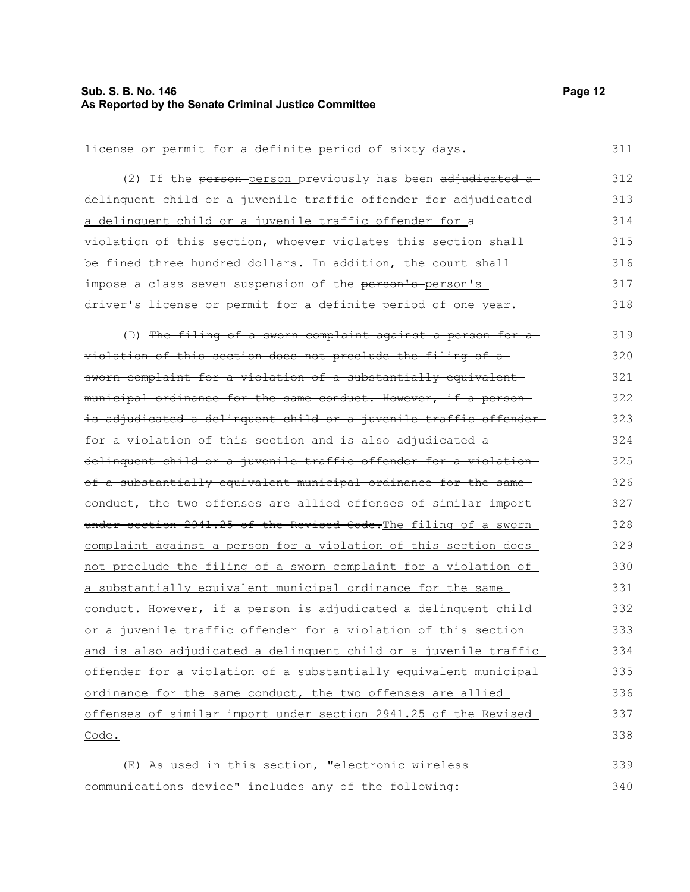license or permit for a definite period of sixty days.

311

(2) If the person-person previously has been adjudicated adelinquent child or a juvenile traffic offender for adjudicated a delinquent child or a juvenile traffic offender for a violation of this section, whoever violates this section shall be fined three hundred dollars. In addition, the court shall impose a class seven suspension of the person's person's driver's license or permit for a definite period of one year. (D) The filing of a sworn complaint against a person for a violation of this section does not preclude the filing of a sworn complaint for a violation of a substantially equivalent municipal ordinance for the same conduct. However, if a personis adjudicated a delinquent child or a juvenile traffic offender for a violation of this section and is also adjudicated a delinquent child or a juvenile traffic offender for a violation of a substantially equivalent municipal ordinance for the same conduct, the two offenses are allied offenses of similar import under section 2941.25 of the Revised Code. The filing of a sworn complaint against a person for a violation of this section does not preclude the filing of a sworn complaint for a violation of a substantially equivalent municipal ordinance for the same conduct. However, if a person is adjudicated a delinquent child or a juvenile traffic offender for a violation of this section and is also adjudicated a delinquent child or a juvenile traffic 312 313 314 315 316 317 318 319 320 321 322 323 324 325 326 327 328 329 330 331 332 333 334

offender for a violation of a substantially equivalent municipal ordinance for the same conduct, the two offenses are allied offenses of similar import under section 2941.25 of the Revised Code. 335 336 337 338

(E) As used in this section, "electronic wireless communications device" includes any of the following: 339 340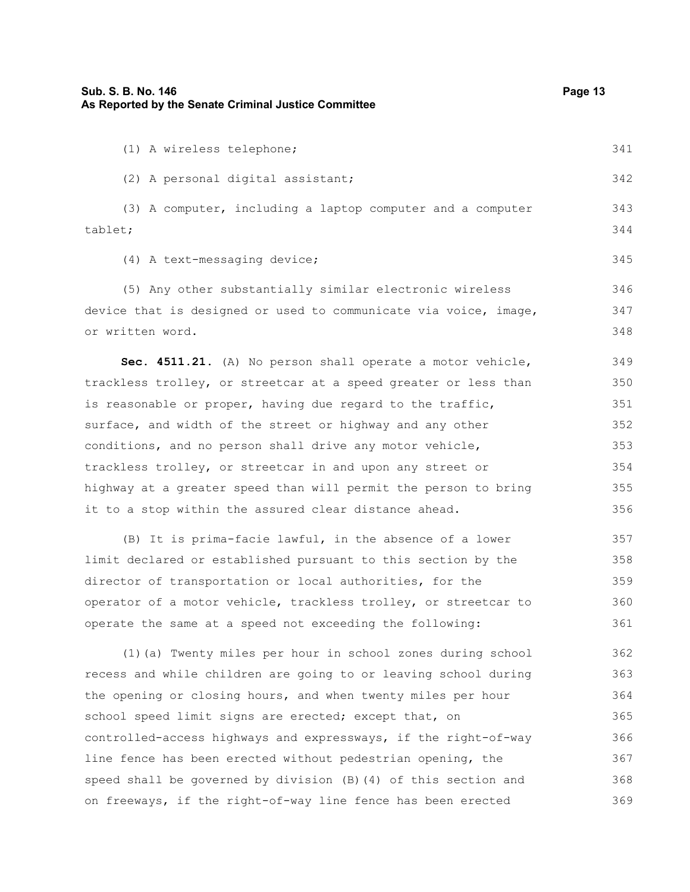| Sub. S. B. No. 146<br>As Reported by the Senate Criminal Justice Committee |     |  |  |  |  |
|----------------------------------------------------------------------------|-----|--|--|--|--|
| (1) A wireless telephone;                                                  | 341 |  |  |  |  |
| (2) A personal digital assistant;                                          | 342 |  |  |  |  |
| (3) A computer, including a laptop computer and a computer                 | 343 |  |  |  |  |
| tablet;                                                                    | 344 |  |  |  |  |
| (4) A text-messaging device;                                               | 345 |  |  |  |  |
| (5) Any other substantially similar electronic wireless                    | 346 |  |  |  |  |
| device that is designed or used to communicate via voice, image,           | 347 |  |  |  |  |
| or written word.                                                           | 348 |  |  |  |  |
| Sec. 4511.21. (A) No person shall operate a motor vehicle,                 | 349 |  |  |  |  |
| trackless trolley, or streetcar at a speed greater or less than            | 350 |  |  |  |  |
| is reasonable or proper, having due regard to the traffic,                 | 351 |  |  |  |  |
| surface, and width of the street or highway and any other                  | 352 |  |  |  |  |
| conditions, and no person shall drive any motor vehicle,                   | 353 |  |  |  |  |
| trackless trolley, or streetcar in and upon any street or                  | 354 |  |  |  |  |
| highway at a greater speed than will permit the person to bring            | 355 |  |  |  |  |
| it to a stop within the assured clear distance ahead.                      | 356 |  |  |  |  |
| (B) It is prima-facie lawful, in the absence of a lower                    | 357 |  |  |  |  |
| limit declared or established pursuant to this section by the              | 358 |  |  |  |  |
| director of transportation or local authorities, for the                   | 359 |  |  |  |  |
| operator of a motor vehicle, trackless trolley, or streetcar to            | 360 |  |  |  |  |
| operate the same at a speed not exceeding the following:                   | 361 |  |  |  |  |
| (1) (a) Twenty miles per hour in school zones during school                | 362 |  |  |  |  |
| recess and while children are going to or leaving school during            | 363 |  |  |  |  |
| the opening or closing hours, and when twenty miles per hour               | 364 |  |  |  |  |
| school speed limit signs are erected; except that, on                      | 365 |  |  |  |  |
| controlled-access highways and expressways, if the right-of-way            | 366 |  |  |  |  |
| line fence has been erected without pedestrian opening, the                | 367 |  |  |  |  |
| speed shall be governed by division (B) (4) of this section and            | 368 |  |  |  |  |
| on freeways, if the right-of-way line fence has been erected               | 369 |  |  |  |  |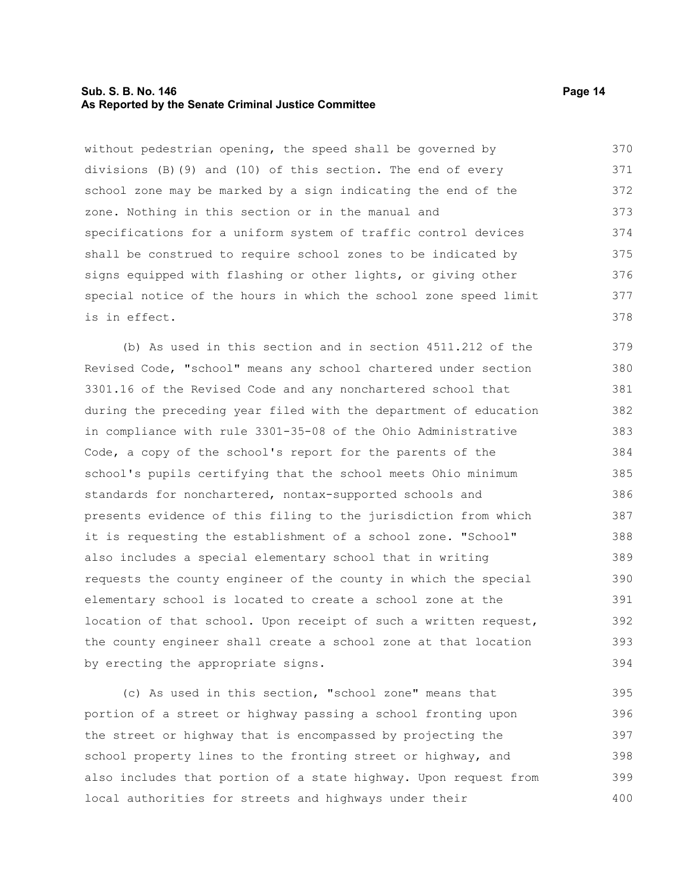#### **Sub. S. B. No. 146 Page 14 As Reported by the Senate Criminal Justice Committee**

without pedestrian opening, the speed shall be governed by divisions (B)(9) and (10) of this section. The end of every school zone may be marked by a sign indicating the end of the zone. Nothing in this section or in the manual and specifications for a uniform system of traffic control devices shall be construed to require school zones to be indicated by signs equipped with flashing or other lights, or giving other special notice of the hours in which the school zone speed limit is in effect. 370 371 372 373 374 375 376 377 378

(b) As used in this section and in section 4511.212 of the Revised Code, "school" means any school chartered under section 3301.16 of the Revised Code and any nonchartered school that during the preceding year filed with the department of education in compliance with rule 3301-35-08 of the Ohio Administrative Code, a copy of the school's report for the parents of the school's pupils certifying that the school meets Ohio minimum standards for nonchartered, nontax-supported schools and presents evidence of this filing to the jurisdiction from which it is requesting the establishment of a school zone. "School" also includes a special elementary school that in writing requests the county engineer of the county in which the special elementary school is located to create a school zone at the location of that school. Upon receipt of such a written request, the county engineer shall create a school zone at that location by erecting the appropriate signs. 379 380 381 382 383 384 385 386 387 388 389 390 391 392 393 394

(c) As used in this section, "school zone" means that portion of a street or highway passing a school fronting upon the street or highway that is encompassed by projecting the school property lines to the fronting street or highway, and also includes that portion of a state highway. Upon request from local authorities for streets and highways under their 395 396 397 398 399 400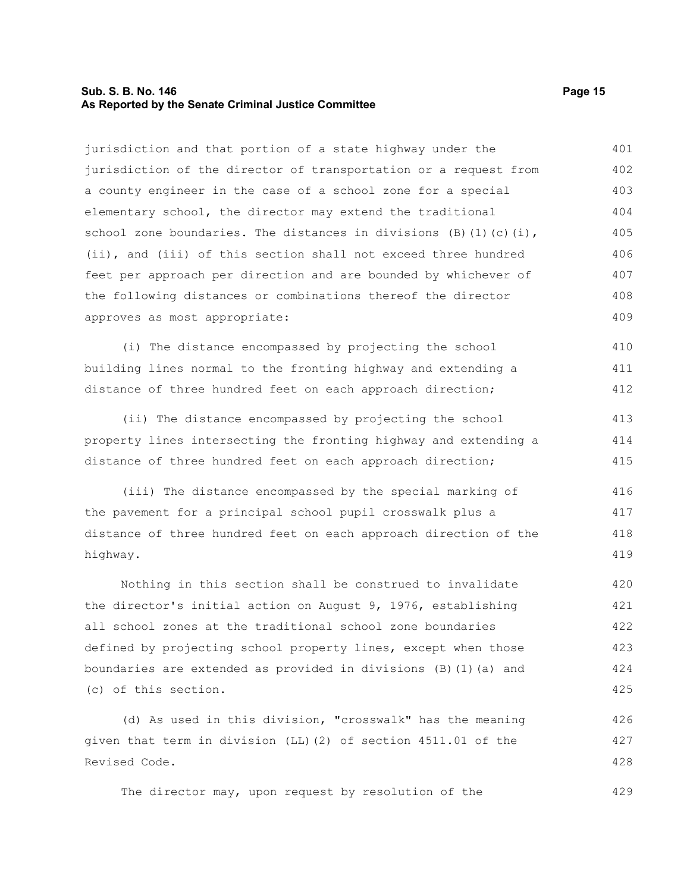#### **Sub. S. B. No. 146 Page 15 As Reported by the Senate Criminal Justice Committee**

jurisdiction and that portion of a state highway under the jurisdiction of the director of transportation or a request from a county engineer in the case of a school zone for a special elementary school, the director may extend the traditional school zone boundaries. The distances in divisions  $(B)$  (1)(c)(i), (ii), and (iii) of this section shall not exceed three hundred feet per approach per direction and are bounded by whichever of the following distances or combinations thereof the director approves as most appropriate: 401 402 403 404 405 406 407 408 409

(i) The distance encompassed by projecting the school building lines normal to the fronting highway and extending a distance of three hundred feet on each approach direction; 410 411 412

(ii) The distance encompassed by projecting the school property lines intersecting the fronting highway and extending a distance of three hundred feet on each approach direction; 413 414 415

(iii) The distance encompassed by the special marking of the pavement for a principal school pupil crosswalk plus a distance of three hundred feet on each approach direction of the highway. 416 417 418 419

Nothing in this section shall be construed to invalidate the director's initial action on August 9, 1976, establishing all school zones at the traditional school zone boundaries defined by projecting school property lines, except when those boundaries are extended as provided in divisions (B)(1)(a) and (c) of this section. 420 421 422 423 424 425

(d) As used in this division, "crosswalk" has the meaning given that term in division (LL)(2) of section 4511.01 of the Revised Code. 426 427 428

The director may, upon request by resolution of the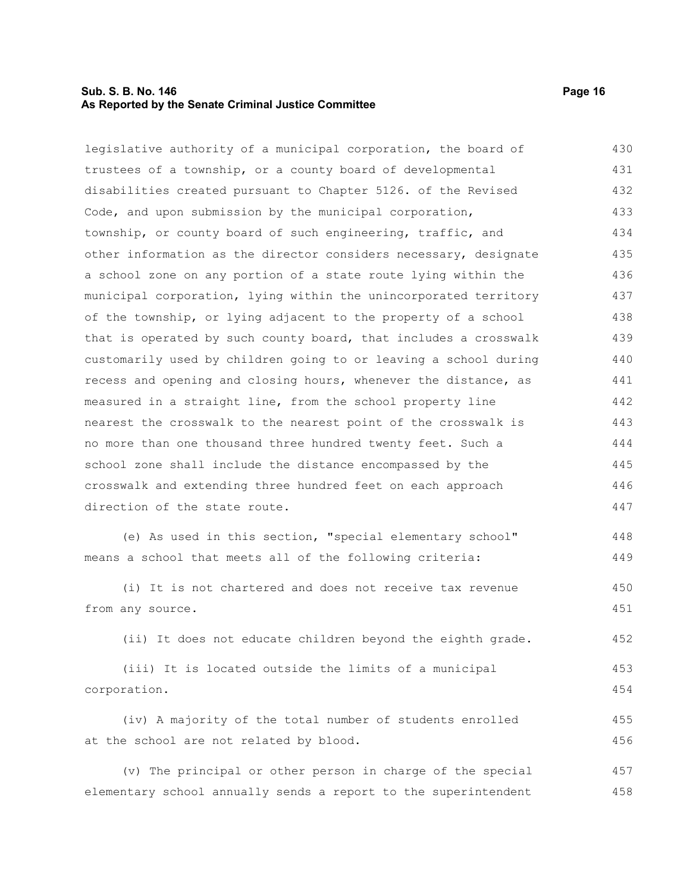#### **Sub. S. B. No. 146 Page 16 As Reported by the Senate Criminal Justice Committee**

legislative authority of a municipal corporation, the board of trustees of a township, or a county board of developmental disabilities created pursuant to Chapter 5126. of the Revised Code, and upon submission by the municipal corporation, township, or county board of such engineering, traffic, and other information as the director considers necessary, designate a school zone on any portion of a state route lying within the municipal corporation, lying within the unincorporated territory of the township, or lying adjacent to the property of a school that is operated by such county board, that includes a crosswalk

customarily used by children going to or leaving a school during recess and opening and closing hours, whenever the distance, as measured in a straight line, from the school property line nearest the crosswalk to the nearest point of the crosswalk is no more than one thousand three hundred twenty feet. Such a school zone shall include the distance encompassed by the crosswalk and extending three hundred feet on each approach direction of the state route. 440 441 442 443 444 445 446 447

(e) As used in this section, "special elementary school" means a school that meets all of the following criteria: 448 449

(i) It is not chartered and does not receive tax revenue from any source. 450 451

(ii) It does not educate children beyond the eighth grade. 452

(iii) It is located outside the limits of a municipal corporation. 453 454

(iv) A majority of the total number of students enrolled at the school are not related by blood. 455 456

(v) The principal or other person in charge of the special elementary school annually sends a report to the superintendent 457 458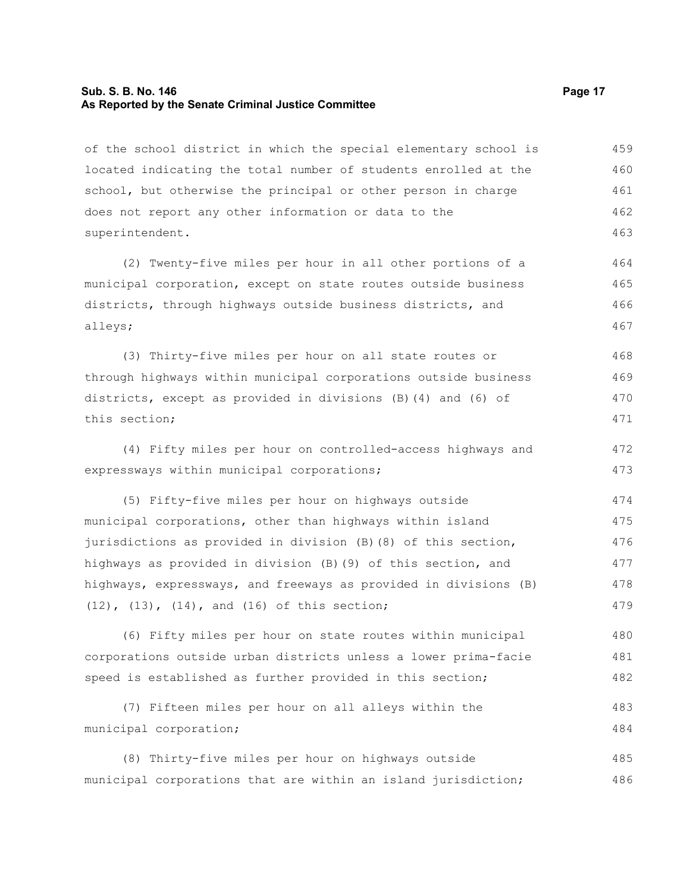#### **Sub. S. B. No. 146 Page 17 As Reported by the Senate Criminal Justice Committee**

of the school district in which the special elementary school is located indicating the total number of students enrolled at the school, but otherwise the principal or other person in charge does not report any other information or data to the superintendent. 459 460 461 462 463

(2) Twenty-five miles per hour in all other portions of a municipal corporation, except on state routes outside business districts, through highways outside business districts, and alleys; 464 465 466 467

(3) Thirty-five miles per hour on all state routes or through highways within municipal corporations outside business districts, except as provided in divisions (B)(4) and (6) of this section; 468 469 470 471

(4) Fifty miles per hour on controlled-access highways and expressways within municipal corporations;

(5) Fifty-five miles per hour on highways outside municipal corporations, other than highways within island jurisdictions as provided in division (B)(8) of this section, highways as provided in division (B)(9) of this section, and highways, expressways, and freeways as provided in divisions (B) (12), (13), (14), and (16) of this section; 474 475 476 477 478 479

(6) Fifty miles per hour on state routes within municipal corporations outside urban districts unless a lower prima-facie speed is established as further provided in this section; 480 481 482

| (7) Fifteen miles per hour on all alleys within the |  |  |  |  | 483 |
|-----------------------------------------------------|--|--|--|--|-----|
| municipal corporation;                              |  |  |  |  | 484 |

(8) Thirty-five miles per hour on highways outside municipal corporations that are within an island jurisdiction; 485 486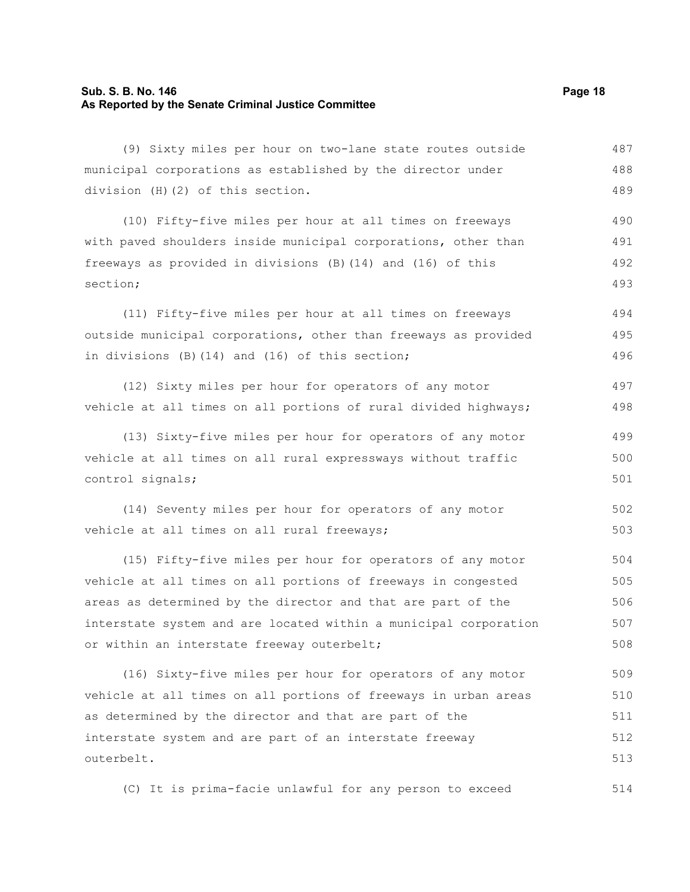#### **Sub. S. B. No. 146 Page 18 As Reported by the Senate Criminal Justice Committee**

(9) Sixty miles per hour on two-lane state routes outside municipal corporations as established by the director under division (H)(2) of this section. 487 488 489

(10) Fifty-five miles per hour at all times on freeways with paved shoulders inside municipal corporations, other than freeways as provided in divisions (B)(14) and (16) of this section; 490 491 492 493

(11) Fifty-five miles per hour at all times on freeways outside municipal corporations, other than freeways as provided in divisions (B)(14) and (16) of this section; 494 495 496

(12) Sixty miles per hour for operators of any motor vehicle at all times on all portions of rural divided highways; 497 498

(13) Sixty-five miles per hour for operators of any motor vehicle at all times on all rural expressways without traffic control signals; 499 500 501

(14) Seventy miles per hour for operators of any motor vehicle at all times on all rural freeways; 502 503

(15) Fifty-five miles per hour for operators of any motor vehicle at all times on all portions of freeways in congested areas as determined by the director and that are part of the interstate system and are located within a municipal corporation or within an interstate freeway outerbelt; 504 505 506 507 508

(16) Sixty-five miles per hour for operators of any motor vehicle at all times on all portions of freeways in urban areas as determined by the director and that are part of the interstate system and are part of an interstate freeway outerbelt. 509 510 511 512 513

(C) It is prima-facie unlawful for any person to exceed 514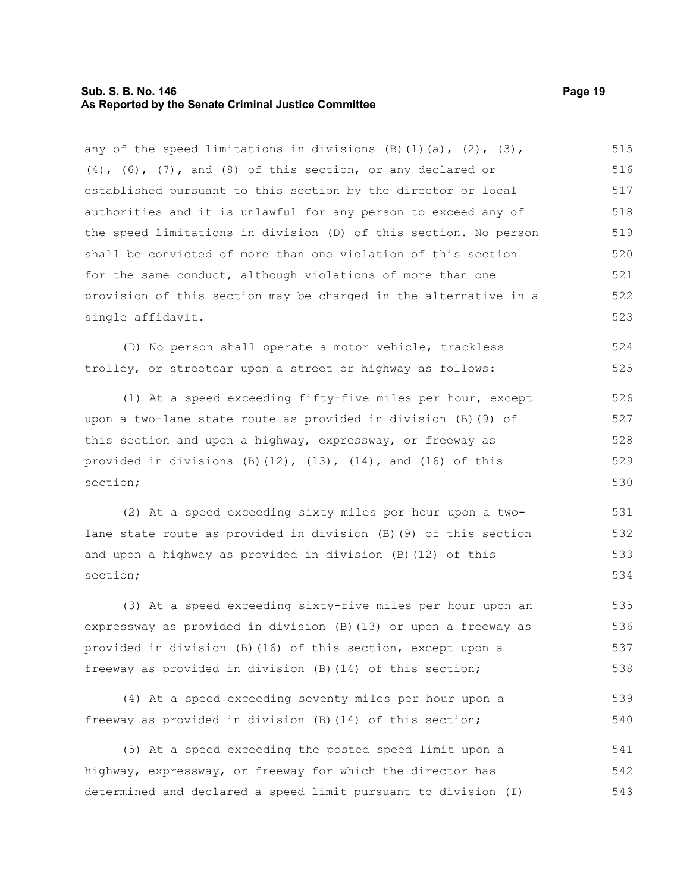#### **Sub. S. B. No. 146 Page 19 As Reported by the Senate Criminal Justice Committee**

section;

any of the speed limitations in divisions  $(B)$   $(1)$   $(a)$ ,  $(2)$ ,  $(3)$ ,

(4), (6), (7), and (8) of this section, or any declared or established pursuant to this section by the director or local authorities and it is unlawful for any person to exceed any of the speed limitations in division (D) of this section. No person shall be convicted of more than one violation of this section for the same conduct, although violations of more than one provision of this section may be charged in the alternative in a single affidavit. (D) No person shall operate a motor vehicle, trackless trolley, or streetcar upon a street or highway as follows: (1) At a speed exceeding fifty-five miles per hour, except upon a two-lane state route as provided in division (B)(9) of this section and upon a highway, expressway, or freeway as provided in divisions (B)(12), (13), (14), and (16) of this section; (2) At a speed exceeding sixty miles per hour upon a twolane state route as provided in division (B)(9) of this section and upon a highway as provided in division (B)(12) of this

(3) At a speed exceeding sixty-five miles per hour upon an expressway as provided in division (B)(13) or upon a freeway as provided in division (B)(16) of this section, except upon a freeway as provided in division (B)(14) of this section; 535 536 537 538

(4) At a speed exceeding seventy miles per hour upon a freeway as provided in division (B)(14) of this section; 539 540

(5) At a speed exceeding the posted speed limit upon a highway, expressway, or freeway for which the director has determined and declared a speed limit pursuant to division (I) 541 542 543

524 525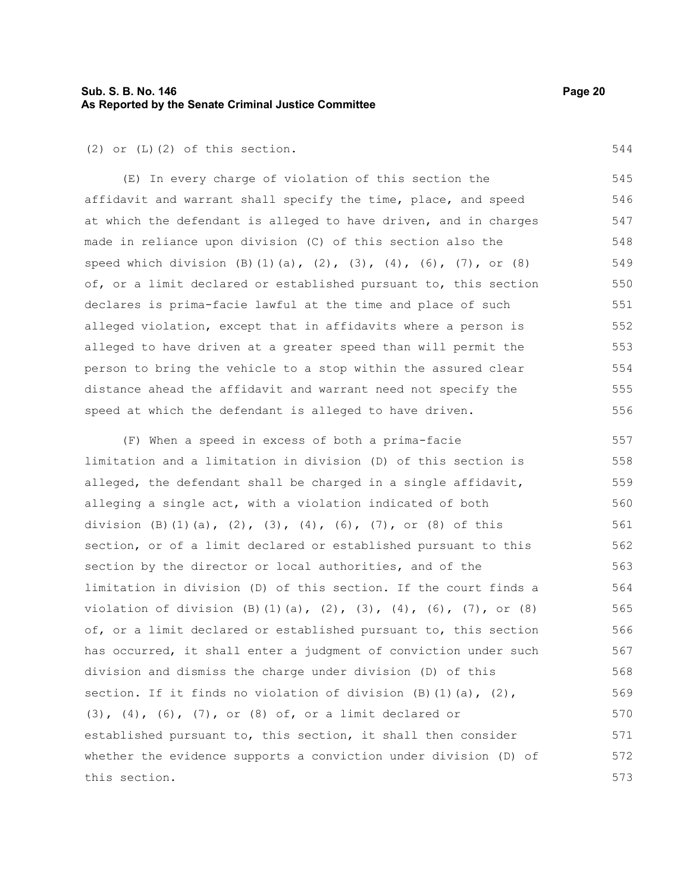#### **Sub. S. B. No. 146 Page 20 As Reported by the Senate Criminal Justice Committee**

(2) or (L)(2) of this section.

(E) In every charge of violation of this section the affidavit and warrant shall specify the time, place, and speed at which the defendant is alleged to have driven, and in charges made in reliance upon division (C) of this section also the speed which division (B)(1)(a), (2), (3), (4), (6), (7), or (8) of, or a limit declared or established pursuant to, this section declares is prima-facie lawful at the time and place of such alleged violation, except that in affidavits where a person is alleged to have driven at a greater speed than will permit the person to bring the vehicle to a stop within the assured clear distance ahead the affidavit and warrant need not specify the speed at which the defendant is alleged to have driven. 545 546 547 548 549 550 551 552 553 554 555 556

(F) When a speed in excess of both a prima-facie limitation and a limitation in division (D) of this section is alleged, the defendant shall be charged in a single affidavit, alleging a single act, with a violation indicated of both division (B)(1)(a), (2), (3), (4), (6), (7), or (8) of this section, or of a limit declared or established pursuant to this section by the director or local authorities, and of the limitation in division (D) of this section. If the court finds a violation of division  $(B) (1) (a)$ ,  $(2)$ ,  $(3)$ ,  $(4)$ ,  $(6)$ ,  $(7)$ , or  $(8)$ of, or a limit declared or established pursuant to, this section has occurred, it shall enter a judgment of conviction under such division and dismiss the charge under division (D) of this section. If it finds no violation of division  $(B) (1) (a)$ ,  $(2)$ , (3), (4), (6), (7), or (8) of, or a limit declared or established pursuant to, this section, it shall then consider whether the evidence supports a conviction under division (D) of this section. 557 558 559 560 561 562 563 564 565 566 567 568 569 570 571 572 573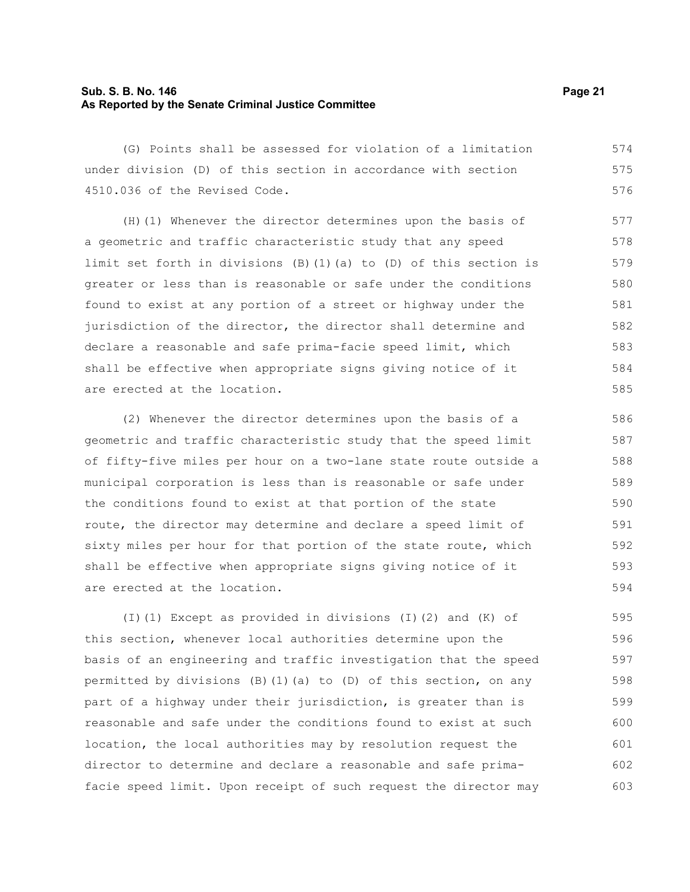#### **Sub. S. B. No. 146 Page 21 As Reported by the Senate Criminal Justice Committee**

(G) Points shall be assessed for violation of a limitation under division (D) of this section in accordance with section 4510.036 of the Revised Code. 574 575 576

(H)(1) Whenever the director determines upon the basis of a geometric and traffic characteristic study that any speed limit set forth in divisions (B)(1)(a) to (D) of this section is greater or less than is reasonable or safe under the conditions found to exist at any portion of a street or highway under the jurisdiction of the director, the director shall determine and declare a reasonable and safe prima-facie speed limit, which shall be effective when appropriate signs giving notice of it are erected at the location. 577 578 579 580 581 582 583 584 585

(2) Whenever the director determines upon the basis of a geometric and traffic characteristic study that the speed limit of fifty-five miles per hour on a two-lane state route outside a municipal corporation is less than is reasonable or safe under the conditions found to exist at that portion of the state route, the director may determine and declare a speed limit of sixty miles per hour for that portion of the state route, which shall be effective when appropriate signs giving notice of it are erected at the location.

(I)(1) Except as provided in divisions (I)(2) and (K) of this section, whenever local authorities determine upon the basis of an engineering and traffic investigation that the speed permitted by divisions  $(B)(1)(a)$  to  $(D)$  of this section, on any part of a highway under their jurisdiction, is greater than is reasonable and safe under the conditions found to exist at such location, the local authorities may by resolution request the director to determine and declare a reasonable and safe primafacie speed limit. Upon receipt of such request the director may 595 596 597 598 599 600 601 602 603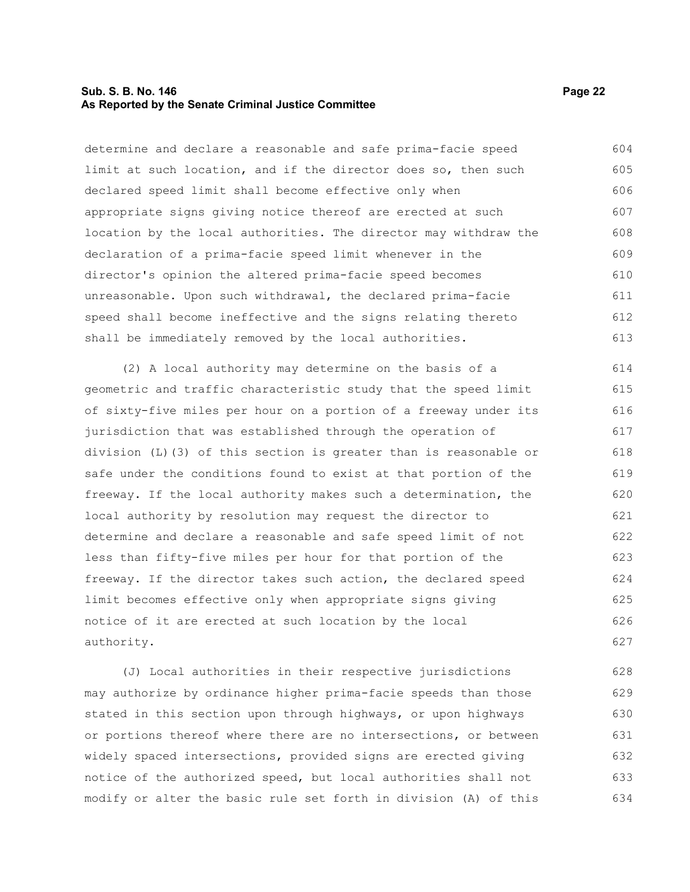#### **Sub. S. B. No. 146 Page 22 As Reported by the Senate Criminal Justice Committee**

determine and declare a reasonable and safe prima-facie speed limit at such location, and if the director does so, then such declared speed limit shall become effective only when appropriate signs giving notice thereof are erected at such location by the local authorities. The director may withdraw the declaration of a prima-facie speed limit whenever in the director's opinion the altered prima-facie speed becomes unreasonable. Upon such withdrawal, the declared prima-facie speed shall become ineffective and the signs relating thereto shall be immediately removed by the local authorities. 604 605 606 607 608 609 610 611 612 613

(2) A local authority may determine on the basis of a geometric and traffic characteristic study that the speed limit of sixty-five miles per hour on a portion of a freeway under its jurisdiction that was established through the operation of division (L)(3) of this section is greater than is reasonable or safe under the conditions found to exist at that portion of the freeway. If the local authority makes such a determination, the local authority by resolution may request the director to determine and declare a reasonable and safe speed limit of not less than fifty-five miles per hour for that portion of the freeway. If the director takes such action, the declared speed limit becomes effective only when appropriate signs giving notice of it are erected at such location by the local authority. 614 615 616 617 618 619 620 621 622 623 624 625 626 627

(J) Local authorities in their respective jurisdictions may authorize by ordinance higher prima-facie speeds than those stated in this section upon through highways, or upon highways or portions thereof where there are no intersections, or between widely spaced intersections, provided signs are erected giving notice of the authorized speed, but local authorities shall not modify or alter the basic rule set forth in division (A) of this 628 629 630 631 632 633 634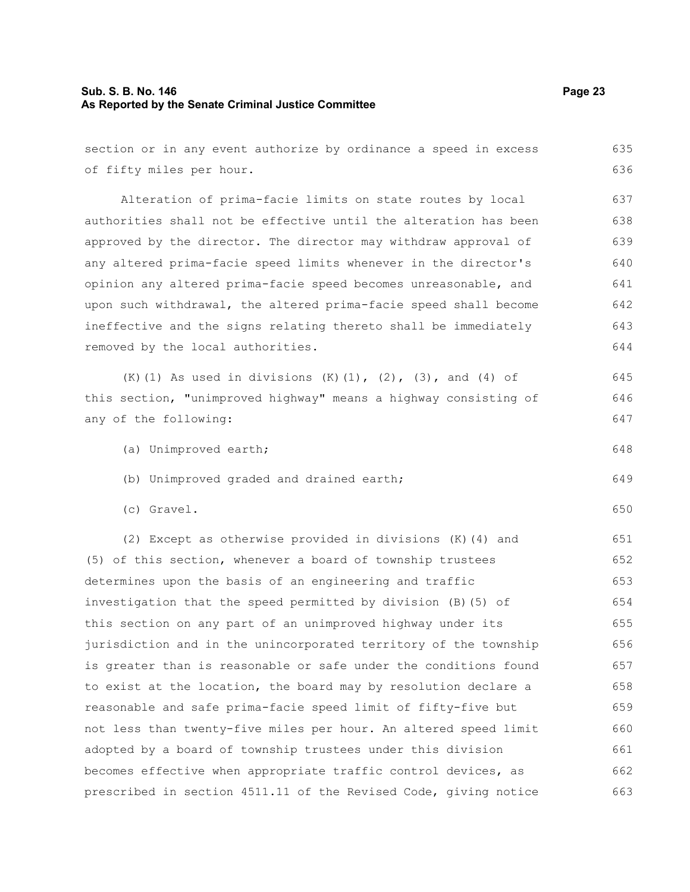## **Sub. S. B. No. 146 Page 23 As Reported by the Senate Criminal Justice Committee**

| section or in any event authorize by ordinance a speed in excess | 635 |
|------------------------------------------------------------------|-----|
| of fifty miles per hour.                                         | 636 |
| Alteration of prima-facie limits on state routes by local        | 637 |
| authorities shall not be effective until the alteration has been | 638 |
| approved by the director. The director may withdraw approval of  | 639 |
| any altered prima-facie speed limits whenever in the director's  | 640 |
| opinion any altered prima-facie speed becomes unreasonable, and  | 641 |
| upon such withdrawal, the altered prima-facie speed shall become | 642 |
| ineffective and the signs relating thereto shall be immediately  | 643 |
| removed by the local authorities.                                | 644 |
| $(K)$ (1) As used in divisions $(K)$ (1), (2), (3), and (4) of   | 645 |
| this section, "unimproved highway" means a highway consisting of | 646 |
| any of the following:                                            | 647 |
| (a) Unimproved earth;                                            | 648 |
| (b) Unimproved graded and drained earth;                         | 649 |
|                                                                  |     |
| (c) Gravel.                                                      | 650 |
| (2) Except as otherwise provided in divisions (K) (4) and        | 651 |
| (5) of this section, whenever a board of township trustees       | 652 |
| determines upon the basis of an engineering and traffic          | 653 |
| investigation that the speed permitted by division (B) (5) of    | 654 |
| this section on any part of an unimproved highway under its      | 655 |
| jurisdiction and in the unincorporated territory of the township | 656 |
| is greater than is reasonable or safe under the conditions found | 657 |
| to exist at the location, the board may by resolution declare a  | 658 |
| reasonable and safe prima-facie speed limit of fifty-five but    | 659 |
| not less than twenty-five miles per hour. An altered speed limit | 660 |
| adopted by a board of township trustees under this division      | 661 |
| becomes effective when appropriate traffic control devices, as   | 662 |
| prescribed in section 4511.11 of the Revised Code, giving notice | 663 |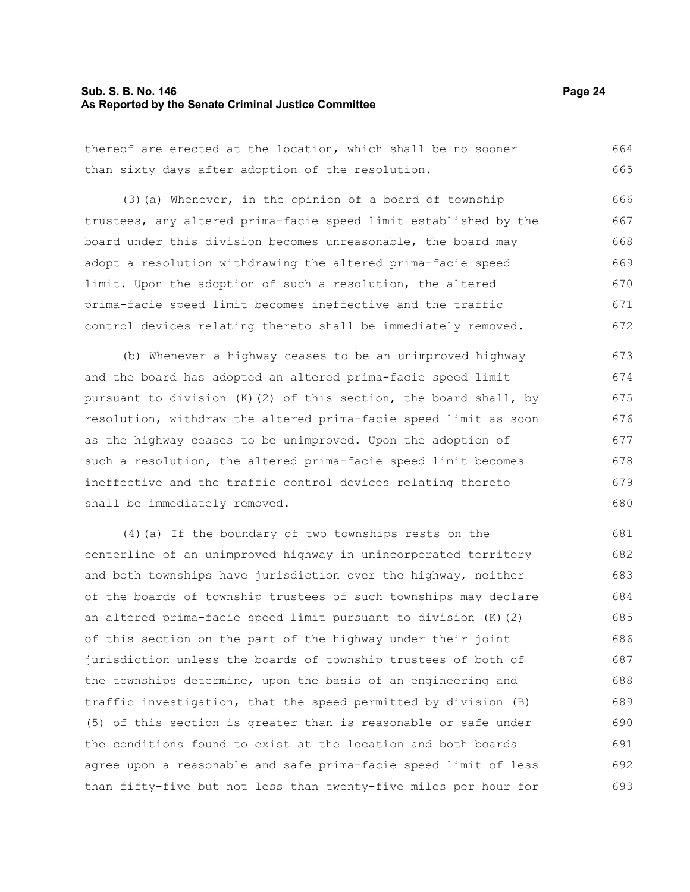#### **Sub. S. B. No. 146 Page 24 As Reported by the Senate Criminal Justice Committee**

thereof are erected at the location, which shall be no sooner than sixty days after adoption of the resolution. 664 665

(3)(a) Whenever, in the opinion of a board of township trustees, any altered prima-facie speed limit established by the board under this division becomes unreasonable, the board may adopt a resolution withdrawing the altered prima-facie speed limit. Upon the adoption of such a resolution, the altered prima-facie speed limit becomes ineffective and the traffic control devices relating thereto shall be immediately removed. 666 667 668 669 670 671 672

(b) Whenever a highway ceases to be an unimproved highway and the board has adopted an altered prima-facie speed limit pursuant to division  $(K)(2)$  of this section, the board shall, by resolution, withdraw the altered prima-facie speed limit as soon as the highway ceases to be unimproved. Upon the adoption of such a resolution, the altered prima-facie speed limit becomes ineffective and the traffic control devices relating thereto shall be immediately removed. 673 674 675 676 677 678 679 680

(4)(a) If the boundary of two townships rests on the centerline of an unimproved highway in unincorporated territory and both townships have jurisdiction over the highway, neither of the boards of township trustees of such townships may declare an altered prima-facie speed limit pursuant to division (K)(2) of this section on the part of the highway under their joint jurisdiction unless the boards of township trustees of both of the townships determine, upon the basis of an engineering and traffic investigation, that the speed permitted by division (B) (5) of this section is greater than is reasonable or safe under the conditions found to exist at the location and both boards agree upon a reasonable and safe prima-facie speed limit of less than fifty-five but not less than twenty-five miles per hour for 681 682 683 684 685 686 687 688 689 690 691 692 693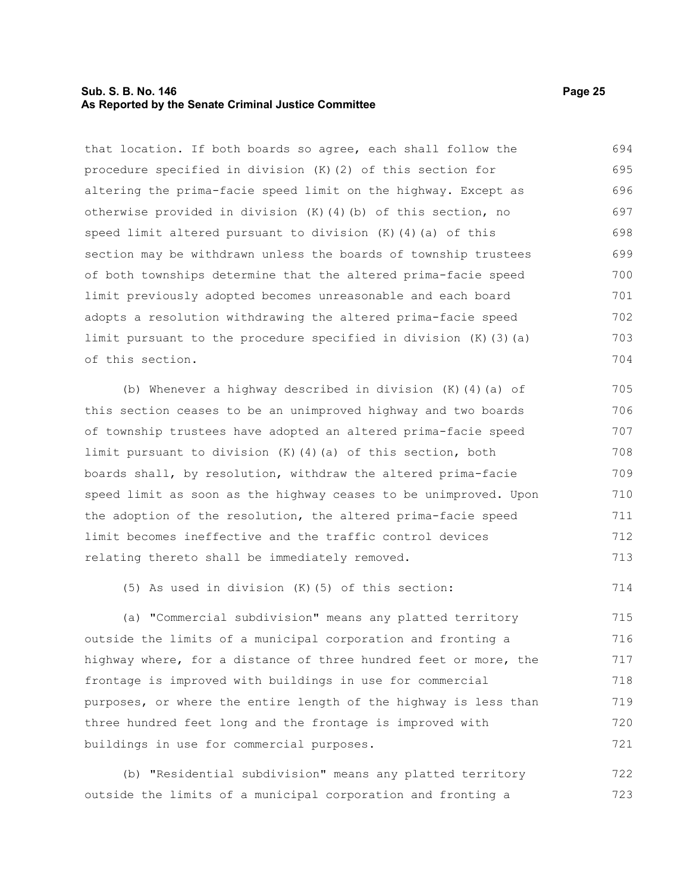#### **Sub. S. B. No. 146 Page 25 As Reported by the Senate Criminal Justice Committee**

that location. If both boards so agree, each shall follow the procedure specified in division (K)(2) of this section for altering the prima-facie speed limit on the highway. Except as otherwise provided in division (K)(4)(b) of this section, no speed limit altered pursuant to division (K)(4)(a) of this section may be withdrawn unless the boards of township trustees of both townships determine that the altered prima-facie speed limit previously adopted becomes unreasonable and each board adopts a resolution withdrawing the altered prima-facie speed 694 695 696 697 698 699 700 701 702

limit pursuant to the procedure specified in division  $(K)$  (3)(a) of this section. 703 704

(b) Whenever a highway described in division (K)(4)(a) of this section ceases to be an unimproved highway and two boards of township trustees have adopted an altered prima-facie speed limit pursuant to division (K)(4)(a) of this section, both boards shall, by resolution, withdraw the altered prima-facie speed limit as soon as the highway ceases to be unimproved. Upon the adoption of the resolution, the altered prima-facie speed limit becomes ineffective and the traffic control devices relating thereto shall be immediately removed. 705 706 707 708 709 710 711 712 713

(5) As used in division (K)(5) of this section:

(a) "Commercial subdivision" means any platted territory outside the limits of a municipal corporation and fronting a highway where, for a distance of three hundred feet or more, the frontage is improved with buildings in use for commercial purposes, or where the entire length of the highway is less than three hundred feet long and the frontage is improved with buildings in use for commercial purposes. 715 716 717 718 719 720 721

(b) "Residential subdivision" means any platted territory outside the limits of a municipal corporation and fronting a 722 723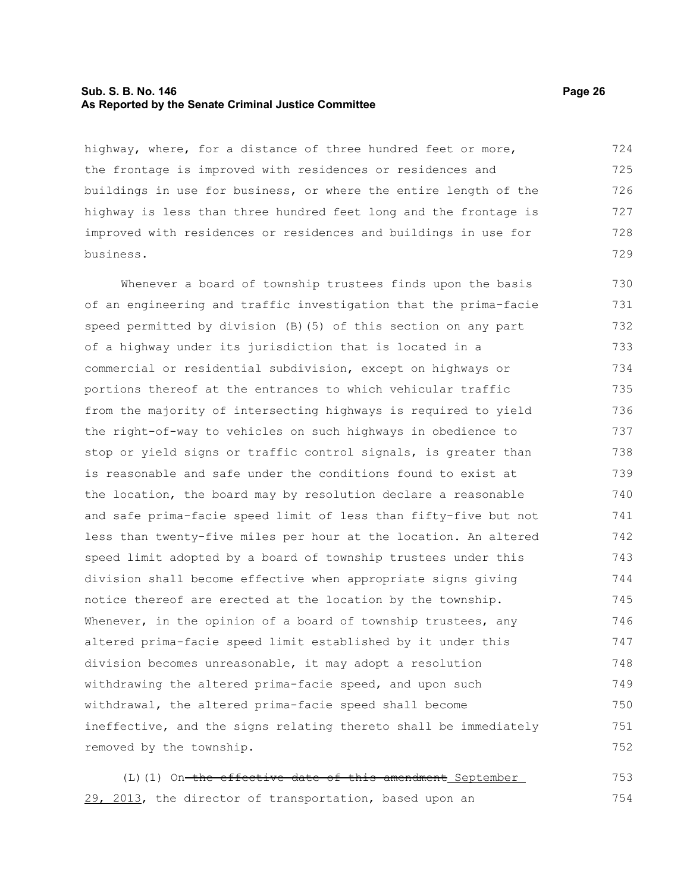#### **Sub. S. B. No. 146 Page 26 As Reported by the Senate Criminal Justice Committee**

highway, where, for a distance of three hundred feet or more, the frontage is improved with residences or residences and buildings in use for business, or where the entire length of the highway is less than three hundred feet long and the frontage is improved with residences or residences and buildings in use for business. 724 725 726 727 728 729

Whenever a board of township trustees finds upon the basis of an engineering and traffic investigation that the prima-facie speed permitted by division (B)(5) of this section on any part of a highway under its jurisdiction that is located in a commercial or residential subdivision, except on highways or portions thereof at the entrances to which vehicular traffic from the majority of intersecting highways is required to yield the right-of-way to vehicles on such highways in obedience to stop or yield signs or traffic control signals, is greater than is reasonable and safe under the conditions found to exist at the location, the board may by resolution declare a reasonable and safe prima-facie speed limit of less than fifty-five but not less than twenty-five miles per hour at the location. An altered speed limit adopted by a board of township trustees under this division shall become effective when appropriate signs giving notice thereof are erected at the location by the township. Whenever, in the opinion of a board of township trustees, any altered prima-facie speed limit established by it under this division becomes unreasonable, it may adopt a resolution withdrawing the altered prima-facie speed, and upon such withdrawal, the altered prima-facie speed shall become ineffective, and the signs relating thereto shall be immediately removed by the township. 730 731 732 733 734 735 736 737 738 739 740 741 742 743 744 745 746 747 748 749 750 751 752

(L)(1) On-the effective date of this amendment September 29, 2013, the director of transportation, based upon an 753 754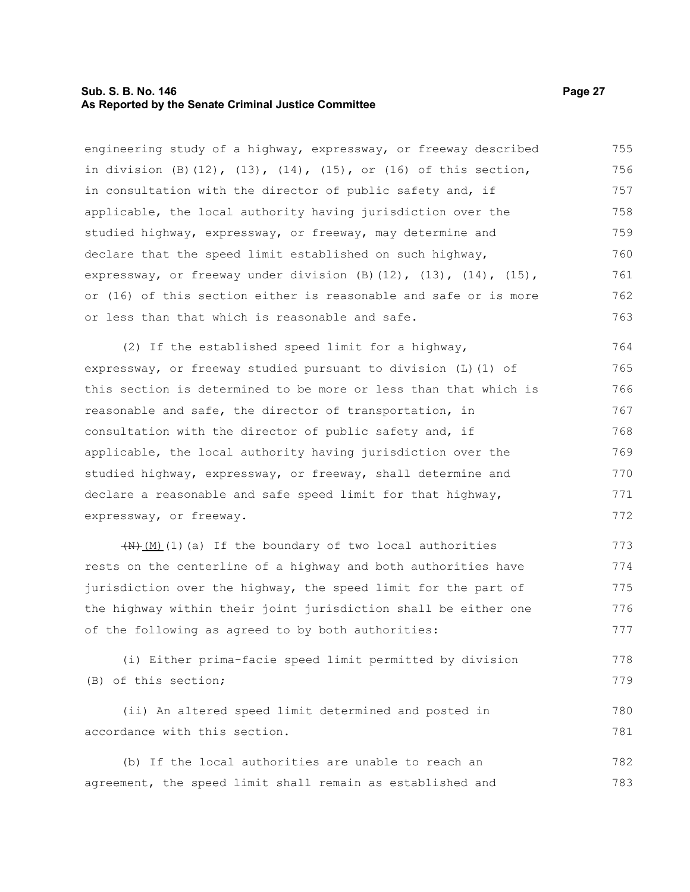#### **Sub. S. B. No. 146 Page 27 As Reported by the Senate Criminal Justice Committee**

engineering study of a highway, expressway, or freeway described in division  $(B)$   $(12)$ ,  $(13)$ ,  $(14)$ ,  $(15)$ , or  $(16)$  of this section, in consultation with the director of public safety and, if applicable, the local authority having jurisdiction over the studied highway, expressway, or freeway, may determine and declare that the speed limit established on such highway, expressway, or freeway under division  $(B)$ (12),  $(13)$ ,  $(14)$ ,  $(15)$ , or (16) of this section either is reasonable and safe or is more or less than that which is reasonable and safe. 755 756 757 758 759 760 761 762 763

(2) If the established speed limit for a highway, expressway, or freeway studied pursuant to division (L)(1) of this section is determined to be more or less than that which is reasonable and safe, the director of transportation, in consultation with the director of public safety and, if applicable, the local authority having jurisdiction over the studied highway, expressway, or freeway, shall determine and declare a reasonable and safe speed limit for that highway, expressway, or freeway. 764 765 766 767 768 769 770 771 772

 $\frac{(\mathbb{N})^{\mathbb{N}}(\mathbb{M})}{(\mathbb{N})^{\mathbb{N}}}$  (1)(a) If the boundary of two local authorities rests on the centerline of a highway and both authorities have jurisdiction over the highway, the speed limit for the part of the highway within their joint jurisdiction shall be either one of the following as agreed to by both authorities: 773 774 775 776 777

(i) Either prima-facie speed limit permitted by division (B) of this section; 778 779

(ii) An altered speed limit determined and posted in accordance with this section. 780 781

(b) If the local authorities are unable to reach an agreement, the speed limit shall remain as established and 782 783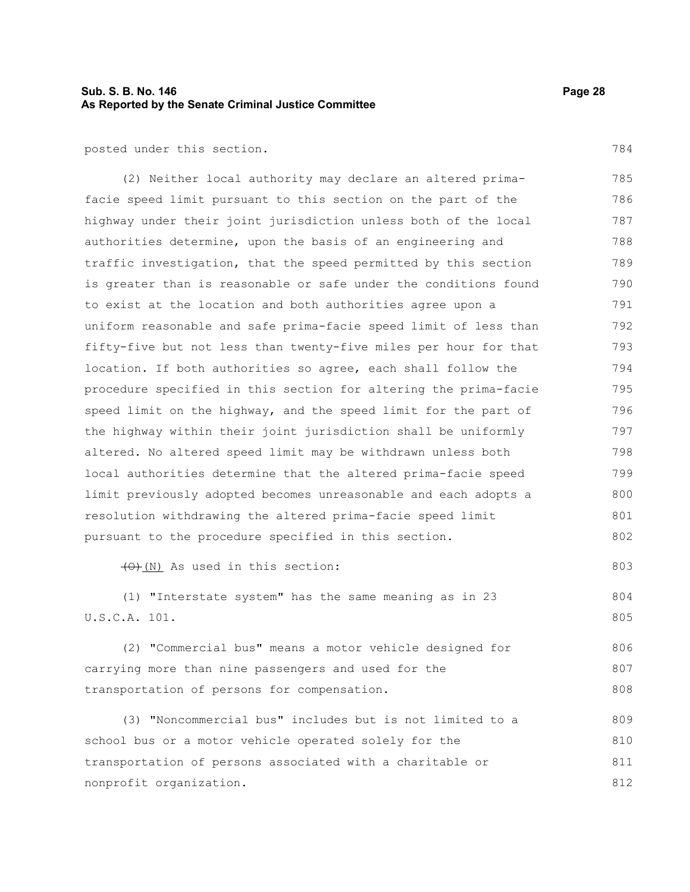#### **Sub. S. B. No. 146 Page 28 As Reported by the Senate Criminal Justice Committee**

posted under this section.

(2) Neither local authority may declare an altered primafacie speed limit pursuant to this section on the part of the highway under their joint jurisdiction unless both of the local authorities determine, upon the basis of an engineering and traffic investigation, that the speed permitted by this section is greater than is reasonable or safe under the conditions found to exist at the location and both authorities agree upon a uniform reasonable and safe prima-facie speed limit of less than fifty-five but not less than twenty-five miles per hour for that location. If both authorities so agree, each shall follow the procedure specified in this section for altering the prima-facie speed limit on the highway, and the speed limit for the part of the highway within their joint jurisdiction shall be uniformly altered. No altered speed limit may be withdrawn unless both local authorities determine that the altered prima-facie speed limit previously adopted becomes unreasonable and each adopts a resolution withdrawing the altered prima-facie speed limit pursuant to the procedure specified in this section. 785 786 787 788 789 790 791 792 793 794 795 796 797 798 799 800 801 802

 $\overline{+0}$ (N) As used in this section: 803

(1) "Interstate system" has the same meaning as in 23 U.S.C.A. 101. 804 805

(2) "Commercial bus" means a motor vehicle designed for carrying more than nine passengers and used for the transportation of persons for compensation. 806 807 808

(3) "Noncommercial bus" includes but is not limited to a school bus or a motor vehicle operated solely for the transportation of persons associated with a charitable or nonprofit organization. 809 810 811 812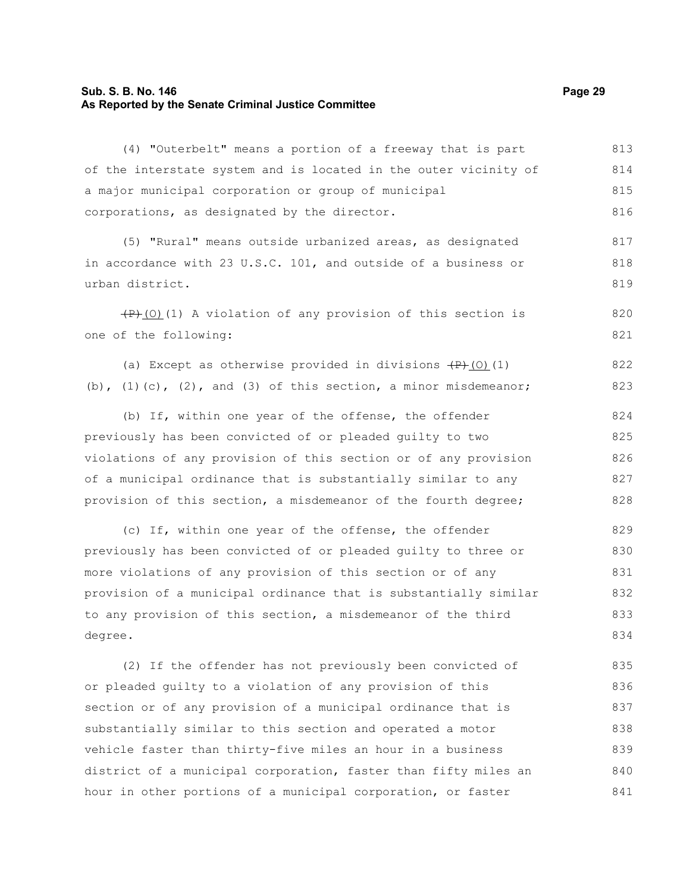#### **Sub. S. B. No. 146 Page 29 As Reported by the Senate Criminal Justice Committee**

(4) "Outerbelt" means a portion of a freeway that is part of the interstate system and is located in the outer vicinity of a major municipal corporation or group of municipal corporations, as designated by the director. 813 814 815 816

(5) "Rural" means outside urbanized areas, as designated in accordance with 23 U.S.C. 101, and outside of a business or urban district. 817 818 819

 $(\overline{P}(0)(1))$  A violation of any provision of this section is one of the following: 820 821

(a) Except as otherwise provided in divisions  $(P)$  (0)(1) (b),  $(1)(c)$ ,  $(2)$ , and  $(3)$  of this section, a minor misdemeanor; 822 823

(b) If, within one year of the offense, the offender previously has been convicted of or pleaded guilty to two violations of any provision of this section or of any provision of a municipal ordinance that is substantially similar to any provision of this section, a misdemeanor of the fourth degree; 824 825 826 827 828

(c) If, within one year of the offense, the offender previously has been convicted of or pleaded guilty to three or more violations of any provision of this section or of any provision of a municipal ordinance that is substantially similar to any provision of this section, a misdemeanor of the third degree. 829 830 831 832 833 834

(2) If the offender has not previously been convicted of or pleaded guilty to a violation of any provision of this section or of any provision of a municipal ordinance that is substantially similar to this section and operated a motor vehicle faster than thirty-five miles an hour in a business district of a municipal corporation, faster than fifty miles an hour in other portions of a municipal corporation, or faster 835 836 837 838 839 840 841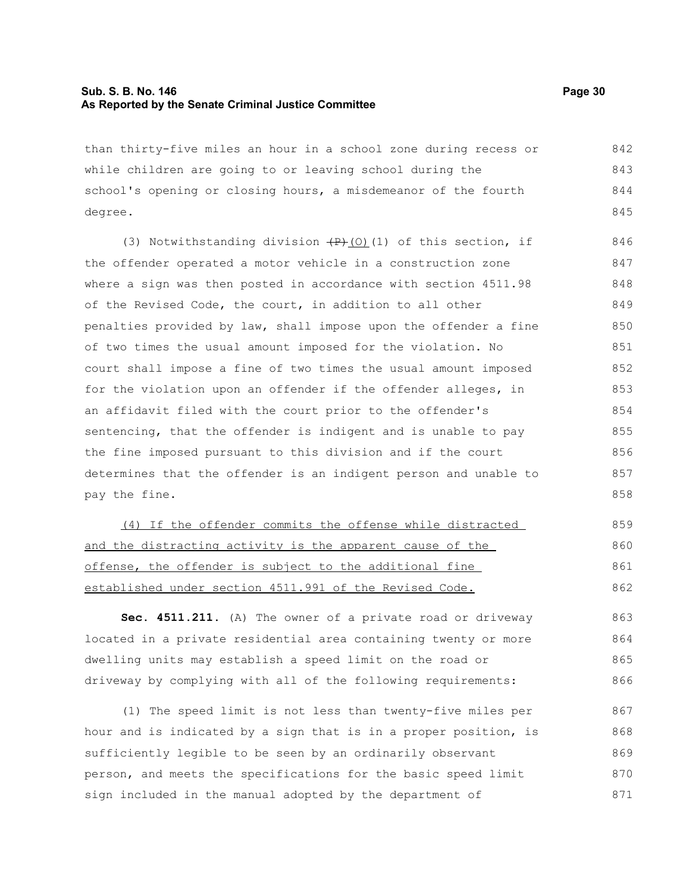#### **Sub. S. B. No. 146 Page 30 As Reported by the Senate Criminal Justice Committee**

than thirty-five miles an hour in a school zone during recess or while children are going to or leaving school during the school's opening or closing hours, a misdemeanor of the fourth degree. 842 843 844 845

(3) Notwithstanding division  $(P)$  (O)(1) of this section, if the offender operated a motor vehicle in a construction zone where a sign was then posted in accordance with section 4511.98 of the Revised Code, the court, in addition to all other penalties provided by law, shall impose upon the offender a fine of two times the usual amount imposed for the violation. No court shall impose a fine of two times the usual amount imposed for the violation upon an offender if the offender alleges, in an affidavit filed with the court prior to the offender's sentencing, that the offender is indigent and is unable to pay the fine imposed pursuant to this division and if the court determines that the offender is an indigent person and unable to pay the fine. 846 847 848 849 850 851 852 853 854 855 856 857 858

(4) If the offender commits the offense while distracted and the distracting activity is the apparent cause of the offense, the offender is subject to the additional fine established under section 4511.991 of the Revised Code. 859 860 861 862

**Sec. 4511.211.** (A) The owner of a private road or driveway located in a private residential area containing twenty or more dwelling units may establish a speed limit on the road or driveway by complying with all of the following requirements: 863 864 865 866

(1) The speed limit is not less than twenty-five miles per hour and is indicated by a sign that is in a proper position, is sufficiently legible to be seen by an ordinarily observant person, and meets the specifications for the basic speed limit sign included in the manual adopted by the department of 867 868 869 870 871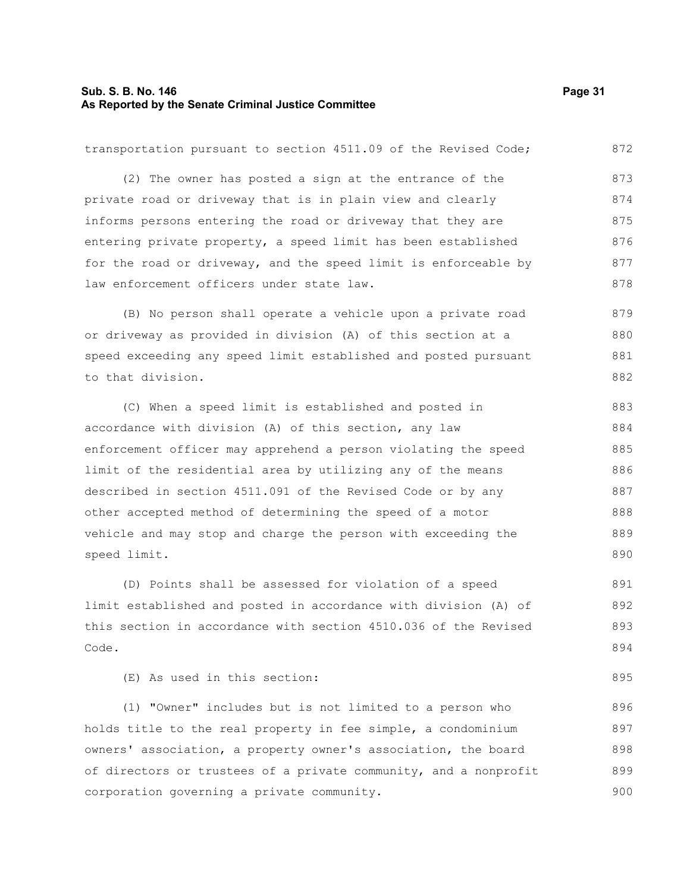#### **Sub. S. B. No. 146 Page 31 As Reported by the Senate Criminal Justice Committee**

transportation pursuant to section 4511.09 of the Revised Code; (2) The owner has posted a sign at the entrance of the private road or driveway that is in plain view and clearly informs persons entering the road or driveway that they are entering private property, a speed limit has been established for the road or driveway, and the speed limit is enforceable by law enforcement officers under state law. (B) No person shall operate a vehicle upon a private road or driveway as provided in division (A) of this section at a speed exceeding any speed limit established and posted pursuant to that division.

(C) When a speed limit is established and posted in accordance with division (A) of this section, any law enforcement officer may apprehend a person violating the speed limit of the residential area by utilizing any of the means described in section 4511.091 of the Revised Code or by any other accepted method of determining the speed of a motor vehicle and may stop and charge the person with exceeding the speed limit. 883 884 885 886 887 888 889 890

(D) Points shall be assessed for violation of a speed limit established and posted in accordance with division (A) of this section in accordance with section 4510.036 of the Revised Code. 891 892 893 894

(E) As used in this section:

(1) "Owner" includes but is not limited to a person who holds title to the real property in fee simple, a condominium owners' association, a property owner's association, the board of directors or trustees of a private community, and a nonprofit corporation governing a private community. 896 897 898 899 900

872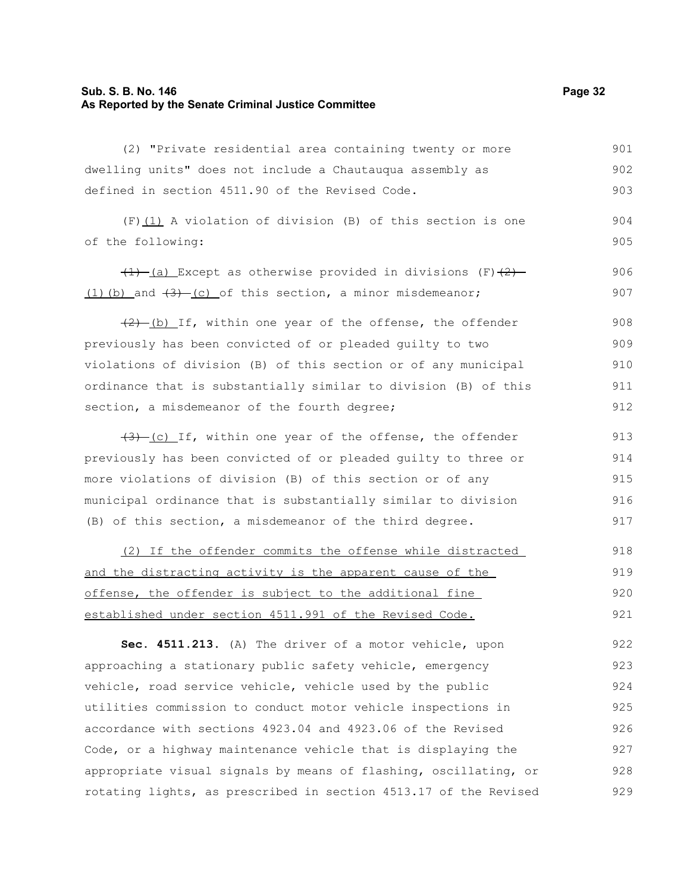#### **Sub. S. B. No. 146 Page 32 As Reported by the Senate Criminal Justice Committee**

(2) "Private residential area containing twenty or more dwelling units" does not include a Chautauqua assembly as defined in section 4511.90 of the Revised Code. 901 902 903

 $(F)$  (1) A violation of division (B) of this section is one of the following: 904 905

 $(1)$  (a) Except as otherwise provided in divisions (F) $(2)$ (1)(b) and  $(3)$  (c) of this section, a minor misdemeanor; 906 907

 $(2)$  (b) If, within one year of the offense, the offender previously has been convicted of or pleaded guilty to two violations of division (B) of this section or of any municipal ordinance that is substantially similar to division (B) of this section, a misdemeanor of the fourth degree; 908 909 910 911 912

 $(3)$  (c) If, within one year of the offense, the offender previously has been convicted of or pleaded guilty to three or more violations of division (B) of this section or of any municipal ordinance that is substantially similar to division (B) of this section, a misdemeanor of the third degree. 913 914 915 916 917

| (2) If the offender commits the offense while distracted  | 918 |
|-----------------------------------------------------------|-----|
| and the distracting activity is the apparent cause of the | 919 |
| offense, the offender is subject to the additional fine   | 920 |
| established under section 4511.991 of the Revised Code.   | 921 |

**Sec. 4511.213.** (A) The driver of a motor vehicle, upon approaching a stationary public safety vehicle, emergency vehicle, road service vehicle, vehicle used by the public utilities commission to conduct motor vehicle inspections in accordance with sections 4923.04 and 4923.06 of the Revised Code, or a highway maintenance vehicle that is displaying the appropriate visual signals by means of flashing, oscillating, or rotating lights, as prescribed in section 4513.17 of the Revised 922 923 924 925 926 927 928 929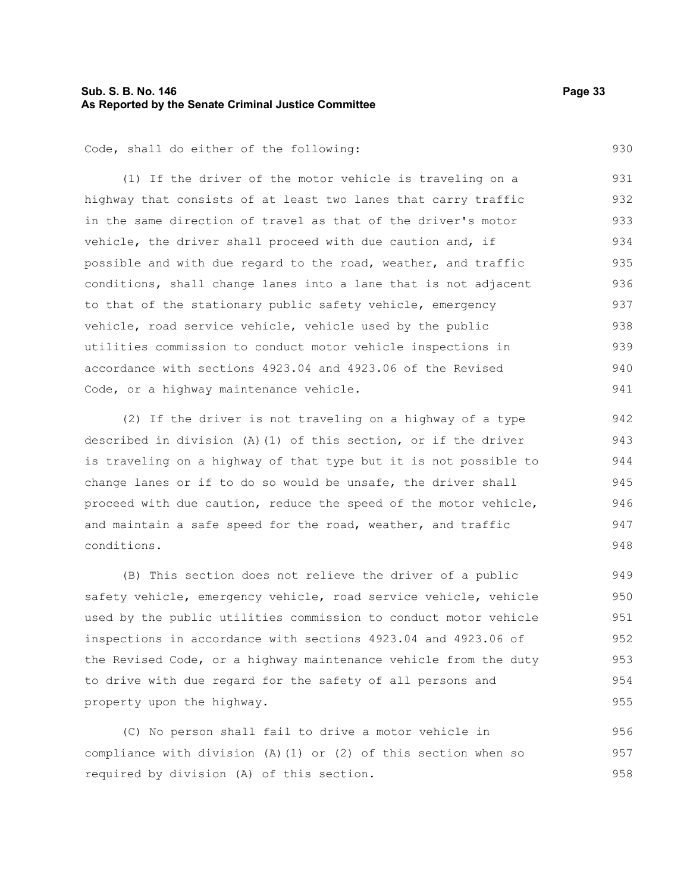#### **Sub. S. B. No. 146 Page 33 As Reported by the Senate Criminal Justice Committee**

Code, shall do either of the following:

(1) If the driver of the motor vehicle is traveling on a highway that consists of at least two lanes that carry traffic in the same direction of travel as that of the driver's motor vehicle, the driver shall proceed with due caution and, if possible and with due regard to the road, weather, and traffic conditions, shall change lanes into a lane that is not adjacent to that of the stationary public safety vehicle, emergency vehicle, road service vehicle, vehicle used by the public utilities commission to conduct motor vehicle inspections in accordance with sections 4923.04 and 4923.06 of the Revised Code, or a highway maintenance vehicle. 931 932 933 934 935 936 937 938 939 940 941

(2) If the driver is not traveling on a highway of a type described in division (A)(1) of this section, or if the driver is traveling on a highway of that type but it is not possible to change lanes or if to do so would be unsafe, the driver shall proceed with due caution, reduce the speed of the motor vehicle, and maintain a safe speed for the road, weather, and traffic conditions.

(B) This section does not relieve the driver of a public safety vehicle, emergency vehicle, road service vehicle, vehicle used by the public utilities commission to conduct motor vehicle inspections in accordance with sections 4923.04 and 4923.06 of the Revised Code, or a highway maintenance vehicle from the duty to drive with due regard for the safety of all persons and property upon the highway. 949 950 951 952 953 954 955

(C) No person shall fail to drive a motor vehicle in compliance with division (A)(1) or (2) of this section when so required by division (A) of this section. 956 957 958

930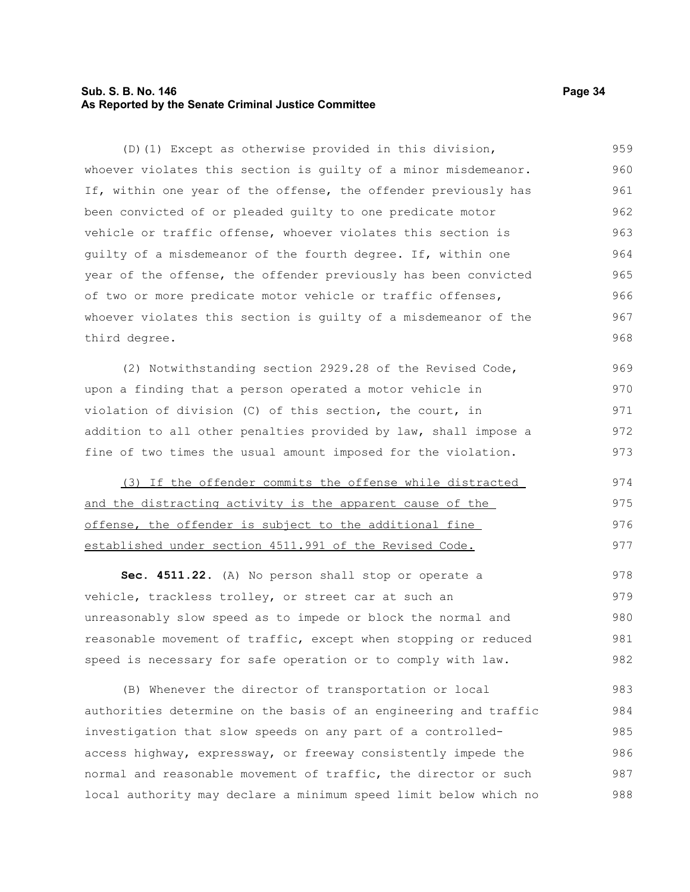#### **Sub. S. B. No. 146 Page 34 As Reported by the Senate Criminal Justice Committee**

(D)(1) Except as otherwise provided in this division, whoever violates this section is guilty of a minor misdemeanor. If, within one year of the offense, the offender previously has been convicted of or pleaded guilty to one predicate motor vehicle or traffic offense, whoever violates this section is guilty of a misdemeanor of the fourth degree. If, within one year of the offense, the offender previously has been convicted of two or more predicate motor vehicle or traffic offenses, whoever violates this section is guilty of a misdemeanor of the third degree. 959 960 961 962 963 964 965 966 967 968

(2) Notwithstanding section 2929.28 of the Revised Code, upon a finding that a person operated a motor vehicle in violation of division (C) of this section, the court, in addition to all other penalties provided by law, shall impose a fine of two times the usual amount imposed for the violation. 969 970 971 972 973

(3) If the offender commits the offense while distracted and the distracting activity is the apparent cause of the offense, the offender is subject to the additional fine established under section 4511.991 of the Revised Code. 974 975 976 977

**Sec. 4511.22.** (A) No person shall stop or operate a vehicle, trackless trolley, or street car at such an unreasonably slow speed as to impede or block the normal and reasonable movement of traffic, except when stopping or reduced speed is necessary for safe operation or to comply with law. 978 979 980 981 982

(B) Whenever the director of transportation or local authorities determine on the basis of an engineering and traffic investigation that slow speeds on any part of a controlledaccess highway, expressway, or freeway consistently impede the normal and reasonable movement of traffic, the director or such local authority may declare a minimum speed limit below which no 983 984 985 986 987 988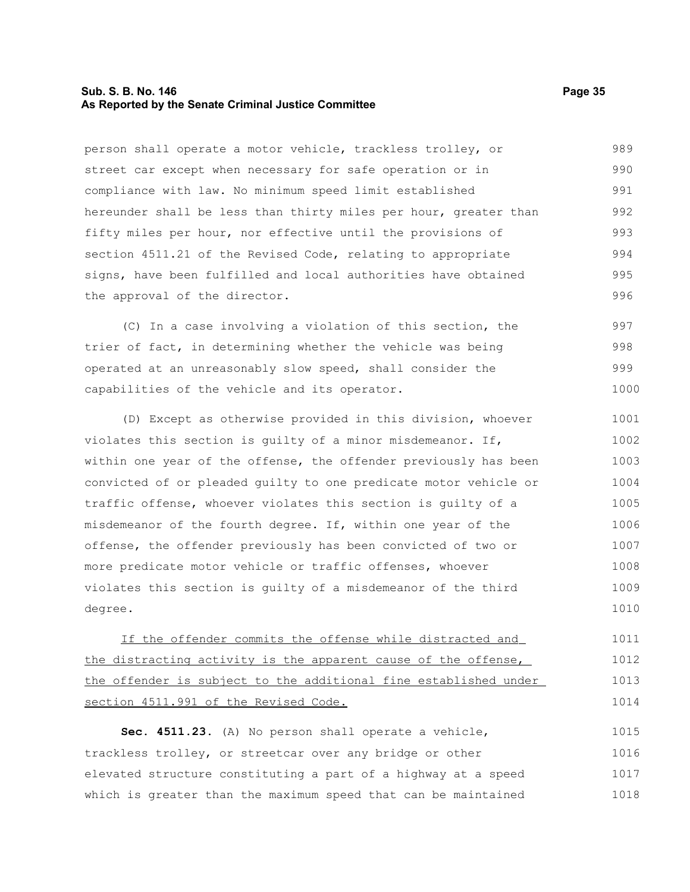#### **Sub. S. B. No. 146 Page 35 As Reported by the Senate Criminal Justice Committee**

person shall operate a motor vehicle, trackless trolley, or street car except when necessary for safe operation or in compliance with law. No minimum speed limit established hereunder shall be less than thirty miles per hour, greater than fifty miles per hour, nor effective until the provisions of section 4511.21 of the Revised Code, relating to appropriate signs, have been fulfilled and local authorities have obtained the approval of the director. 989 990 991 992 993 994 995 996

(C) In a case involving a violation of this section, the trier of fact, in determining whether the vehicle was being operated at an unreasonably slow speed, shall consider the capabilities of the vehicle and its operator. 997 998 999 1000

(D) Except as otherwise provided in this division, whoever violates this section is guilty of a minor misdemeanor. If, within one year of the offense, the offender previously has been convicted of or pleaded guilty to one predicate motor vehicle or traffic offense, whoever violates this section is guilty of a misdemeanor of the fourth degree. If, within one year of the offense, the offender previously has been convicted of two or more predicate motor vehicle or traffic offenses, whoever violates this section is guilty of a misdemeanor of the third degree. 1001 1002 1003 1004 1005 1006 1007 1008 1009 1010

 If the offender commits the offense while distracted and the distracting activity is the apparent cause of the offense, the offender is subject to the additional fine established under section 4511.991 of the Revised Code. 1011 1012 1013 1014

**Sec. 4511.23.** (A) No person shall operate a vehicle, trackless trolley, or streetcar over any bridge or other elevated structure constituting a part of a highway at a speed which is greater than the maximum speed that can be maintained 1015 1016 1017 1018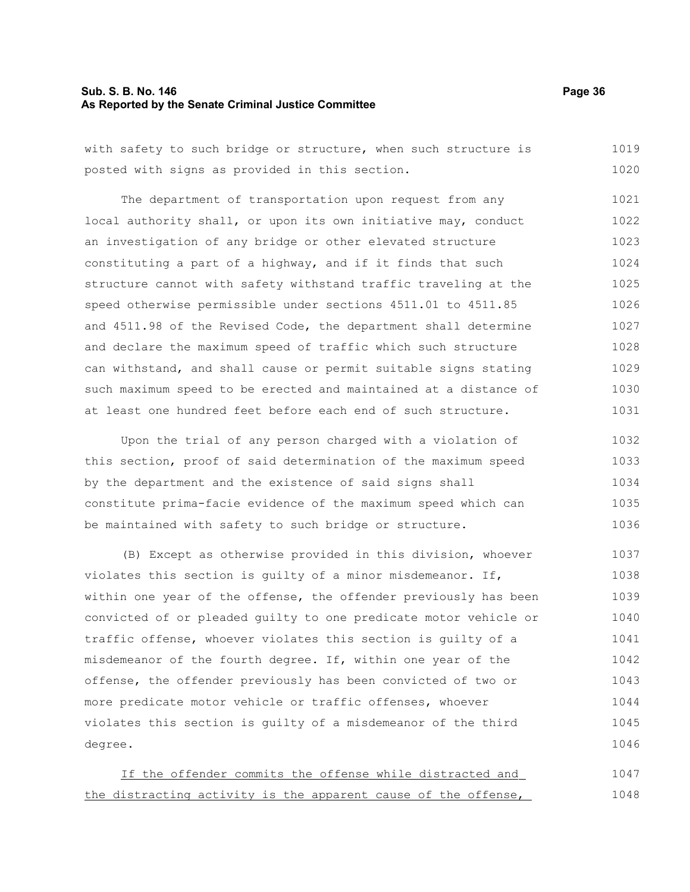#### **Sub. S. B. No. 146 Page 36 As Reported by the Senate Criminal Justice Committee**

with safety to such bridge or structure, when such structure is posted with signs as provided in this section. 1019 1020

The department of transportation upon request from any local authority shall, or upon its own initiative may, conduct an investigation of any bridge or other elevated structure constituting a part of a highway, and if it finds that such structure cannot with safety withstand traffic traveling at the speed otherwise permissible under sections 4511.01 to 4511.85 and 4511.98 of the Revised Code, the department shall determine and declare the maximum speed of traffic which such structure can withstand, and shall cause or permit suitable signs stating such maximum speed to be erected and maintained at a distance of at least one hundred feet before each end of such structure. 1021 1022 1023 1024 1025 1026 1027 1028 1029 1030 1031

Upon the trial of any person charged with a violation of this section, proof of said determination of the maximum speed by the department and the existence of said signs shall constitute prima-facie evidence of the maximum speed which can be maintained with safety to such bridge or structure. 1032 1033 1034 1035 1036

(B) Except as otherwise provided in this division, whoever violates this section is guilty of a minor misdemeanor. If, within one year of the offense, the offender previously has been convicted of or pleaded guilty to one predicate motor vehicle or traffic offense, whoever violates this section is guilty of a misdemeanor of the fourth degree. If, within one year of the offense, the offender previously has been convicted of two or more predicate motor vehicle or traffic offenses, whoever violates this section is guilty of a misdemeanor of the third degree. 1037 1038 1039 1040 1041 1042 1043 1044 1045 1046

If the offender commits the offense while distracted and the distracting activity is the apparent cause of the offense, 1047 1048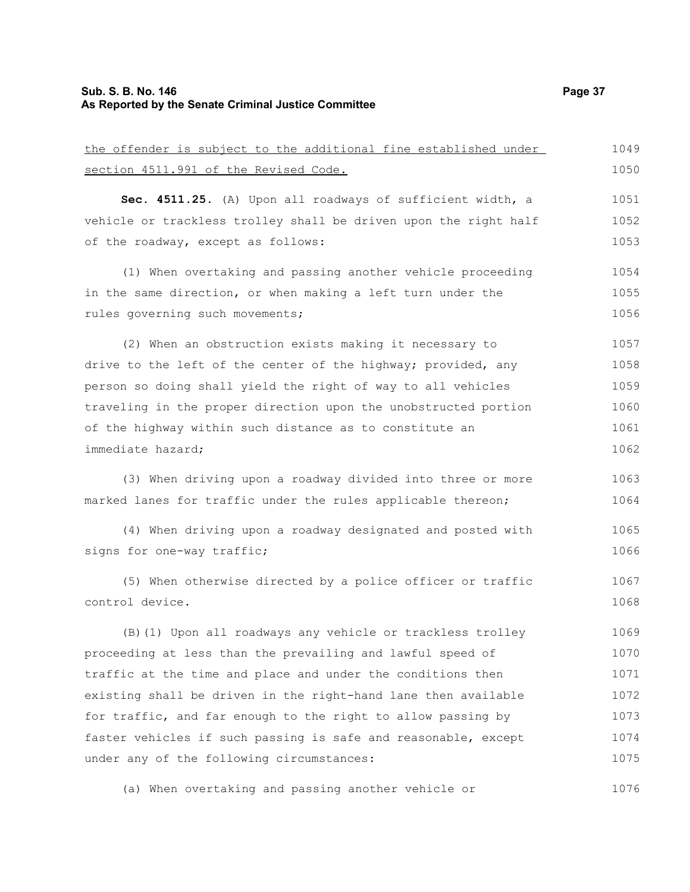# **Sub. S. B. No. 146 Page 37 As Reported by the Senate Criminal Justice Committee**

section 4511.991 of the Revised Code. **Sec. 4511.25.** (A) Upon all roadways of sufficient width, a vehicle or trackless trolley shall be driven upon the right half of the roadway, except as follows: (1) When overtaking and passing another vehicle proceeding in the same direction, or when making a left turn under the rules governing such movements; (2) When an obstruction exists making it necessary to drive to the left of the center of the highway; provided, any person so doing shall yield the right of way to all vehicles traveling in the proper direction upon the unobstructed portion of the highway within such distance as to constitute an immediate hazard; (3) When driving upon a roadway divided into three or more marked lanes for traffic under the rules applicable thereon; (4) When driving upon a roadway designated and posted with signs for one-way traffic; 1050 1051 1052 1053 1054 1055 1056 1057 1058 1059 1060 1061 1062 1063 1064 1065 1066

the offender is subject to the additional fine established under

(5) When otherwise directed by a police officer or traffic control device. 1067 1068

(B)(1) Upon all roadways any vehicle or trackless trolley proceeding at less than the prevailing and lawful speed of traffic at the time and place and under the conditions then existing shall be driven in the right-hand lane then available for traffic, and far enough to the right to allow passing by faster vehicles if such passing is safe and reasonable, except under any of the following circumstances: 1069 1070 1071 1072 1073 1074 1075

(a) When overtaking and passing another vehicle or 1076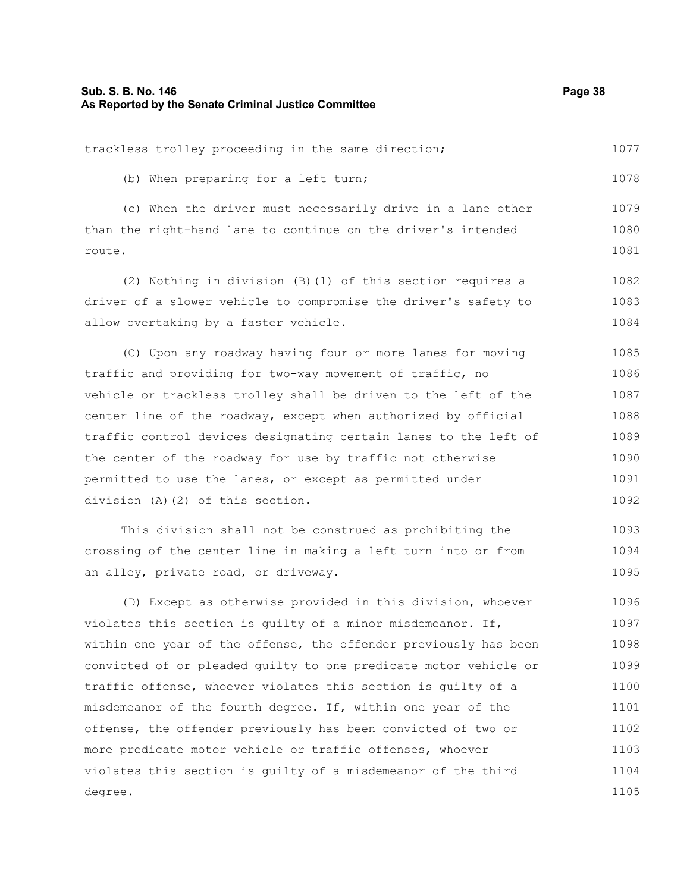trackless trolley proceeding in the same direction; (b) When preparing for a left turn; (c) When the driver must necessarily drive in a lane other 1077 1078 1079

than the right-hand lane to continue on the driver's intended route. 1080 1081

(2) Nothing in division (B)(1) of this section requires a driver of a slower vehicle to compromise the driver's safety to allow overtaking by a faster vehicle. 1082 1083 1084

(C) Upon any roadway having four or more lanes for moving traffic and providing for two-way movement of traffic, no vehicle or trackless trolley shall be driven to the left of the center line of the roadway, except when authorized by official traffic control devices designating certain lanes to the left of the center of the roadway for use by traffic not otherwise permitted to use the lanes, or except as permitted under division (A)(2) of this section. 1085 1086 1087 1088 1089 1090 1091 1092

This division shall not be construed as prohibiting the crossing of the center line in making a left turn into or from an alley, private road, or driveway. 1093 1094 1095

(D) Except as otherwise provided in this division, whoever violates this section is guilty of a minor misdemeanor. If, within one year of the offense, the offender previously has been convicted of or pleaded guilty to one predicate motor vehicle or traffic offense, whoever violates this section is guilty of a misdemeanor of the fourth degree. If, within one year of the offense, the offender previously has been convicted of two or more predicate motor vehicle or traffic offenses, whoever violates this section is guilty of a misdemeanor of the third degree. 1096 1097 1098 1099 1100 1101 1102 1103 1104 1105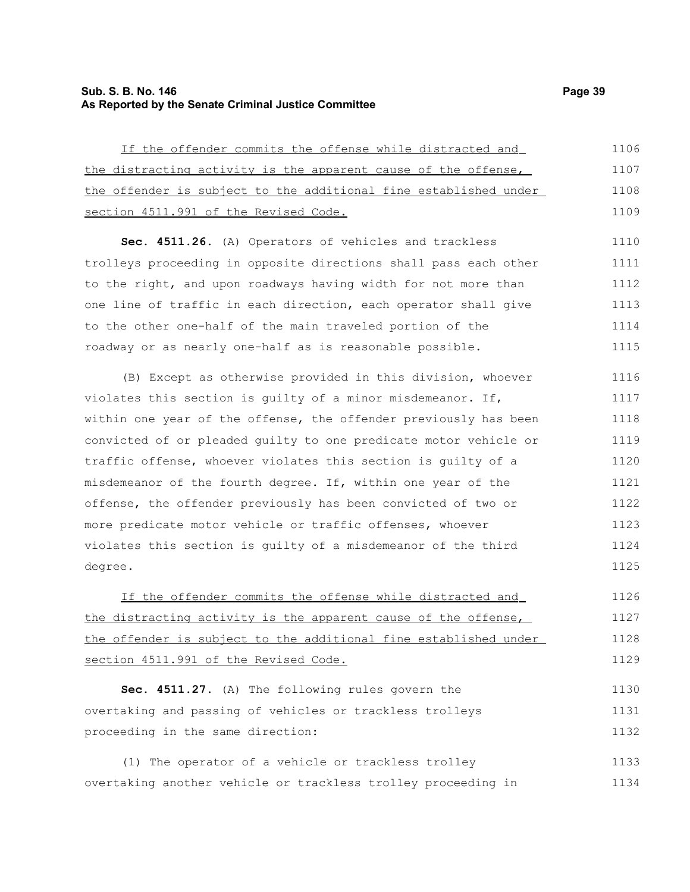# **Sub. S. B. No. 146 Page 39 As Reported by the Senate Criminal Justice Committee**

 If the offender commits the offense while distracted and the distracting activity is the apparent cause of the offense, the offender is subject to the additional fine established under section 4511.991 of the Revised Code. 1106 1107 1108 1109

**Sec. 4511.26.** (A) Operators of vehicles and trackless trolleys proceeding in opposite directions shall pass each other to the right, and upon roadways having width for not more than one line of traffic in each direction, each operator shall give to the other one-half of the main traveled portion of the roadway or as nearly one-half as is reasonable possible. 1110 1111 1112 1113 1114 1115

(B) Except as otherwise provided in this division, whoever violates this section is guilty of a minor misdemeanor. If, within one year of the offense, the offender previously has been convicted of or pleaded guilty to one predicate motor vehicle or traffic offense, whoever violates this section is guilty of a misdemeanor of the fourth degree. If, within one year of the offense, the offender previously has been convicted of two or more predicate motor vehicle or traffic offenses, whoever violates this section is guilty of a misdemeanor of the third degree. 1116 1117 1118 1119 1120 1121 1122 1123 1124 1125

 If the offender commits the offense while distracted and the distracting activity is the apparent cause of the offense, the offender is subject to the additional fine established under section 4511.991 of the Revised Code. 1126 1127 1128 1129

**Sec. 4511.27.** (A) The following rules govern the overtaking and passing of vehicles or trackless trolleys proceeding in the same direction: 1130 1131 1132

(1) The operator of a vehicle or trackless trolley overtaking another vehicle or trackless trolley proceeding in 1133 1134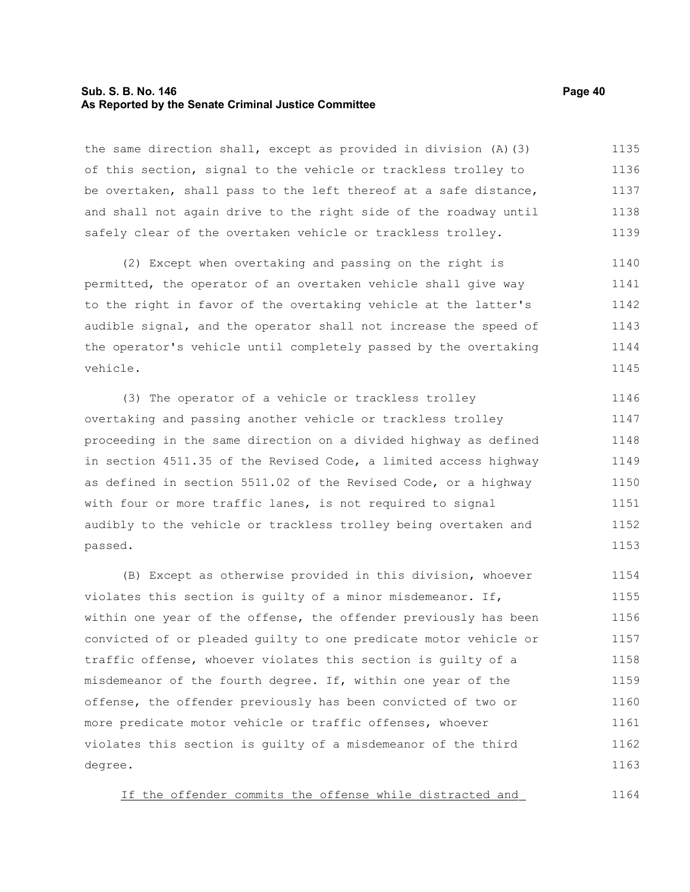## **Sub. S. B. No. 146 Page 40 As Reported by the Senate Criminal Justice Committee**

the same direction shall, except as provided in division (A)(3) of this section, signal to the vehicle or trackless trolley to be overtaken, shall pass to the left thereof at a safe distance, and shall not again drive to the right side of the roadway until safely clear of the overtaken vehicle or trackless trolley. 1135 1136 1137 1138 1139

(2) Except when overtaking and passing on the right is permitted, the operator of an overtaken vehicle shall give way to the right in favor of the overtaking vehicle at the latter's audible signal, and the operator shall not increase the speed of the operator's vehicle until completely passed by the overtaking vehicle. 1140 1141 1142 1143 1144 1145

(3) The operator of a vehicle or trackless trolley overtaking and passing another vehicle or trackless trolley proceeding in the same direction on a divided highway as defined in section 4511.35 of the Revised Code, a limited access highway as defined in section 5511.02 of the Revised Code, or a highway with four or more traffic lanes, is not required to signal audibly to the vehicle or trackless trolley being overtaken and passed. 1146 1147 1148 1149 1150 1151 1152 1153

(B) Except as otherwise provided in this division, whoever violates this section is guilty of a minor misdemeanor. If, within one year of the offense, the offender previously has been convicted of or pleaded guilty to one predicate motor vehicle or traffic offense, whoever violates this section is guilty of a misdemeanor of the fourth degree. If, within one year of the offense, the offender previously has been convicted of two or more predicate motor vehicle or traffic offenses, whoever violates this section is guilty of a misdemeanor of the third degree. 1154 1155 1156 1157 1158 1159 1160 1161 1162 1163

 If the offender commits the offense while distracted and 1164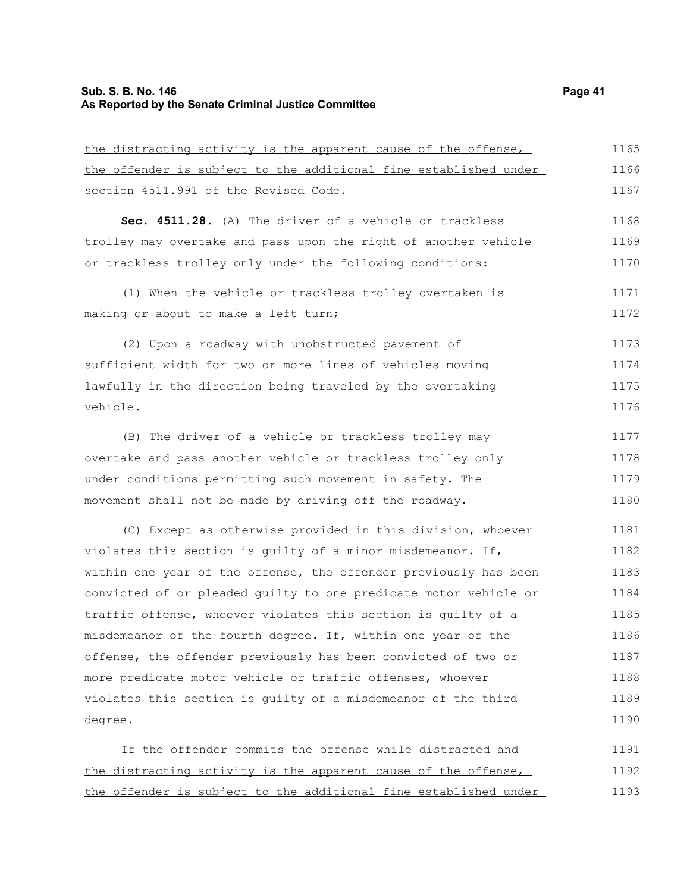# **Sub. S. B. No. 146 Page 41 As Reported by the Senate Criminal Justice Committee**

|  |  |  |  |                                       | the offender is subject to the additional fine established under | 1166 |
|--|--|--|--|---------------------------------------|------------------------------------------------------------------|------|
|  |  |  |  | section 4511.991 of the Revised Code. |                                                                  | 1167 |
|  |  |  |  |                                       |                                                                  |      |

**Sec. 4511.28.** (A) The driver of a vehicle or trackless trolley may overtake and pass upon the right of another vehicle or trackless trolley only under the following conditions: 1168 1169 1170

(1) When the vehicle or trackless trolley overtaken is making or about to make a left turn; 1171 1172

(2) Upon a roadway with unobstructed pavement of sufficient width for two or more lines of vehicles moving lawfully in the direction being traveled by the overtaking vehicle. 1173 1174 1175 1176

(B) The driver of a vehicle or trackless trolley may overtake and pass another vehicle or trackless trolley only under conditions permitting such movement in safety. The movement shall not be made by driving off the roadway. 1177 1178 1179 1180

(C) Except as otherwise provided in this division, whoever violates this section is guilty of a minor misdemeanor. If, within one year of the offense, the offender previously has been convicted of or pleaded guilty to one predicate motor vehicle or traffic offense, whoever violates this section is guilty of a misdemeanor of the fourth degree. If, within one year of the offense, the offender previously has been convicted of two or more predicate motor vehicle or traffic offenses, whoever violates this section is guilty of a misdemeanor of the third degree. 1181 1182 1183 1184 1185 1186 1187 1188 1189 1190

| If the offender commits the offense while distracted and         | 1191 |
|------------------------------------------------------------------|------|
| the distracting activity is the apparent cause of the offense,   | 1192 |
| the offender is subject to the additional fine established under | 1193 |

1165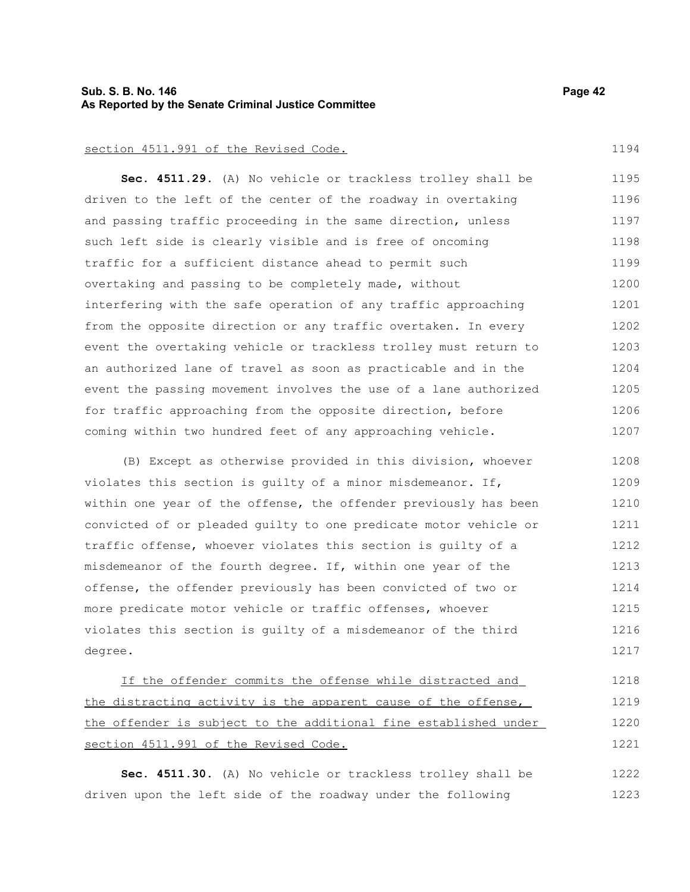# **Sub. S. B. No. 146 Page 42 As Reported by the Senate Criminal Justice Committee**

# section 4511.991 of the Revised Code.

**Sec. 4511.29.** (A) No vehicle or trackless trolley shall be driven to the left of the center of the roadway in overtaking and passing traffic proceeding in the same direction, unless such left side is clearly visible and is free of oncoming traffic for a sufficient distance ahead to permit such overtaking and passing to be completely made, without interfering with the safe operation of any traffic approaching from the opposite direction or any traffic overtaken. In every event the overtaking vehicle or trackless trolley must return to an authorized lane of travel as soon as practicable and in the event the passing movement involves the use of a lane authorized for traffic approaching from the opposite direction, before coming within two hundred feet of any approaching vehicle. 1195 1196 1197 1198 1199 1200 1201 1202 1203 1204 1205 1206 1207

(B) Except as otherwise provided in this division, whoever violates this section is guilty of a minor misdemeanor. If, within one year of the offense, the offender previously has been convicted of or pleaded guilty to one predicate motor vehicle or traffic offense, whoever violates this section is guilty of a misdemeanor of the fourth degree. If, within one year of the offense, the offender previously has been convicted of two or more predicate motor vehicle or traffic offenses, whoever violates this section is guilty of a misdemeanor of the third degree. 1208 1209 1210 1211 1212 1213 1214 1215 1216 1217

 If the offender commits the offense while distracted and the distracting activity is the apparent cause of the offense, the offender is subject to the additional fine established under section 4511.991 of the Revised Code. 1218 1219 1220 1221

**Sec. 4511.30.** (A) No vehicle or trackless trolley shall be driven upon the left side of the roadway under the following 1222 1223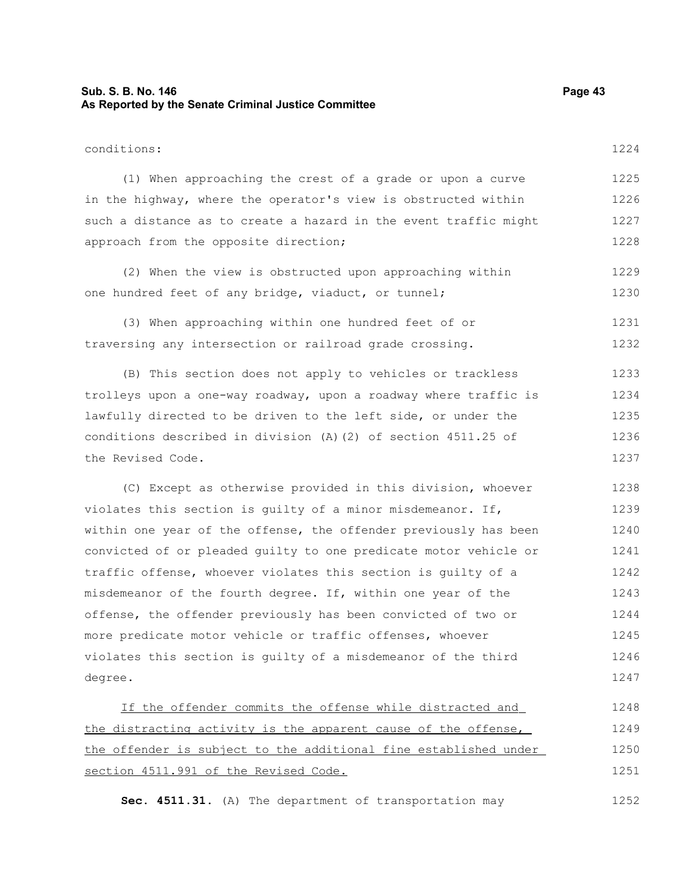# **Sub. S. B. No. 146 Page 43 As Reported by the Senate Criminal Justice Committee**

conditions:

(1) When approaching the crest of a grade or upon a curve in the highway, where the operator's view is obstructed within such a distance as to create a hazard in the event traffic might approach from the opposite direction; 1225 1226 1227 1228

(2) When the view is obstructed upon approaching within one hundred feet of any bridge, viaduct, or tunnel; 1229 1230

(3) When approaching within one hundred feet of or traversing any intersection or railroad grade crossing. 1231 1232

(B) This section does not apply to vehicles or trackless trolleys upon a one-way roadway, upon a roadway where traffic is lawfully directed to be driven to the left side, or under the conditions described in division (A)(2) of section 4511.25 of the Revised Code. 1233 1234 1235 1236 1237

(C) Except as otherwise provided in this division, whoever violates this section is guilty of a minor misdemeanor. If, within one year of the offense, the offender previously has been convicted of or pleaded guilty to one predicate motor vehicle or traffic offense, whoever violates this section is guilty of a misdemeanor of the fourth degree. If, within one year of the offense, the offender previously has been convicted of two or more predicate motor vehicle or traffic offenses, whoever violates this section is guilty of a misdemeanor of the third degree. 1238 1239 1240 1241 1242 1243 1244 1245 1246

 If the offender commits the offense while distracted and the distracting activity is the apparent cause of the offense, the offender is subject to the additional fine established under section 4511.991 of the Revised Code. 1248 1249 1250 1251

**Sec. 4511.31.** (A) The department of transportation may

1224

1247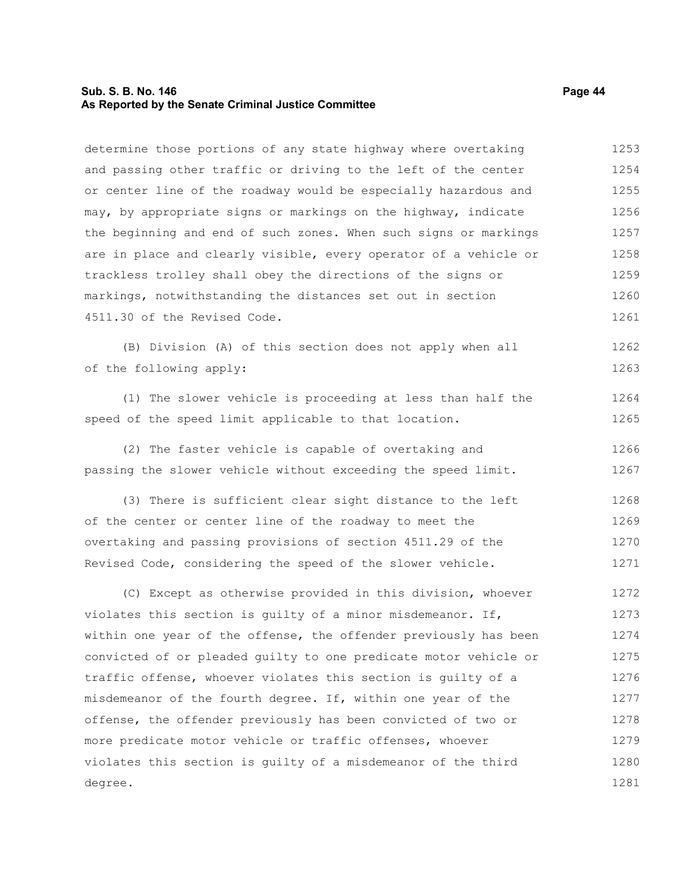# **Sub. S. B. No. 146 Page 44 As Reported by the Senate Criminal Justice Committee**

determine those portions of any state highway where overtaking and passing other traffic or driving to the left of the center or center line of the roadway would be especially hazardous and may, by appropriate signs or markings on the highway, indicate the beginning and end of such zones. When such signs or markings are in place and clearly visible, every operator of a vehicle or trackless trolley shall obey the directions of the signs or markings, notwithstanding the distances set out in section 4511.30 of the Revised Code. 1253 1254 1255 1256 1257 1258 1259 1260 1261

(B) Division (A) of this section does not apply when all of the following apply: 1262 1263

(1) The slower vehicle is proceeding at less than half the speed of the speed limit applicable to that location. 1264 1265

(2) The faster vehicle is capable of overtaking and passing the slower vehicle without exceeding the speed limit. 1266 1267

(3) There is sufficient clear sight distance to the left of the center or center line of the roadway to meet the overtaking and passing provisions of section 4511.29 of the Revised Code, considering the speed of the slower vehicle. 1268 1269 1270 1271

(C) Except as otherwise provided in this division, whoever violates this section is guilty of a minor misdemeanor. If, within one year of the offense, the offender previously has been convicted of or pleaded guilty to one predicate motor vehicle or traffic offense, whoever violates this section is guilty of a misdemeanor of the fourth degree. If, within one year of the offense, the offender previously has been convicted of two or more predicate motor vehicle or traffic offenses, whoever violates this section is guilty of a misdemeanor of the third degree. 1272 1273 1274 1275 1276 1277 1278 1279 1280 1281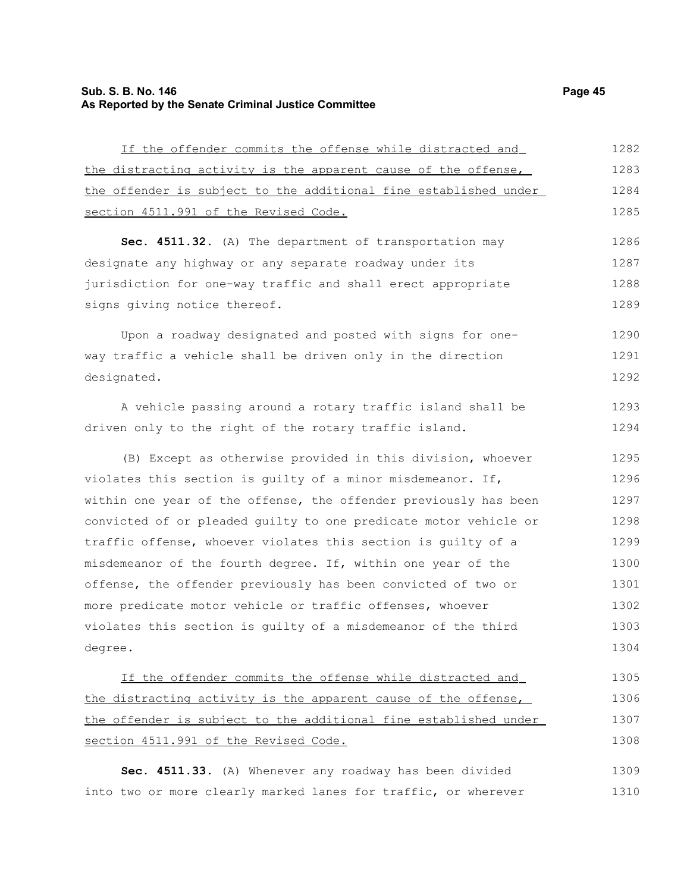# **Sub. S. B. No. 146 Page 45 As Reported by the Senate Criminal Justice Committee**

| If the offender commits the offense while distracted and         | 1282 |
|------------------------------------------------------------------|------|
| the distracting activity is the apparent cause of the offense,   | 1283 |
| the offender is subject to the additional fine established under | 1284 |
| section 4511.991 of the Revised Code.                            | 1285 |
| Sec. 4511.32. (A) The department of transportation may           | 1286 |
| designate any highway or any separate roadway under its          | 1287 |
| jurisdiction for one-way traffic and shall erect appropriate     | 1288 |
| signs giving notice thereof.                                     | 1289 |
| Upon a roadway designated and posted with signs for one-         | 1290 |
| way traffic a vehicle shall be driven only in the direction      | 1291 |
| designated.                                                      | 1292 |
| A vehicle passing around a rotary traffic island shall be        | 1293 |
| driven only to the right of the rotary traffic island.           | 1294 |
| (B) Except as otherwise provided in this division, whoever       | 1295 |
| violates this section is quilty of a minor misdemeanor. If,      | 1296 |
| within one year of the offense, the offender previously has been | 1297 |
| convicted of or pleaded quilty to one predicate motor vehicle or | 1298 |
| traffic offense, whoever violates this section is quilty of a    | 1299 |
| misdemeanor of the fourth degree. If, within one year of the     | 1300 |
| offense, the offender previously has been convicted of two or    | 1301 |
| more predicate motor vehicle or traffic offenses, whoever        | 1302 |
| violates this section is guilty of a misdemeanor of the third    | 1303 |
| degree.                                                          | 1304 |
| If the offender commits the offense while distracted and         | 1305 |
| the distracting activity is the apparent cause of the offense,   | 1306 |
| the offender is subject to the additional fine established under | 1307 |
| section 4511.991 of the Revised Code.                            | 1308 |
| Sec. 4511.33. (A) Whenever any roadway has been divided          | 1309 |

into two or more clearly marked lanes for traffic, or wherever 1310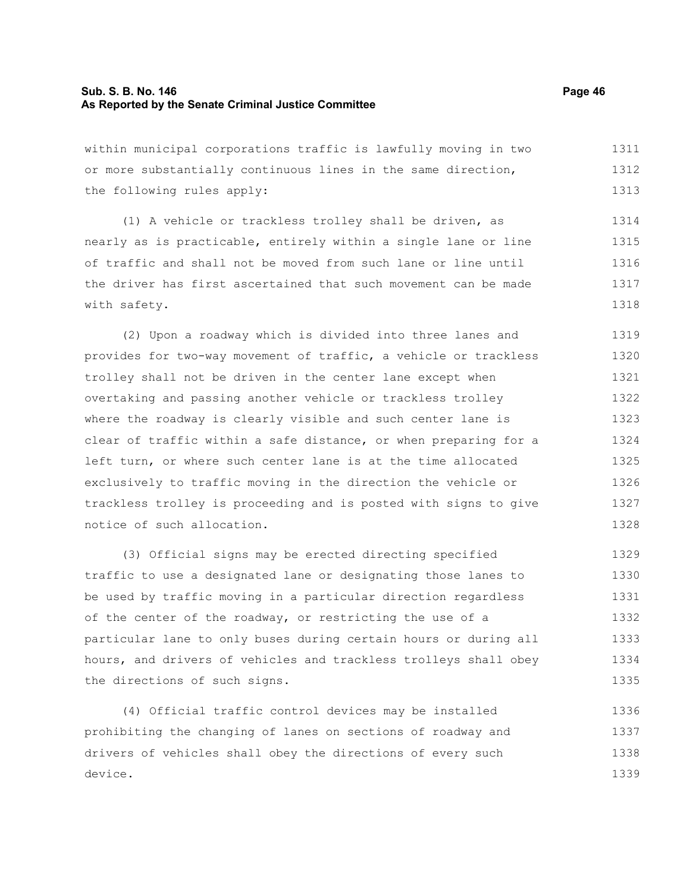# **Sub. S. B. No. 146 Page 46 As Reported by the Senate Criminal Justice Committee**

within municipal corporations traffic is lawfully moving in two or more substantially continuous lines in the same direction, the following rules apply: 1311 1312

(1) A vehicle or trackless trolley shall be driven, as nearly as is practicable, entirely within a single lane or line of traffic and shall not be moved from such lane or line until the driver has first ascertained that such movement can be made with safety. 1314 1315 1316 1317 1318

(2) Upon a roadway which is divided into three lanes and provides for two-way movement of traffic, a vehicle or trackless trolley shall not be driven in the center lane except when overtaking and passing another vehicle or trackless trolley where the roadway is clearly visible and such center lane is clear of traffic within a safe distance, or when preparing for a left turn, or where such center lane is at the time allocated exclusively to traffic moving in the direction the vehicle or trackless trolley is proceeding and is posted with signs to give notice of such allocation. 1319 1320 1321 1322 1323 1324 1325 1326 1327 1328

(3) Official signs may be erected directing specified traffic to use a designated lane or designating those lanes to be used by traffic moving in a particular direction regardless of the center of the roadway, or restricting the use of a particular lane to only buses during certain hours or during all hours, and drivers of vehicles and trackless trolleys shall obey the directions of such signs. 1329 1330 1331 1332 1333 1334 1335

(4) Official traffic control devices may be installed prohibiting the changing of lanes on sections of roadway and drivers of vehicles shall obey the directions of every such device. 1336 1337 1338 1339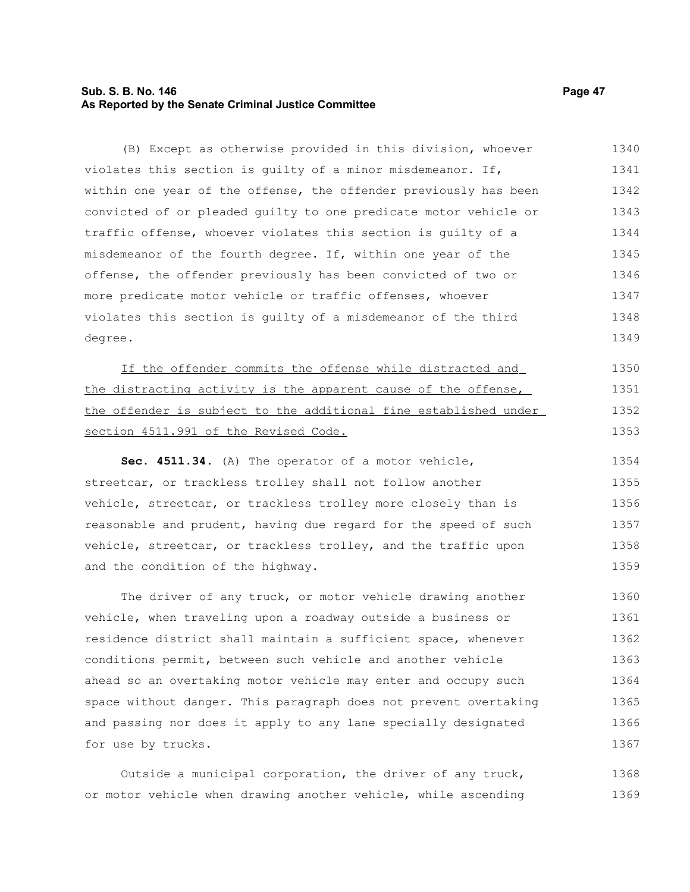# **Sub. S. B. No. 146 Page 47 As Reported by the Senate Criminal Justice Committee**

(B) Except as otherwise provided in this division, whoever violates this section is guilty of a minor misdemeanor. If, within one year of the offense, the offender previously has been convicted of or pleaded guilty to one predicate motor vehicle or traffic offense, whoever violates this section is guilty of a misdemeanor of the fourth degree. If, within one year of the offense, the offender previously has been convicted of two or more predicate motor vehicle or traffic offenses, whoever violates this section is guilty of a misdemeanor of the third degree. 1340 1341 1342 1343 1344 1345 1346 1347 1348 1349

 If the offender commits the offense while distracted and the distracting activity is the apparent cause of the offense, the offender is subject to the additional fine established under section 4511.991 of the Revised Code. 1350 1351 1352 1353

**Sec. 4511.34.** (A) The operator of a motor vehicle, streetcar, or trackless trolley shall not follow another vehicle, streetcar, or trackless trolley more closely than is reasonable and prudent, having due regard for the speed of such vehicle, streetcar, or trackless trolley, and the traffic upon and the condition of the highway. 1354 1355 1356 1357 1358 1359

The driver of any truck, or motor vehicle drawing another vehicle, when traveling upon a roadway outside a business or residence district shall maintain a sufficient space, whenever conditions permit, between such vehicle and another vehicle ahead so an overtaking motor vehicle may enter and occupy such space without danger. This paragraph does not prevent overtaking and passing nor does it apply to any lane specially designated for use by trucks. 1360 1361 1362 1363 1364 1365 1366 1367

Outside a municipal corporation, the driver of any truck, or motor vehicle when drawing another vehicle, while ascending 1368 1369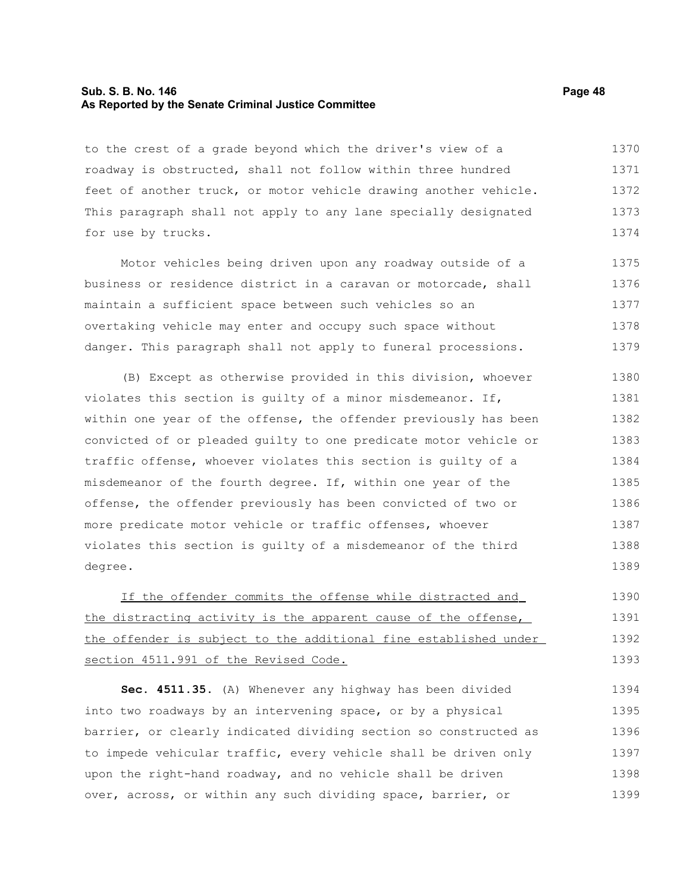### **Sub. S. B. No. 146 Page 48 As Reported by the Senate Criminal Justice Committee**

to the crest of a grade beyond which the driver's view of a roadway is obstructed, shall not follow within three hundred feet of another truck, or motor vehicle drawing another vehicle. This paragraph shall not apply to any lane specially designated for use by trucks. 1370 1371 1372 1373 1374

Motor vehicles being driven upon any roadway outside of a business or residence district in a caravan or motorcade, shall maintain a sufficient space between such vehicles so an overtaking vehicle may enter and occupy such space without danger. This paragraph shall not apply to funeral processions. 1375 1376 1377 1378 1379

(B) Except as otherwise provided in this division, whoever violates this section is guilty of a minor misdemeanor. If, within one year of the offense, the offender previously has been convicted of or pleaded guilty to one predicate motor vehicle or traffic offense, whoever violates this section is guilty of a misdemeanor of the fourth degree. If, within one year of the offense, the offender previously has been convicted of two or more predicate motor vehicle or traffic offenses, whoever violates this section is guilty of a misdemeanor of the third degree. 1380 1381 1382 1383 1384 1385 1386 1387 1388 1389

 If the offender commits the offense while distracted and the distracting activity is the apparent cause of the offense, the offender is subject to the additional fine established under section 4511.991 of the Revised Code. 1390 1391 1392 1393

**Sec. 4511.35.** (A) Whenever any highway has been divided into two roadways by an intervening space, or by a physical barrier, or clearly indicated dividing section so constructed as to impede vehicular traffic, every vehicle shall be driven only upon the right-hand roadway, and no vehicle shall be driven over, across, or within any such dividing space, barrier, or 1394 1395 1396 1397 1398 1399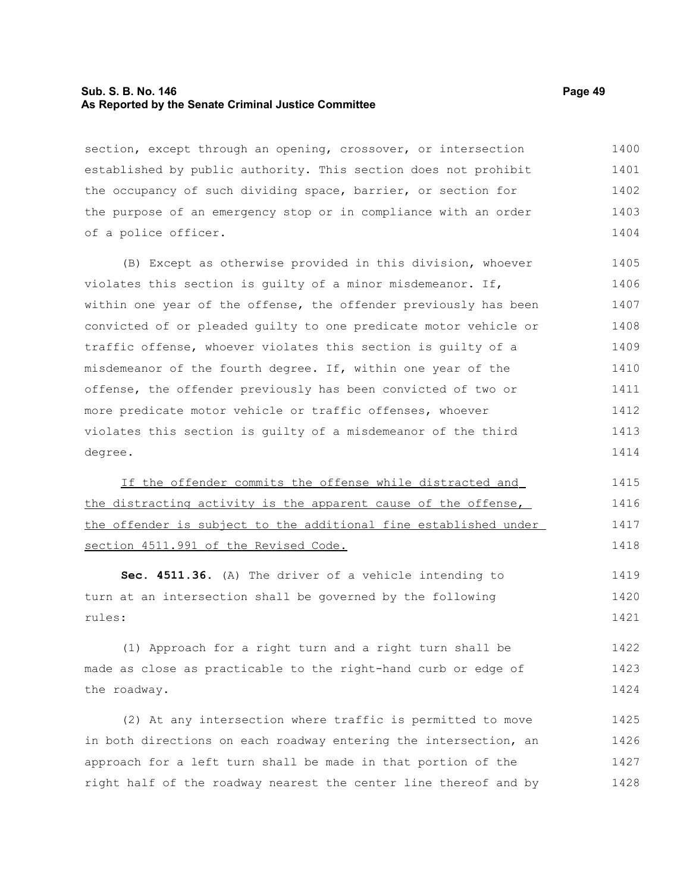# **Sub. S. B. No. 146 Page 49 As Reported by the Senate Criminal Justice Committee**

section, except through an opening, crossover, or intersection established by public authority. This section does not prohibit the occupancy of such dividing space, barrier, or section for the purpose of an emergency stop or in compliance with an order of a police officer. 1400 1401 1402 1403 1404

(B) Except as otherwise provided in this division, whoever violates this section is guilty of a minor misdemeanor. If, within one year of the offense, the offender previously has been convicted of or pleaded guilty to one predicate motor vehicle or traffic offense, whoever violates this section is guilty of a misdemeanor of the fourth degree. If, within one year of the offense, the offender previously has been convicted of two or more predicate motor vehicle or traffic offenses, whoever violates this section is guilty of a misdemeanor of the third degree. 1405 1406 1407 1408 1409 1410 1411 1412 1413 1414

 If the offender commits the offense while distracted and the distracting activity is the apparent cause of the offense, the offender is subject to the additional fine established under section 4511.991 of the Revised Code. 1415 1416 1417 1418

**Sec. 4511.36.** (A) The driver of a vehicle intending to turn at an intersection shall be governed by the following rules: 1419 1420 1421

(1) Approach for a right turn and a right turn shall be made as close as practicable to the right-hand curb or edge of the roadway. 1422 1423 1424

(2) At any intersection where traffic is permitted to move in both directions on each roadway entering the intersection, an approach for a left turn shall be made in that portion of the right half of the roadway nearest the center line thereof and by 1425 1426 1427 1428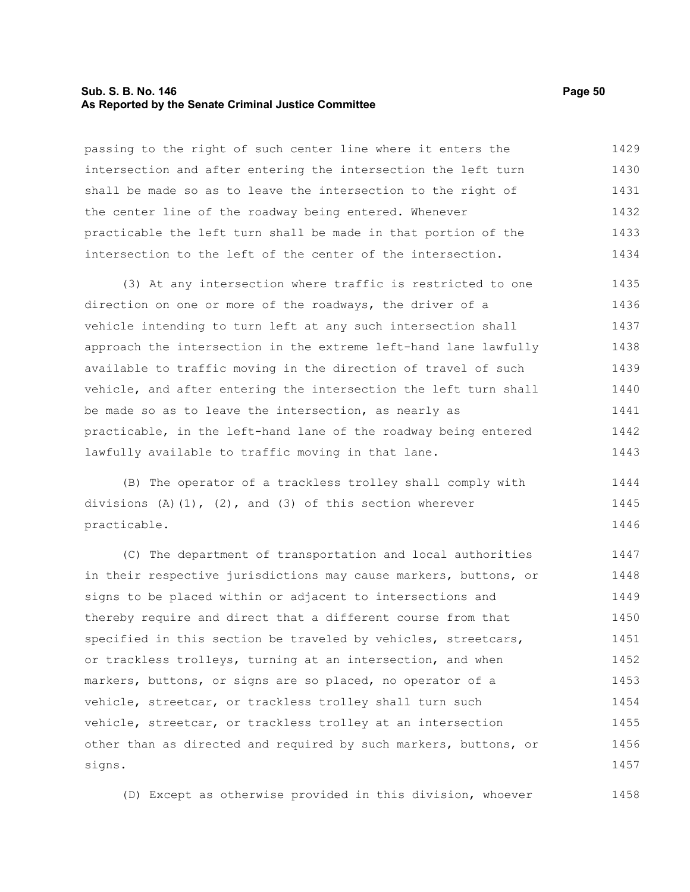### **Sub. S. B. No. 146 Page 50 As Reported by the Senate Criminal Justice Committee**

passing to the right of such center line where it enters the intersection and after entering the intersection the left turn shall be made so as to leave the intersection to the right of the center line of the roadway being entered. Whenever practicable the left turn shall be made in that portion of the intersection to the left of the center of the intersection. 1429 1430 1431 1432 1433 1434

(3) At any intersection where traffic is restricted to one direction on one or more of the roadways, the driver of a vehicle intending to turn left at any such intersection shall approach the intersection in the extreme left-hand lane lawfully available to traffic moving in the direction of travel of such vehicle, and after entering the intersection the left turn shall be made so as to leave the intersection, as nearly as practicable, in the left-hand lane of the roadway being entered lawfully available to traffic moving in that lane. 1435 1436 1437 1438 1439 1440 1441 1442 1443

(B) The operator of a trackless trolley shall comply with divisions  $(A)$   $(1)$ ,  $(2)$ , and  $(3)$  of this section wherever practicable. 1444 1445 1446

(C) The department of transportation and local authorities in their respective jurisdictions may cause markers, buttons, or signs to be placed within or adjacent to intersections and thereby require and direct that a different course from that specified in this section be traveled by vehicles, streetcars, or trackless trolleys, turning at an intersection, and when markers, buttons, or signs are so placed, no operator of a vehicle, streetcar, or trackless trolley shall turn such vehicle, streetcar, or trackless trolley at an intersection other than as directed and required by such markers, buttons, or signs. 1447 1448 1449 1450 1451 1452 1453 1454 1455 1456 1457

(D) Except as otherwise provided in this division, whoever 1458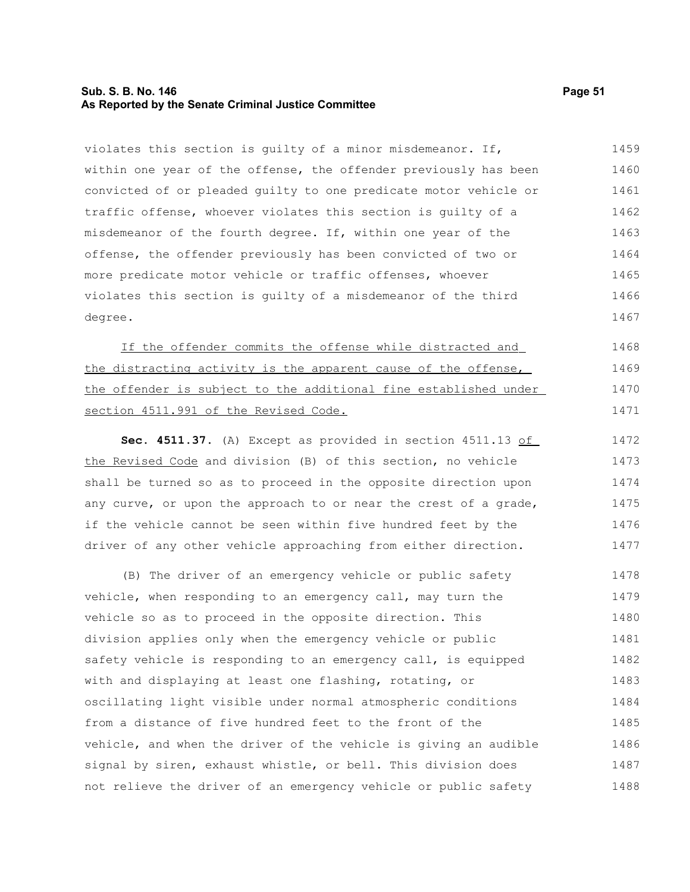# **Sub. S. B. No. 146 Page 51 As Reported by the Senate Criminal Justice Committee**

violates this section is guilty of a minor misdemeanor. If, within one year of the offense, the offender previously has been convicted of or pleaded guilty to one predicate motor vehicle or traffic offense, whoever violates this section is guilty of a misdemeanor of the fourth degree. If, within one year of the offense, the offender previously has been convicted of two or more predicate motor vehicle or traffic offenses, whoever violates this section is guilty of a misdemeanor of the third degree. 1459 1460 1461 1462 1463 1464 1465 1466 1467

 If the offender commits the offense while distracted and the distracting activity is the apparent cause of the offense, the offender is subject to the additional fine established under section 4511.991 of the Revised Code. 1468 1469 1470 1471

**Sec. 4511.37.** (A) Except as provided in section 4511.13 of the Revised Code and division (B) of this section, no vehicle shall be turned so as to proceed in the opposite direction upon any curve, or upon the approach to or near the crest of a grade, if the vehicle cannot be seen within five hundred feet by the driver of any other vehicle approaching from either direction. 1472 1473 1474 1475 1476 1477

(B) The driver of an emergency vehicle or public safety vehicle, when responding to an emergency call, may turn the vehicle so as to proceed in the opposite direction. This division applies only when the emergency vehicle or public safety vehicle is responding to an emergency call, is equipped with and displaying at least one flashing, rotating, or oscillating light visible under normal atmospheric conditions from a distance of five hundred feet to the front of the vehicle, and when the driver of the vehicle is giving an audible signal by siren, exhaust whistle, or bell. This division does not relieve the driver of an emergency vehicle or public safety 1478 1479 1480 1481 1482 1483 1484 1485 1486 1487 1488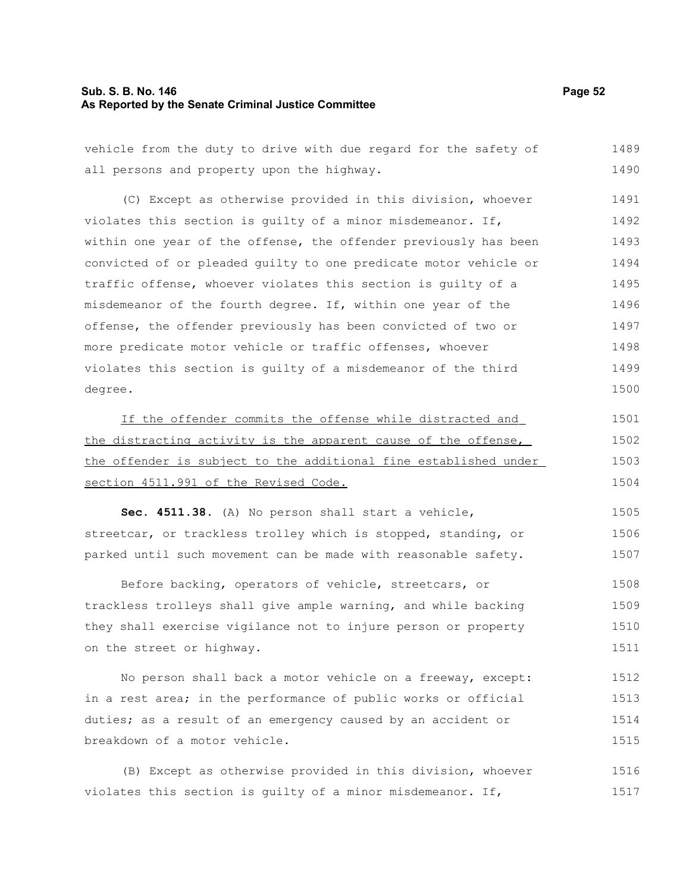# **Sub. S. B. No. 146 Page 52 As Reported by the Senate Criminal Justice Committee**

vehicle from the duty to drive with due regard for the safety of all persons and property upon the highway. (C) Except as otherwise provided in this division, whoever violates this section is guilty of a minor misdemeanor. If, within one year of the offense, the offender previously has been convicted of or pleaded guilty to one predicate motor vehicle or traffic offense, whoever violates this section is guilty of a misdemeanor of the fourth degree. If, within one year of the offense, the offender previously has been convicted of two or more predicate motor vehicle or traffic offenses, whoever violates this section is guilty of a misdemeanor of the third degree. 1489 1490 1491 1492 1493 1494 1495 1496 1497 1498 1499 1500

 If the offender commits the offense while distracted and the distracting activity is the apparent cause of the offense, the offender is subject to the additional fine established under section 4511.991 of the Revised Code. 1501 1502 1503 1504

**Sec. 4511.38.** (A) No person shall start a vehicle, streetcar, or trackless trolley which is stopped, standing, or parked until such movement can be made with reasonable safety. 1505 1506 1507

Before backing, operators of vehicle, streetcars, or trackless trolleys shall give ample warning, and while backing they shall exercise vigilance not to injure person or property on the street or highway. 1508 1509 1510 1511

No person shall back a motor vehicle on a freeway, except: in a rest area; in the performance of public works or official duties; as a result of an emergency caused by an accident or breakdown of a motor vehicle. 1512 1513 1514 1515

(B) Except as otherwise provided in this division, whoever violates this section is guilty of a minor misdemeanor. If, 1516 1517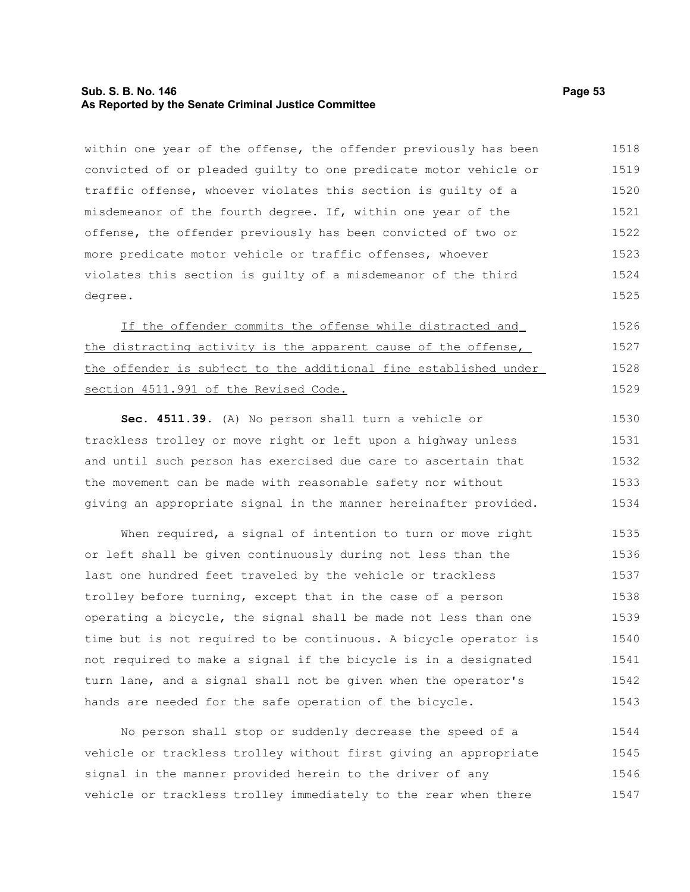# **Sub. S. B. No. 146 Page 53 As Reported by the Senate Criminal Justice Committee**

within one year of the offense, the offender previously has been convicted of or pleaded guilty to one predicate motor vehicle or traffic offense, whoever violates this section is guilty of a misdemeanor of the fourth degree. If, within one year of the offense, the offender previously has been convicted of two or more predicate motor vehicle or traffic offenses, whoever violates this section is guilty of a misdemeanor of the third degree. 1518 1519 1520 1521 1522 1523 1524 1525

 If the offender commits the offense while distracted and the distracting activity is the apparent cause of the offense, the offender is subject to the additional fine established under section 4511.991 of the Revised Code. 1526 1527 1528 1529

**Sec. 4511.39.** (A) No person shall turn a vehicle or trackless trolley or move right or left upon a highway unless and until such person has exercised due care to ascertain that the movement can be made with reasonable safety nor without giving an appropriate signal in the manner hereinafter provided. 1530 1531 1532 1533 1534

When required, a signal of intention to turn or move right or left shall be given continuously during not less than the last one hundred feet traveled by the vehicle or trackless trolley before turning, except that in the case of a person operating a bicycle, the signal shall be made not less than one time but is not required to be continuous. A bicycle operator is not required to make a signal if the bicycle is in a designated turn lane, and a signal shall not be given when the operator's hands are needed for the safe operation of the bicycle. 1535 1536 1537 1538 1539 1540 1541 1542 1543

No person shall stop or suddenly decrease the speed of a vehicle or trackless trolley without first giving an appropriate signal in the manner provided herein to the driver of any vehicle or trackless trolley immediately to the rear when there 1544 1545 1546 1547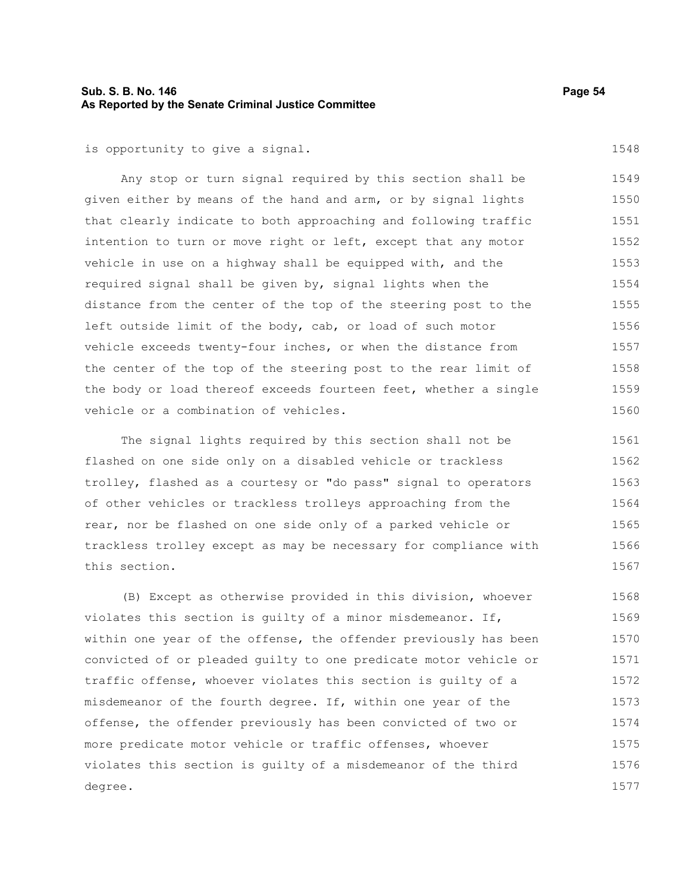# **Sub. S. B. No. 146 Page 54 As Reported by the Senate Criminal Justice Committee**

is opportunity to give a signal.

Any stop or turn signal required by this section shall be given either by means of the hand and arm, or by signal lights that clearly indicate to both approaching and following traffic intention to turn or move right or left, except that any motor vehicle in use on a highway shall be equipped with, and the required signal shall be given by, signal lights when the distance from the center of the top of the steering post to the left outside limit of the body, cab, or load of such motor vehicle exceeds twenty-four inches, or when the distance from the center of the top of the steering post to the rear limit of the body or load thereof exceeds fourteen feet, whether a single vehicle or a combination of vehicles. 1550 1551 1552 1553 1554 1555 1556 1557 1558 1559 1560

The signal lights required by this section shall not be flashed on one side only on a disabled vehicle or trackless trolley, flashed as a courtesy or "do pass" signal to operators of other vehicles or trackless trolleys approaching from the rear, nor be flashed on one side only of a parked vehicle or trackless trolley except as may be necessary for compliance with this section. 1561 1562 1563 1564 1565 1566 1567

(B) Except as otherwise provided in this division, whoever violates this section is guilty of a minor misdemeanor. If, within one year of the offense, the offender previously has been convicted of or pleaded guilty to one predicate motor vehicle or traffic offense, whoever violates this section is guilty of a misdemeanor of the fourth degree. If, within one year of the offense, the offender previously has been convicted of two or more predicate motor vehicle or traffic offenses, whoever violates this section is guilty of a misdemeanor of the third degree. 1568 1569 1570 1571 1572 1573 1574 1575 1576 1577

1549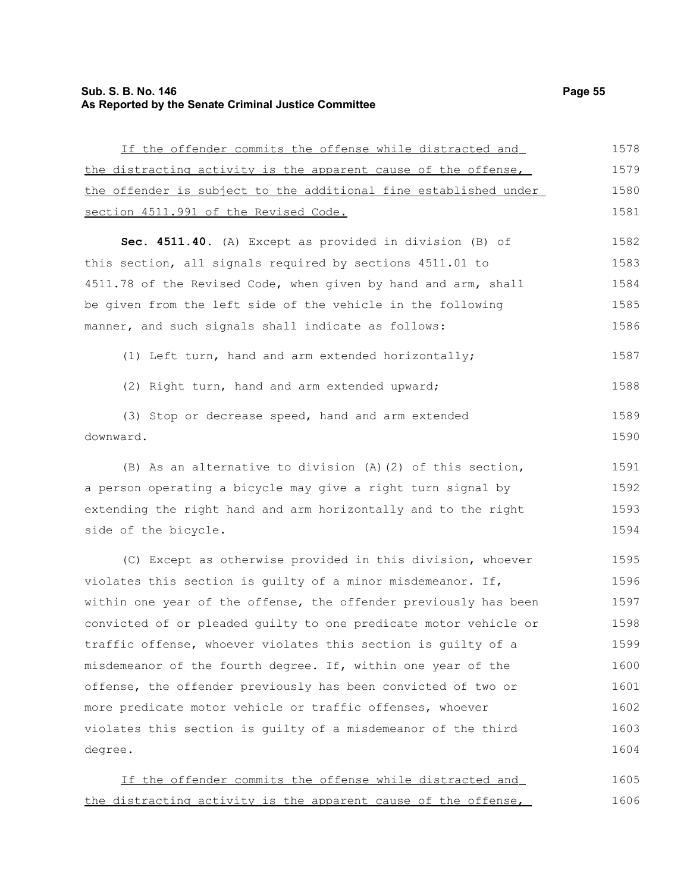# **Sub. S. B. No. 146 Page 55 As Reported by the Senate Criminal Justice Committee**

| If the offender commits the offense while distracted and         | 1578 |
|------------------------------------------------------------------|------|
| the distracting activity is the apparent cause of the offense,   | 1579 |
| the offender is subject to the additional fine established under | 1580 |
| section 4511.991 of the Revised Code.                            | 1581 |
| Sec. 4511.40. (A) Except as provided in division (B) of          | 1582 |
| this section, all signals required by sections 4511.01 to        | 1583 |
| 4511.78 of the Revised Code, when given by hand and arm, shall   | 1584 |
| be given from the left side of the vehicle in the following      | 1585 |
| manner, and such signals shall indicate as follows:              | 1586 |
| (1) Left turn, hand and arm extended horizontally;               | 1587 |
| (2) Right turn, hand and arm extended upward;                    | 1588 |
| (3) Stop or decrease speed, hand and arm extended                | 1589 |
| downward.                                                        | 1590 |
| $(B)$ As an alternative to division $(A)$ $(2)$ of this section, | 1591 |
| a person operating a bicycle may give a right turn signal by     | 1592 |
| extending the right hand and arm horizontally and to the right   | 1593 |
| side of the bicycle.                                             | 1594 |
| (C) Except as otherwise provided in this division, whoever       | 1595 |
| violates this section is quilty of a minor misdemeanor. If,      | 1596 |
| within one year of the offense, the offender previously has been | 1597 |
| convicted of or pleaded quilty to one predicate motor vehicle or | 1598 |
| traffic offense, whoever violates this section is quilty of a    | 1599 |

traffic offense, whoever violates this section is guilty of a misdemeanor of the fourth degree. If, within one year of the offense, the offender previously has been convicted of two or more predicate motor vehicle or traffic offenses, whoever violates this section is guilty of a misdemeanor of the third degree. 1600 1601 1602 1603 1604

 If the offender commits the offense while distracted and the distracting activity is the apparent cause of the offense, 1605 1606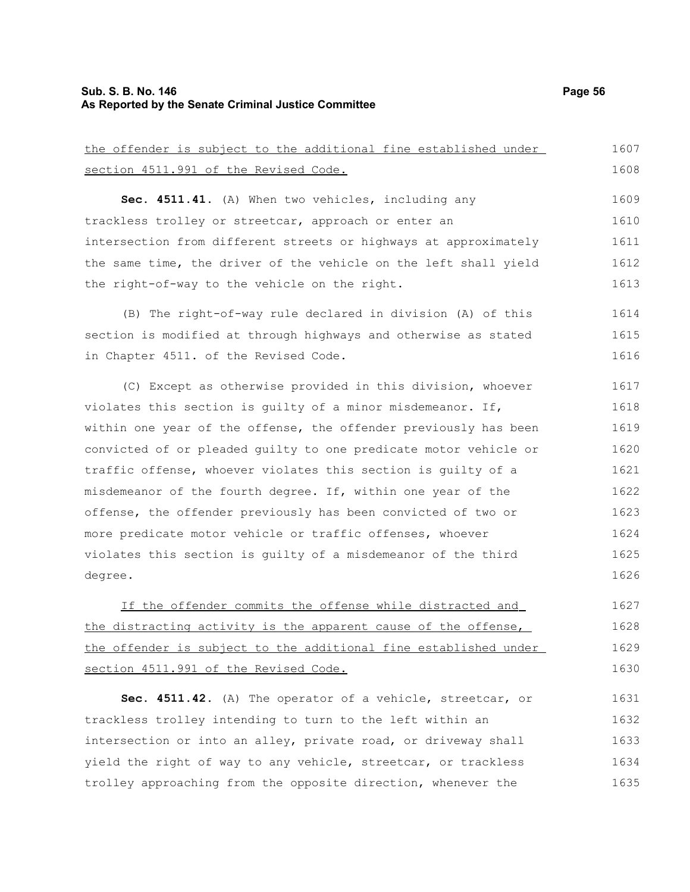# **Sub. S. B. No. 146 Page 56 As Reported by the Senate Criminal Justice Committee**

| the offender is subject to the additional fine established under | 1607 |
|------------------------------------------------------------------|------|
| section 4511.991 of the Revised Code.                            | 1608 |
| Sec. 4511.41. (A) When two vehicles, including any               | 1609 |
| trackless trolley or streetcar, approach or enter an             | 1610 |
| intersection from different streets or highways at approximately | 1611 |
| the same time, the driver of the vehicle on the left shall yield | 1612 |
|                                                                  |      |
| the right-of-way to the vehicle on the right.                    | 1613 |
| (B) The right-of-way rule declared in division (A) of this       | 1614 |
| section is modified at through highways and otherwise as stated  | 1615 |
| in Chapter 4511. of the Revised Code.                            | 1616 |
| (C) Except as otherwise provided in this division, whoever       | 1617 |
| violates this section is quilty of a minor misdemeanor. If,      | 1618 |
| within one year of the offense, the offender previously has been | 1619 |
| convicted of or pleaded quilty to one predicate motor vehicle or | 1620 |
| traffic offense, whoever violates this section is quilty of a    | 1621 |
| misdemeanor of the fourth degree. If, within one year of the     | 1622 |
| offense, the offender previously has been convicted of two or    | 1623 |
| more predicate motor vehicle or traffic offenses, whoever        | 1624 |
| violates this section is guilty of a misdemeanor of the third    | 1625 |
| degree.                                                          | 1626 |
| If the offender commits the offense while distracted and         | 1627 |
| the distracting activity is the apparent cause of the offense,   | 1628 |
| the offender is subject to the additional fine established under | 1629 |
| section 4511.991 of the Revised Code.                            | 1630 |
| Sec. 4511.42. (A) The operator of a vehicle, streetcar, or       | 1631 |
| trackless trolley intending to turn to the left within an        | 1632 |
|                                                                  |      |

intersection or into an alley, private road, or driveway shall yield the right of way to any vehicle, streetcar, or trackless trolley approaching from the opposite direction, whenever the 1633 1634 1635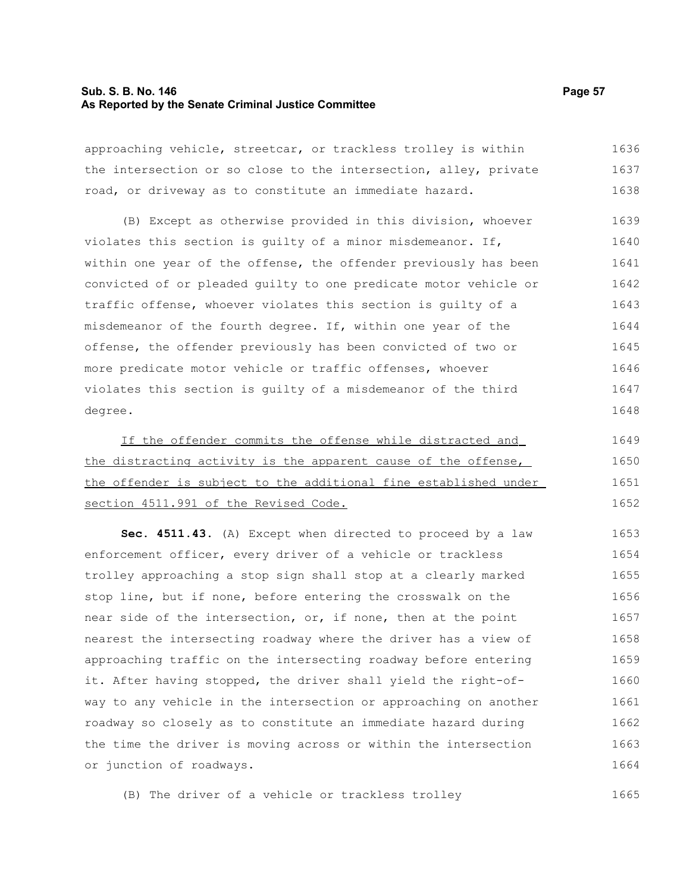# **Sub. S. B. No. 146 Page 57 As Reported by the Senate Criminal Justice Committee**

approaching vehicle, streetcar, or trackless trolley is within the intersection or so close to the intersection, alley, private road, or driveway as to constitute an immediate hazard. 1636 1637 1638

(B) Except as otherwise provided in this division, whoever violates this section is guilty of a minor misdemeanor. If, within one year of the offense, the offender previously has been convicted of or pleaded guilty to one predicate motor vehicle or traffic offense, whoever violates this section is guilty of a misdemeanor of the fourth degree. If, within one year of the offense, the offender previously has been convicted of two or more predicate motor vehicle or traffic offenses, whoever violates this section is guilty of a misdemeanor of the third degree. 1639 1640 1641 1642 1643 1644 1645 1646 1647 1648

 If the offender commits the offense while distracted and the distracting activity is the apparent cause of the offense, the offender is subject to the additional fine established under section 4511.991 of the Revised Code. 1649 1650 1651 1652

**Sec. 4511.43.** (A) Except when directed to proceed by a law enforcement officer, every driver of a vehicle or trackless trolley approaching a stop sign shall stop at a clearly marked stop line, but if none, before entering the crosswalk on the near side of the intersection, or, if none, then at the point nearest the intersecting roadway where the driver has a view of approaching traffic on the intersecting roadway before entering it. After having stopped, the driver shall yield the right-ofway to any vehicle in the intersection or approaching on another roadway so closely as to constitute an immediate hazard during the time the driver is moving across or within the intersection or junction of roadways. 1653 1654 1655 1656 1657 1658 1659 1660 1661 1662 1663 1664

(B) The driver of a vehicle or trackless trolley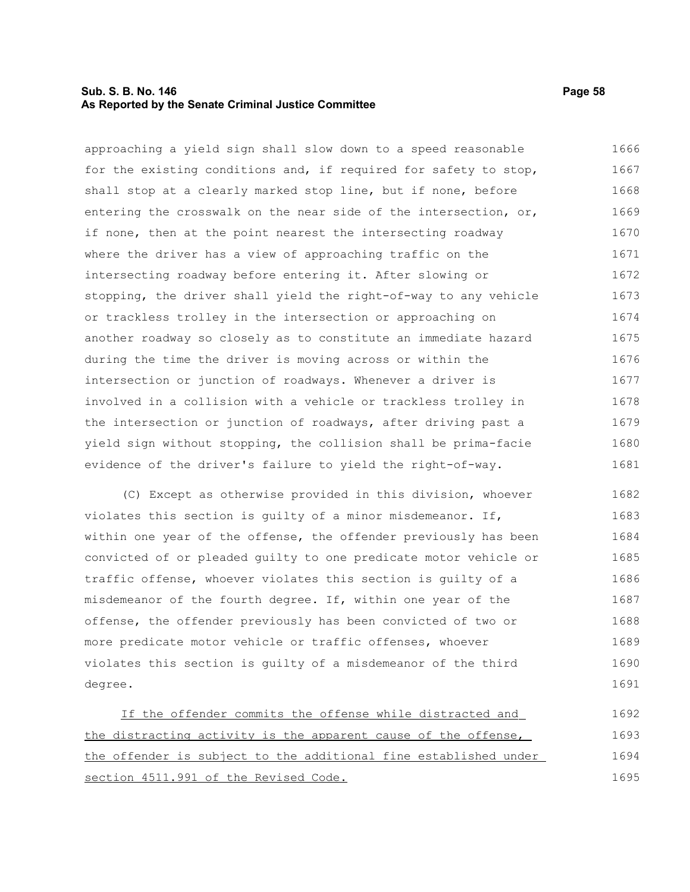# **Sub. S. B. No. 146 Page 58 As Reported by the Senate Criminal Justice Committee**

approaching a yield sign shall slow down to a speed reasonable for the existing conditions and, if required for safety to stop, shall stop at a clearly marked stop line, but if none, before entering the crosswalk on the near side of the intersection, or, if none, then at the point nearest the intersecting roadway where the driver has a view of approaching traffic on the intersecting roadway before entering it. After slowing or stopping, the driver shall yield the right-of-way to any vehicle or trackless trolley in the intersection or approaching on another roadway so closely as to constitute an immediate hazard during the time the driver is moving across or within the intersection or junction of roadways. Whenever a driver is involved in a collision with a vehicle or trackless trolley in the intersection or junction of roadways, after driving past a yield sign without stopping, the collision shall be prima-facie evidence of the driver's failure to yield the right-of-way. 1666 1667 1668 1669 1670 1671 1672 1673 1674 1675 1676 1677 1678 1679 1680 1681

(C) Except as otherwise provided in this division, whoever violates this section is guilty of a minor misdemeanor. If, within one year of the offense, the offender previously has been convicted of or pleaded guilty to one predicate motor vehicle or traffic offense, whoever violates this section is guilty of a misdemeanor of the fourth degree. If, within one year of the offense, the offender previously has been convicted of two or more predicate motor vehicle or traffic offenses, whoever violates this section is guilty of a misdemeanor of the third degree. 1682 1683 1684 1685 1686 1687 1688 1689 1690 1691

 If the offender commits the offense while distracted and the distracting activity is the apparent cause of the offense, the offender is subject to the additional fine established under section 4511.991 of the Revised Code. 1692 1693 1694 1695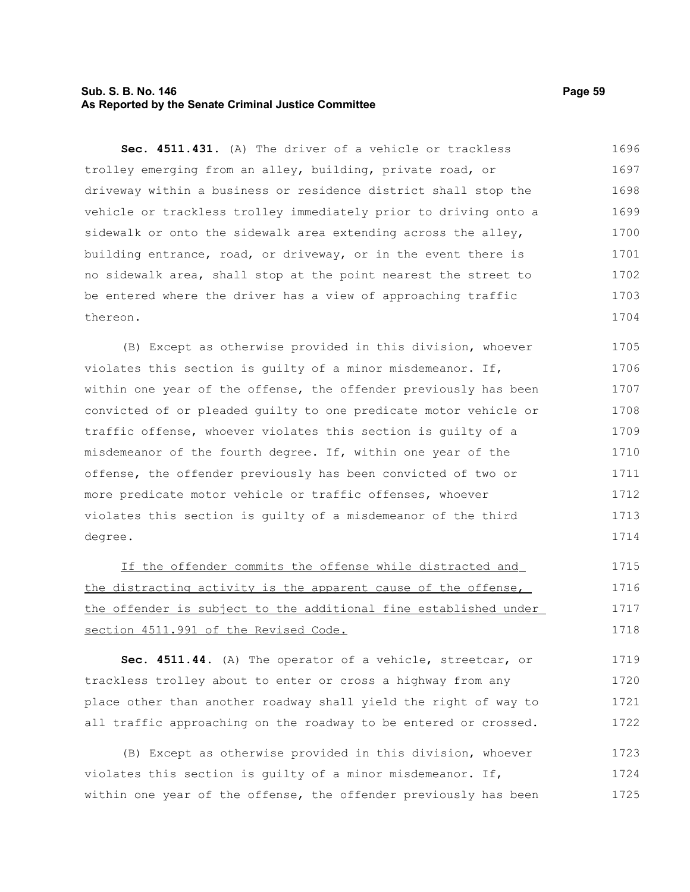# **Sub. S. B. No. 146 Page 59 As Reported by the Senate Criminal Justice Committee**

**Sec. 4511.431.** (A) The driver of a vehicle or trackless trolley emerging from an alley, building, private road, or driveway within a business or residence district shall stop the vehicle or trackless trolley immediately prior to driving onto a sidewalk or onto the sidewalk area extending across the alley, building entrance, road, or driveway, or in the event there is no sidewalk area, shall stop at the point nearest the street to be entered where the driver has a view of approaching traffic thereon. 1696 1697 1698 1699 1700 1701 1702 1703 1704

(B) Except as otherwise provided in this division, whoever violates this section is guilty of a minor misdemeanor. If, within one year of the offense, the offender previously has been convicted of or pleaded guilty to one predicate motor vehicle or traffic offense, whoever violates this section is guilty of a misdemeanor of the fourth degree. If, within one year of the offense, the offender previously has been convicted of two or more predicate motor vehicle or traffic offenses, whoever violates this section is guilty of a misdemeanor of the third degree. 1705 1706 1707 1708 1709 1710 1711 1712 1713 1714

If the offender commits the offense while distracted and the distracting activity is the apparent cause of the offense, the offender is subject to the additional fine established under section 4511.991 of the Revised Code. 1715 1716 1717 1718

**Sec. 4511.44.** (A) The operator of a vehicle, streetcar, or trackless trolley about to enter or cross a highway from any place other than another roadway shall yield the right of way to all traffic approaching on the roadway to be entered or crossed. 1719 1720 1721 1722

(B) Except as otherwise provided in this division, whoever violates this section is guilty of a minor misdemeanor. If, within one year of the offense, the offender previously has been 1723 1724 1725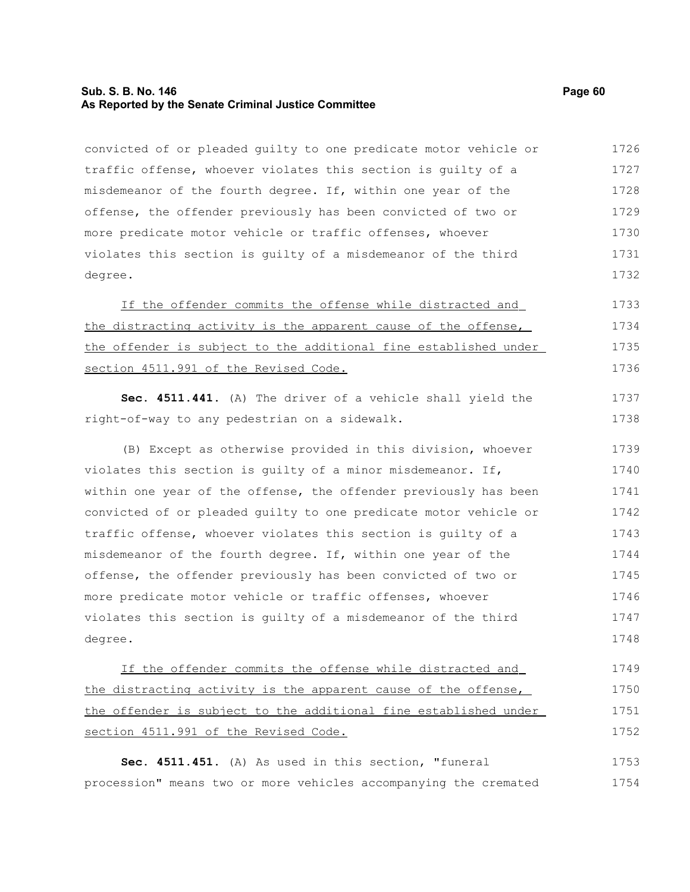# **Sub. S. B. No. 146 Page 60 As Reported by the Senate Criminal Justice Committee**

convicted of or pleaded guilty to one predicate motor vehicle or traffic offense, whoever violates this section is guilty of a misdemeanor of the fourth degree. If, within one year of the offense, the offender previously has been convicted of two or more predicate motor vehicle or traffic offenses, whoever violates this section is guilty of a misdemeanor of the third degree. 1726 1727 1728 1729 1730 1731 1732

 If the offender commits the offense while distracted and the distracting activity is the apparent cause of the offense, the offender is subject to the additional fine established under section 4511.991 of the Revised Code. 1733 1734 1735 1736

**Sec. 4511.441.** (A) The driver of a vehicle shall yield the right-of-way to any pedestrian on a sidewalk. 1737 1738

(B) Except as otherwise provided in this division, whoever violates this section is guilty of a minor misdemeanor. If, within one year of the offense, the offender previously has been convicted of or pleaded guilty to one predicate motor vehicle or traffic offense, whoever violates this section is guilty of a misdemeanor of the fourth degree. If, within one year of the offense, the offender previously has been convicted of two or more predicate motor vehicle or traffic offenses, whoever violates this section is guilty of a misdemeanor of the third degree. 1739 1740 1741 1742 1743 1744 1745 1746 1747 1748

 If the offender commits the offense while distracted and the distracting activity is the apparent cause of the offense, the offender is subject to the additional fine established under section 4511.991 of the Revised Code. 1749 1750 1751 1752

**Sec. 4511.451.** (A) As used in this section, "funeral procession" means two or more vehicles accompanying the cremated 1753 1754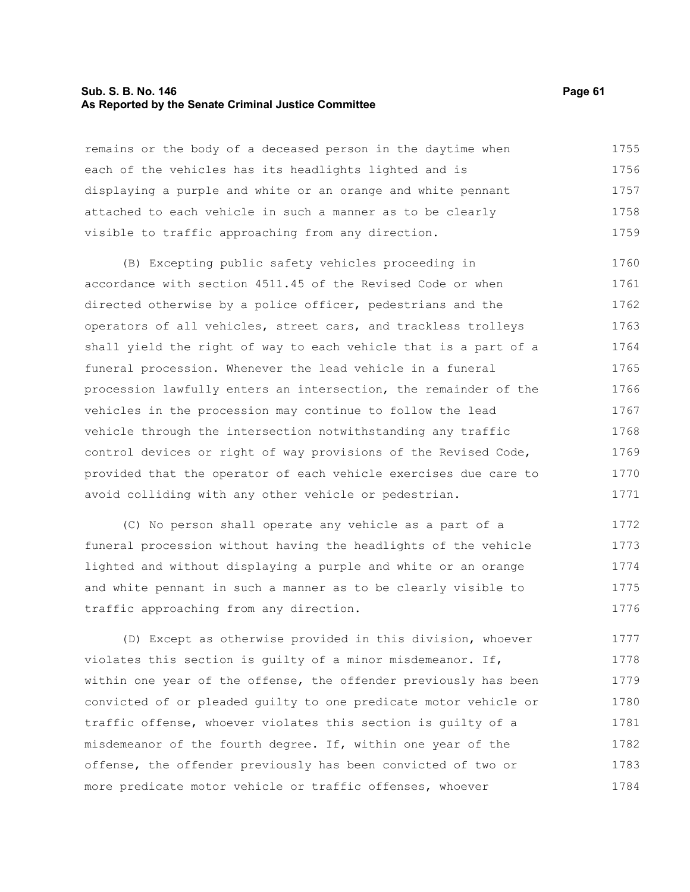### **Sub. S. B. No. 146 Page 61 As Reported by the Senate Criminal Justice Committee**

remains or the body of a deceased person in the daytime when each of the vehicles has its headlights lighted and is displaying a purple and white or an orange and white pennant attached to each vehicle in such a manner as to be clearly visible to traffic approaching from any direction. 1755 1756 1757 1758 1759

(B) Excepting public safety vehicles proceeding in accordance with section 4511.45 of the Revised Code or when directed otherwise by a police officer, pedestrians and the operators of all vehicles, street cars, and trackless trolleys shall yield the right of way to each vehicle that is a part of a funeral procession. Whenever the lead vehicle in a funeral procession lawfully enters an intersection, the remainder of the vehicles in the procession may continue to follow the lead vehicle through the intersection notwithstanding any traffic control devices or right of way provisions of the Revised Code, provided that the operator of each vehicle exercises due care to avoid colliding with any other vehicle or pedestrian. 1760 1761 1762 1763 1764 1765 1766 1767 1768 1769 1770 1771

(C) No person shall operate any vehicle as a part of a funeral procession without having the headlights of the vehicle lighted and without displaying a purple and white or an orange and white pennant in such a manner as to be clearly visible to traffic approaching from any direction. 1772 1773 1774 1775 1776

(D) Except as otherwise provided in this division, whoever violates this section is guilty of a minor misdemeanor. If, within one year of the offense, the offender previously has been convicted of or pleaded guilty to one predicate motor vehicle or traffic offense, whoever violates this section is guilty of a misdemeanor of the fourth degree. If, within one year of the offense, the offender previously has been convicted of two or more predicate motor vehicle or traffic offenses, whoever 1777 1778 1779 1780 1781 1782 1783 1784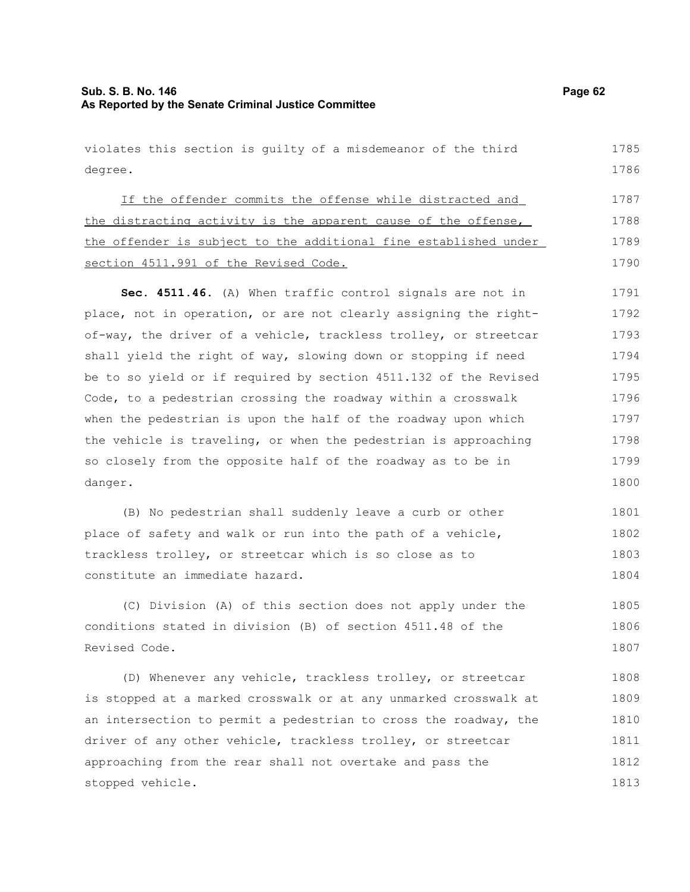stopped vehicle.

| violates this section is guilty of a misdemeanor of the third    | 1785 |
|------------------------------------------------------------------|------|
| degree.                                                          | 1786 |
| If the offender commits the offense while distracted and         | 1787 |
| the distracting activity is the apparent cause of the offense,   | 1788 |
| the offender is subject to the additional fine established under | 1789 |
| section 4511.991 of the Revised Code.                            | 1790 |
| Sec. 4511.46. (A) When traffic control signals are not in        | 1791 |
| place, not in operation, or are not clearly assigning the right- | 1792 |
| of-way, the driver of a vehicle, trackless trolley, or streetcar | 1793 |
| shall yield the right of way, slowing down or stopping if need   | 1794 |
| be to so yield or if required by section 4511.132 of the Revised | 1795 |
| Code, to a pedestrian crossing the roadway within a crosswalk    | 1796 |
| when the pedestrian is upon the half of the roadway upon which   | 1797 |
| the vehicle is traveling, or when the pedestrian is approaching  | 1798 |
| so closely from the opposite half of the roadway as to be in     | 1799 |
| danger.                                                          | 1800 |
| (B) No pedestrian shall suddenly leave a curb or other           | 1801 |
| place of safety and walk or run into the path of a vehicle,      | 1802 |
| trackless trolley, or streetcar which is so close as to          | 1803 |
| constitute an immediate hazard.                                  | 1804 |
| (C) Division (A) of this section does not apply under the        | 1805 |
| conditions stated in division (B) of section 4511.48 of the      | 1806 |
| Revised Code.                                                    | 1807 |
| (D) Whenever any vehicle, trackless trolley, or streetcar        | 1808 |
| is stopped at a marked crosswalk or at any unmarked crosswalk at | 1809 |
| an intersection to permit a pedestrian to cross the roadway, the | 1810 |
| driver of any other vehicle, trackless trolley, or streetcar     | 1811 |
| approaching from the rear shall not overtake and pass the        | 1812 |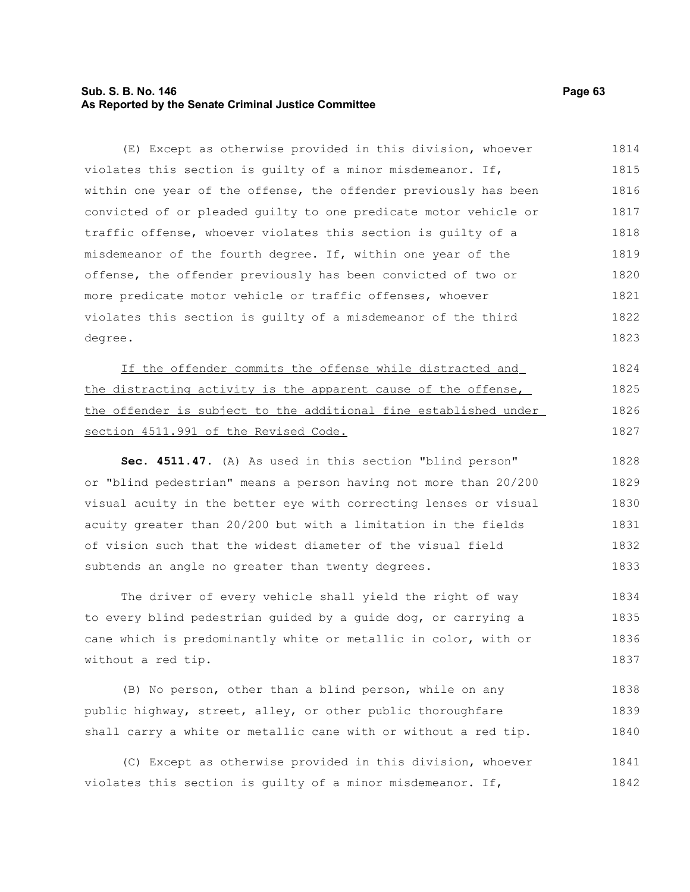# **Sub. S. B. No. 146 Page 63 As Reported by the Senate Criminal Justice Committee**

(E) Except as otherwise provided in this division, whoever violates this section is guilty of a minor misdemeanor. If, within one year of the offense, the offender previously has been convicted of or pleaded guilty to one predicate motor vehicle or traffic offense, whoever violates this section is guilty of a misdemeanor of the fourth degree. If, within one year of the offense, the offender previously has been convicted of two or more predicate motor vehicle or traffic offenses, whoever violates this section is guilty of a misdemeanor of the third degree. 1814 1815 1816 1817 1818 1819 1820 1821 1822 1823

 If the offender commits the offense while distracted and the distracting activity is the apparent cause of the offense, the offender is subject to the additional fine established under section 4511.991 of the Revised Code. 1824 1825 1826 1827

**Sec. 4511.47.** (A) As used in this section "blind person" or "blind pedestrian" means a person having not more than 20/200 visual acuity in the better eye with correcting lenses or visual acuity greater than 20/200 but with a limitation in the fields of vision such that the widest diameter of the visual field subtends an angle no greater than twenty degrees. 1828 1829 1830 1831 1832 1833

The driver of every vehicle shall yield the right of way to every blind pedestrian guided by a guide dog, or carrying a cane which is predominantly white or metallic in color, with or without a red tip. 1834 1835 1836 1837

(B) No person, other than a blind person, while on any public highway, street, alley, or other public thoroughfare shall carry a white or metallic cane with or without a red tip. 1838 1839 1840

(C) Except as otherwise provided in this division, whoever violates this section is guilty of a minor misdemeanor. If, 1841 1842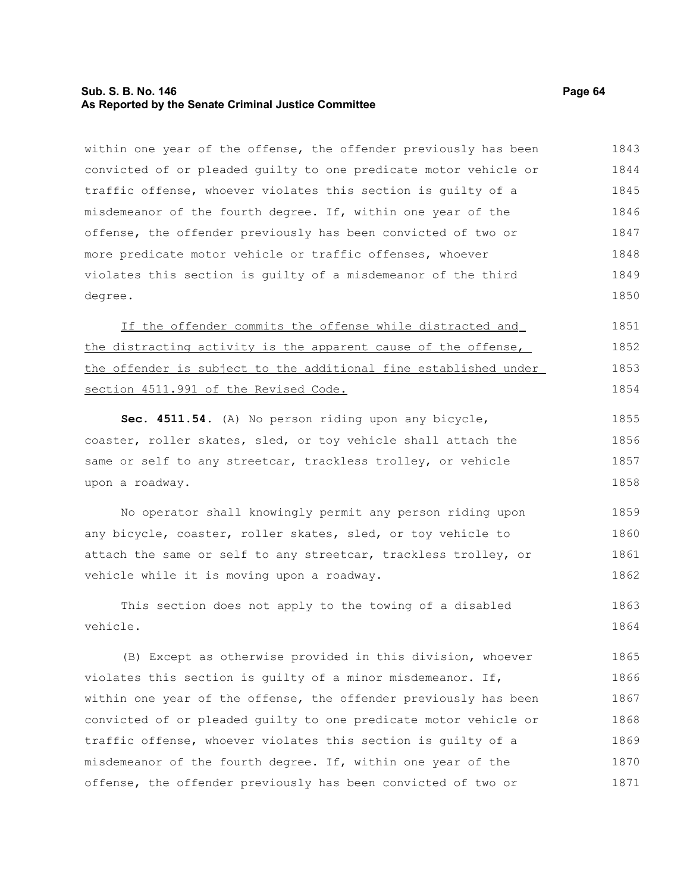# **Sub. S. B. No. 146 Page 64 As Reported by the Senate Criminal Justice Committee**

within one year of the offense, the offender previously has been convicted of or pleaded guilty to one predicate motor vehicle or traffic offense, whoever violates this section is guilty of a misdemeanor of the fourth degree. If, within one year of the offense, the offender previously has been convicted of two or more predicate motor vehicle or traffic offenses, whoever violates this section is guilty of a misdemeanor of the third degree. 1843 1844 1845 1846 1847 1848 1849 1850

 If the offender commits the offense while distracted and the distracting activity is the apparent cause of the offense, the offender is subject to the additional fine established under section 4511.991 of the Revised Code. 1851 1852 1853 1854

**Sec. 4511.54.** (A) No person riding upon any bicycle, coaster, roller skates, sled, or toy vehicle shall attach the same or self to any streetcar, trackless trolley, or vehicle upon a roadway. 1855 1856 1857 1858

No operator shall knowingly permit any person riding upon any bicycle, coaster, roller skates, sled, or toy vehicle to attach the same or self to any streetcar, trackless trolley, or vehicle while it is moving upon a roadway. 1859 1860 1861 1862

This section does not apply to the towing of a disabled vehicle. 1863 1864

(B) Except as otherwise provided in this division, whoever violates this section is guilty of a minor misdemeanor. If, within one year of the offense, the offender previously has been convicted of or pleaded guilty to one predicate motor vehicle or traffic offense, whoever violates this section is guilty of a misdemeanor of the fourth degree. If, within one year of the offense, the offender previously has been convicted of two or 1865 1866 1867 1868 1869 1870 1871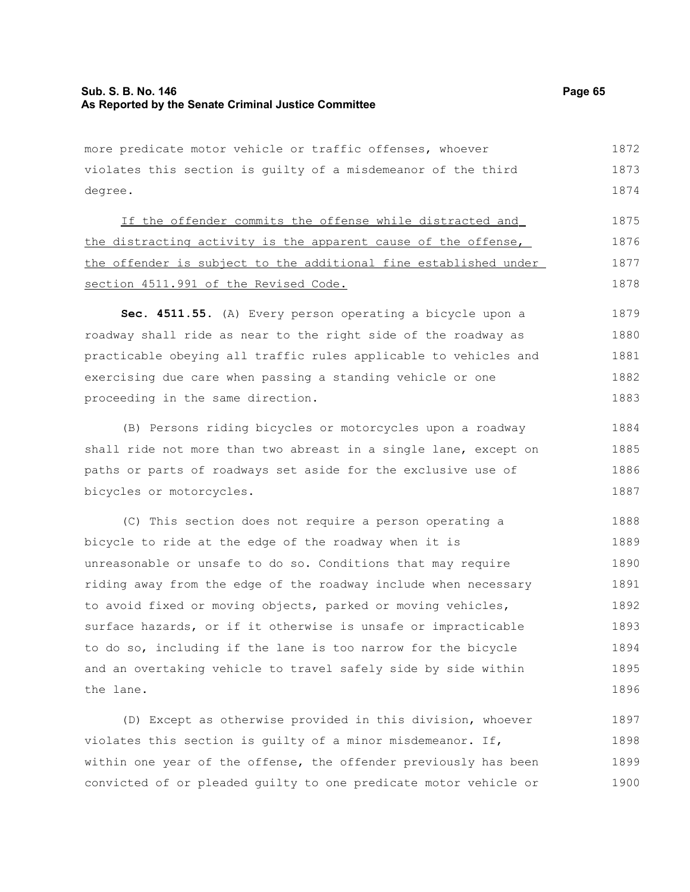# **Sub. S. B. No. 146 Page 65 As Reported by the Senate Criminal Justice Committee**

more predicate motor vehicle or traffic offenses, whoever violates this section is guilty of a misdemeanor of the third degree. 1872 1873 1874

 If the offender commits the offense while distracted and the distracting activity is the apparent cause of the offense, the offender is subject to the additional fine established under section 4511.991 of the Revised Code. 1875 1876 1877 1878

**Sec. 4511.55.** (A) Every person operating a bicycle upon a roadway shall ride as near to the right side of the roadway as practicable obeying all traffic rules applicable to vehicles and exercising due care when passing a standing vehicle or one proceeding in the same direction. 1879 1880 1881 1882 1883

(B) Persons riding bicycles or motorcycles upon a roadway shall ride not more than two abreast in a single lane, except on paths or parts of roadways set aside for the exclusive use of bicycles or motorcycles. 1884 1885 1886 1887

(C) This section does not require a person operating a bicycle to ride at the edge of the roadway when it is unreasonable or unsafe to do so. Conditions that may require riding away from the edge of the roadway include when necessary to avoid fixed or moving objects, parked or moving vehicles, surface hazards, or if it otherwise is unsafe or impracticable to do so, including if the lane is too narrow for the bicycle and an overtaking vehicle to travel safely side by side within the lane. 1888 1889 1890 1891 1892 1893 1894 1895 1896

(D) Except as otherwise provided in this division, whoever violates this section is guilty of a minor misdemeanor. If, within one year of the offense, the offender previously has been convicted of or pleaded guilty to one predicate motor vehicle or 1897 1898 1899 1900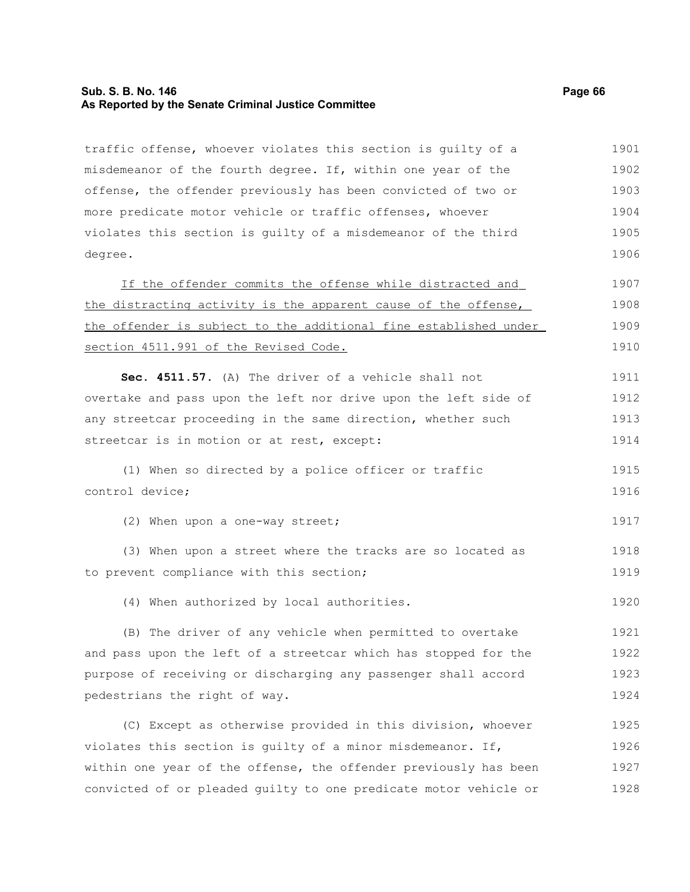# **Sub. S. B. No. 146 Page 66 As Reported by the Senate Criminal Justice Committee**

traffic offense, whoever violates this section is guilty of a misdemeanor of the fourth degree. If, within one year of the offense, the offender previously has been convicted of two or more predicate motor vehicle or traffic offenses, whoever violates this section is guilty of a misdemeanor of the third degree. 1901 1902 1903 1904 1905 1906

 If the offender commits the offense while distracted and the distracting activity is the apparent cause of the offense, the offender is subject to the additional fine established under section 4511.991 of the Revised Code. 1907 1908 1909 1910

**Sec. 4511.57.** (A) The driver of a vehicle shall not overtake and pass upon the left nor drive upon the left side of any streetcar proceeding in the same direction, whether such streetcar is in motion or at rest, except: 1911 1912 1913 1914

(1) When so directed by a police officer or traffic control device; 1915 1916

(2) When upon a one-way street;

(3) When upon a street where the tracks are so located as to prevent compliance with this section; 1918 1919

(4) When authorized by local authorities. 1920

(B) The driver of any vehicle when permitted to overtake and pass upon the left of a streetcar which has stopped for the purpose of receiving or discharging any passenger shall accord pedestrians the right of way. 1921 1922 1923 1924

(C) Except as otherwise provided in this division, whoever violates this section is guilty of a minor misdemeanor. If, within one year of the offense, the offender previously has been convicted of or pleaded guilty to one predicate motor vehicle or 1925 1926 1927 1928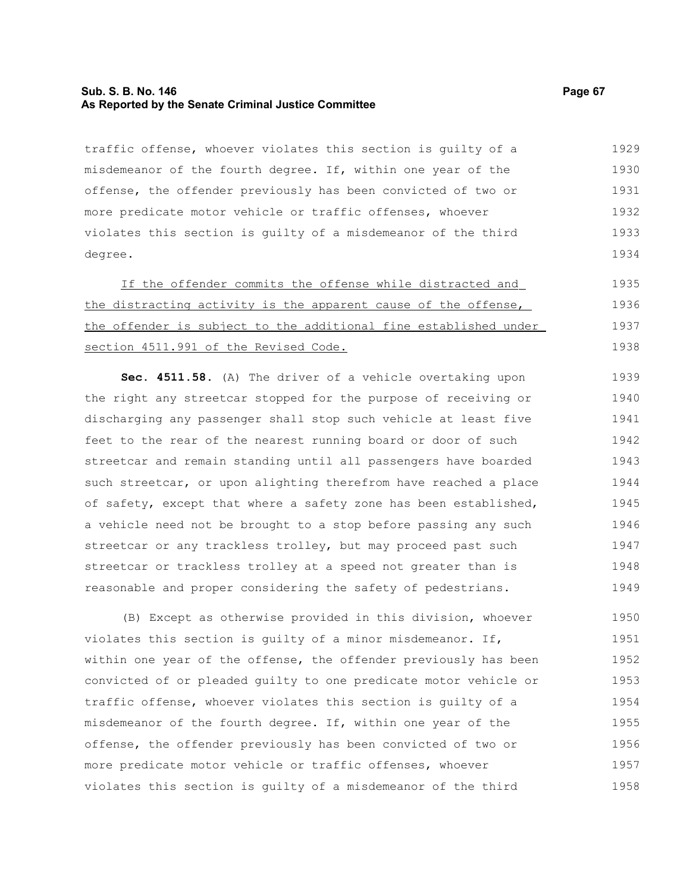## **Sub. S. B. No. 146 Page 67 As Reported by the Senate Criminal Justice Committee**

traffic offense, whoever violates this section is guilty of a misdemeanor of the fourth degree. If, within one year of the offense, the offender previously has been convicted of two or more predicate motor vehicle or traffic offenses, whoever violates this section is guilty of a misdemeanor of the third degree. 1929 1930 1931 1932 1933 1934

 If the offender commits the offense while distracted and the distracting activity is the apparent cause of the offense, the offender is subject to the additional fine established under section 4511.991 of the Revised Code. 1935 1936 1937 1938

**Sec. 4511.58.** (A) The driver of a vehicle overtaking upon the right any streetcar stopped for the purpose of receiving or discharging any passenger shall stop such vehicle at least five feet to the rear of the nearest running board or door of such streetcar and remain standing until all passengers have boarded such streetcar, or upon alighting therefrom have reached a place of safety, except that where a safety zone has been established, a vehicle need not be brought to a stop before passing any such streetcar or any trackless trolley, but may proceed past such streetcar or trackless trolley at a speed not greater than is reasonable and proper considering the safety of pedestrians. 1939 1940 1941 1942 1943 1944 1945 1946 1947 1948 1949

(B) Except as otherwise provided in this division, whoever violates this section is guilty of a minor misdemeanor. If, within one year of the offense, the offender previously has been convicted of or pleaded guilty to one predicate motor vehicle or traffic offense, whoever violates this section is guilty of a misdemeanor of the fourth degree. If, within one year of the offense, the offender previously has been convicted of two or more predicate motor vehicle or traffic offenses, whoever violates this section is guilty of a misdemeanor of the third 1950 1951 1952 1953 1954 1955 1956 1957 1958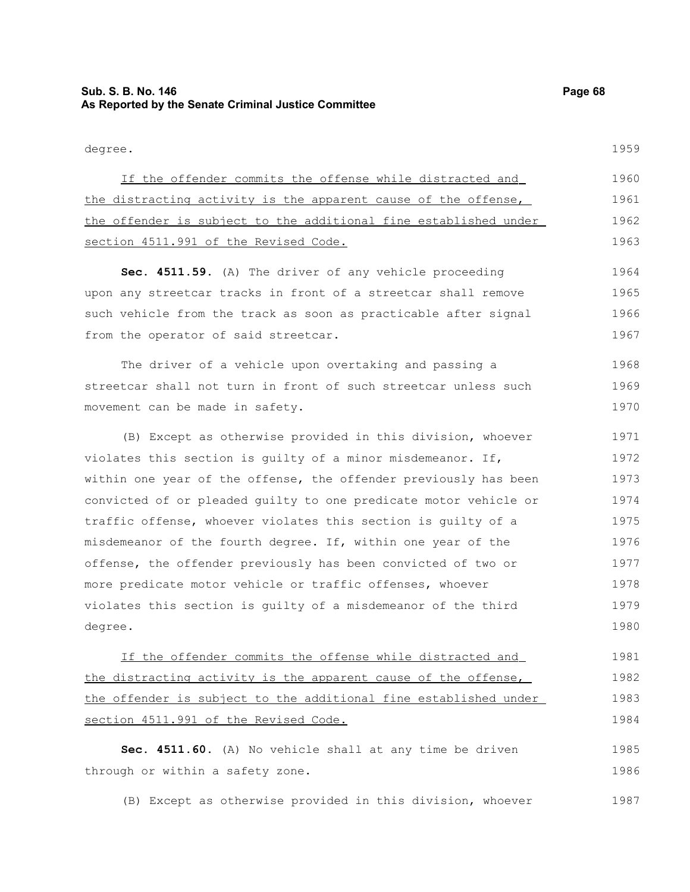# **Sub. S. B. No. 146 Page 68 As Reported by the Senate Criminal Justice Committee**

degree. If the offender commits the offense while distracted and the distracting activity is the apparent cause of the offense, the offender is subject to the additional fine established under section 4511.991 of the Revised Code. **Sec. 4511.59.** (A) The driver of any vehicle proceeding upon any streetcar tracks in front of a streetcar shall remove such vehicle from the track as soon as practicable after signal from the operator of said streetcar. The driver of a vehicle upon overtaking and passing a streetcar shall not turn in front of such streetcar unless such movement can be made in safety. (B) Except as otherwise provided in this division, whoever violates this section is guilty of a minor misdemeanor. If, within one year of the offense, the offender previously has been convicted of or pleaded guilty to one predicate motor vehicle or traffic offense, whoever violates this section is guilty of a misdemeanor of the fourth degree. If, within one year of the offense, the offender previously has been convicted of two or more predicate motor vehicle or traffic offenses, whoever violates this section is guilty of a misdemeanor of the third degree. If the offender commits the offense while distracted and the distracting activity is the apparent cause of the offense, the offender is subject to the additional fine established under section 4511.991 of the Revised Code. **Sec. 4511.60.** (A) No vehicle shall at any time be driven through or within a safety zone. (B) Except as otherwise provided in this division, whoever 1959 1960 1961 1962 1963 1964 1965 1966 1967 1968 1969 1970 1971 1972 1973 1974 1975 1976 1977 1978 1979 1980 1981 1982 1983 1984 1985 1986 1987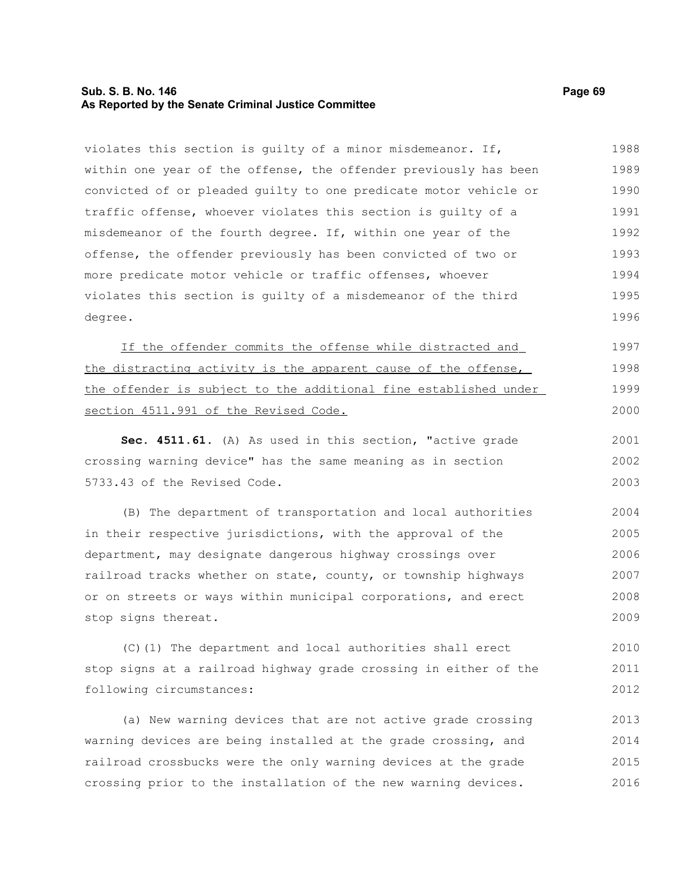# **Sub. S. B. No. 146 Page 69 As Reported by the Senate Criminal Justice Committee**

violates this section is guilty of a minor misdemeanor. If, within one year of the offense, the offender previously has been convicted of or pleaded guilty to one predicate motor vehicle or traffic offense, whoever violates this section is guilty of a misdemeanor of the fourth degree. If, within one year of the offense, the offender previously has been convicted of two or more predicate motor vehicle or traffic offenses, whoever violates this section is guilty of a misdemeanor of the third degree. 1988 1989 1990 1991 1992 1993 1994 1995 1996

 If the offender commits the offense while distracted and the distracting activity is the apparent cause of the offense, the offender is subject to the additional fine established under section 4511.991 of the Revised Code. 1997 1998 1999 2000

**Sec. 4511.61.** (A) As used in this section, "active grade crossing warning device" has the same meaning as in section 5733.43 of the Revised Code.

(B) The department of transportation and local authorities in their respective jurisdictions, with the approval of the department, may designate dangerous highway crossings over railroad tracks whether on state, county, or township highways or on streets or ways within municipal corporations, and erect stop signs thereat. 2004 2005 2006 2007 2008 2009

(C)(1) The department and local authorities shall erect stop signs at a railroad highway grade crossing in either of the following circumstances: 2010 2011 2012

(a) New warning devices that are not active grade crossing warning devices are being installed at the grade crossing, and railroad crossbucks were the only warning devices at the grade crossing prior to the installation of the new warning devices. 2013 2014 2015 2016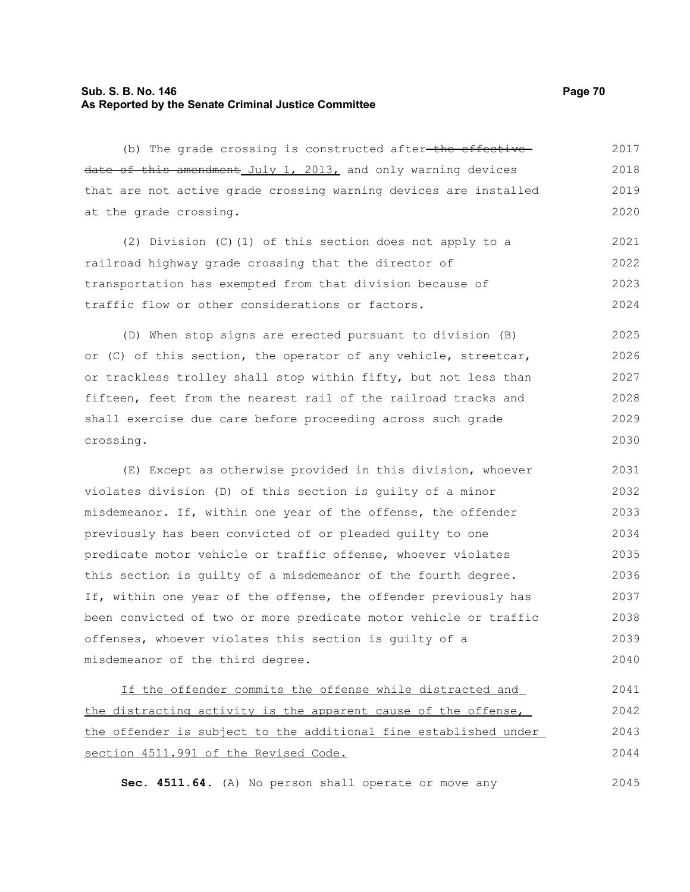# **Sub. S. B. No. 146 Page 70 As Reported by the Senate Criminal Justice Committee**

(b) The grade crossing is constructed after-the effectivedate of this amendment July 1, 2013, and only warning devices that are not active grade crossing warning devices are installed at the grade crossing. 2017 2018 2019 2020

(2) Division (C)(1) of this section does not apply to a railroad highway grade crossing that the director of transportation has exempted from that division because of traffic flow or other considerations or factors. 2021 2022 2023 2024

(D) When stop signs are erected pursuant to division (B) or (C) of this section, the operator of any vehicle, streetcar, or trackless trolley shall stop within fifty, but not less than fifteen, feet from the nearest rail of the railroad tracks and shall exercise due care before proceeding across such grade crossing. 2025 2026 2027 2028 2029 2030

(E) Except as otherwise provided in this division, whoever violates division (D) of this section is guilty of a minor misdemeanor. If, within one year of the offense, the offender previously has been convicted of or pleaded guilty to one predicate motor vehicle or traffic offense, whoever violates this section is guilty of a misdemeanor of the fourth degree. If, within one year of the offense, the offender previously has been convicted of two or more predicate motor vehicle or traffic offenses, whoever violates this section is guilty of a misdemeanor of the third degree. 2031 2032 2033 2034 2035 2036 2037 2038 2039 2040

 If the offender commits the offense while distracted and the distracting activity is the apparent cause of the offense, the offender is subject to the additional fine established under section 4511.991 of the Revised Code. 2041 2042 2043 2044

**Sec. 4511.64.** (A) No person shall operate or move any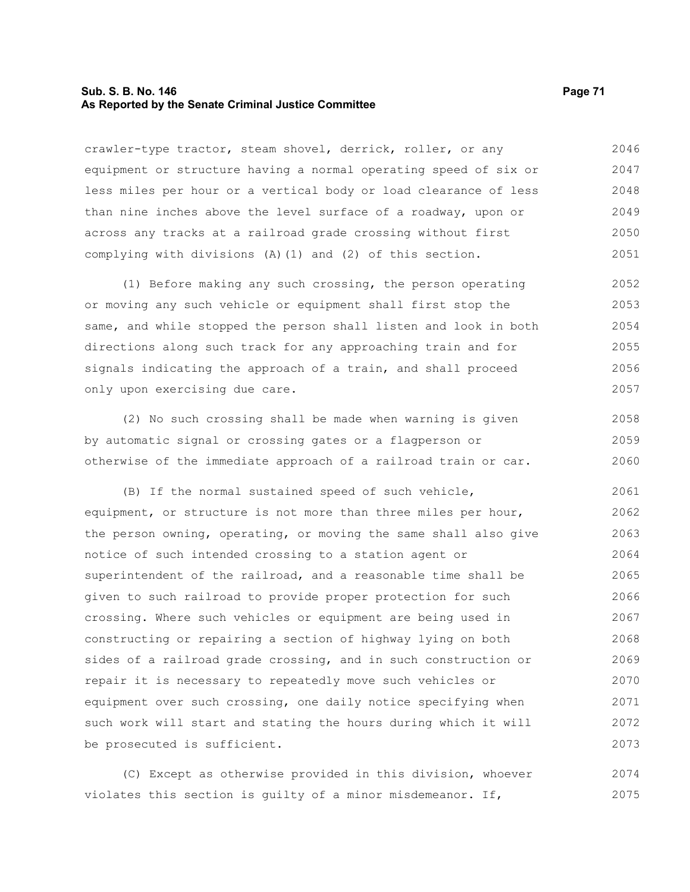### **Sub. S. B. No. 146 Page 71 As Reported by the Senate Criminal Justice Committee**

crawler-type tractor, steam shovel, derrick, roller, or any equipment or structure having a normal operating speed of six or less miles per hour or a vertical body or load clearance of less than nine inches above the level surface of a roadway, upon or across any tracks at a railroad grade crossing without first complying with divisions (A)(1) and (2) of this section. 2046 2047 2048 2049 2050 2051

(1) Before making any such crossing, the person operating or moving any such vehicle or equipment shall first stop the same, and while stopped the person shall listen and look in both directions along such track for any approaching train and for signals indicating the approach of a train, and shall proceed only upon exercising due care. 2052 2053 2054 2055 2056 2057

(2) No such crossing shall be made when warning is given by automatic signal or crossing gates or a flagperson or otherwise of the immediate approach of a railroad train or car. 2058 2059 2060

(B) If the normal sustained speed of such vehicle, equipment, or structure is not more than three miles per hour, the person owning, operating, or moving the same shall also give notice of such intended crossing to a station agent or superintendent of the railroad, and a reasonable time shall be given to such railroad to provide proper protection for such crossing. Where such vehicles or equipment are being used in constructing or repairing a section of highway lying on both sides of a railroad grade crossing, and in such construction or repair it is necessary to repeatedly move such vehicles or equipment over such crossing, one daily notice specifying when such work will start and stating the hours during which it will be prosecuted is sufficient. 2061 2062 2063 2064 2065 2066 2067 2068 2069 2070 2071 2072 2073

(C) Except as otherwise provided in this division, whoever violates this section is guilty of a minor misdemeanor. If, 2074 2075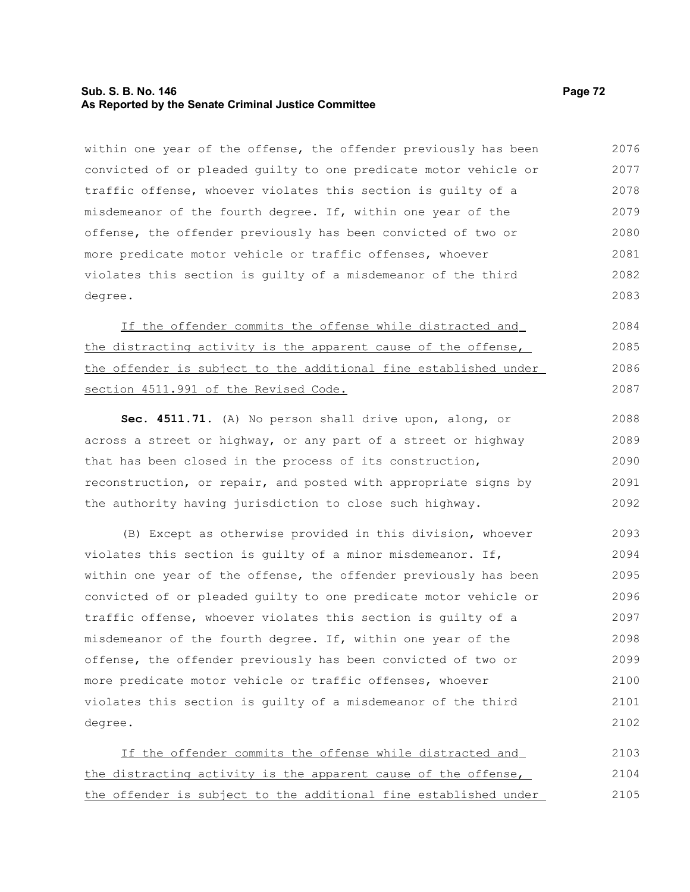# **Sub. S. B. No. 146 Page 72 As Reported by the Senate Criminal Justice Committee**

within one year of the offense, the offender previously has been convicted of or pleaded guilty to one predicate motor vehicle or traffic offense, whoever violates this section is guilty of a misdemeanor of the fourth degree. If, within one year of the offense, the offender previously has been convicted of two or more predicate motor vehicle or traffic offenses, whoever violates this section is guilty of a misdemeanor of the third degree. 2076 2077 2078 2079 2080 2081 2082 2083

 If the offender commits the offense while distracted and the distracting activity is the apparent cause of the offense, the offender is subject to the additional fine established under section 4511.991 of the Revised Code. 2084 2085 2086 2087

**Sec. 4511.71.** (A) No person shall drive upon, along, or across a street or highway, or any part of a street or highway that has been closed in the process of its construction, reconstruction, or repair, and posted with appropriate signs by the authority having jurisdiction to close such highway. 2088 2089 2090 2091 2092

(B) Except as otherwise provided in this division, whoever violates this section is guilty of a minor misdemeanor. If, within one year of the offense, the offender previously has been convicted of or pleaded guilty to one predicate motor vehicle or traffic offense, whoever violates this section is guilty of a misdemeanor of the fourth degree. If, within one year of the offense, the offender previously has been convicted of two or more predicate motor vehicle or traffic offenses, whoever violates this section is guilty of a misdemeanor of the third degree. 2093 2094 2095 2096 2097 2098 2099 2100 2101 2102

| If the offender commits the offense while distracted and         | 2103 |
|------------------------------------------------------------------|------|
| the distracting activity is the apparent cause of the offense,   | 2104 |
| the offender is subject to the additional fine established under | 2105 |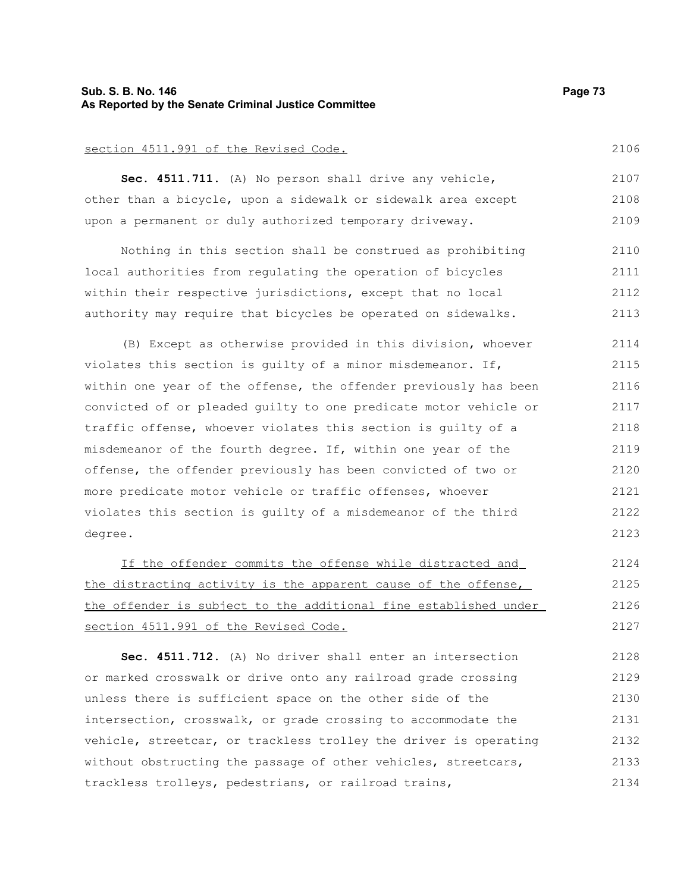### **Sub. S. B. No. 146 Page 73 As Reported by the Senate Criminal Justice Committee**

## section 4511.991 of the Revised Code.

**Sec. 4511.711.** (A) No person shall drive any vehicle, other than a bicycle, upon a sidewalk or sidewalk area except upon a permanent or duly authorized temporary driveway. 2107 2108 2109

Nothing in this section shall be construed as prohibiting local authorities from regulating the operation of bicycles within their respective jurisdictions, except that no local authority may require that bicycles be operated on sidewalks. 2110 2111 2112 2113

(B) Except as otherwise provided in this division, whoever violates this section is guilty of a minor misdemeanor. If, within one year of the offense, the offender previously has been convicted of or pleaded guilty to one predicate motor vehicle or traffic offense, whoever violates this section is guilty of a misdemeanor of the fourth degree. If, within one year of the offense, the offender previously has been convicted of two or more predicate motor vehicle or traffic offenses, whoever violates this section is guilty of a misdemeanor of the third degree. 2114 2115 2116 2117 2118 2119 2120 2121 2122 2123

 If the offender commits the offense while distracted and the distracting activity is the apparent cause of the offense, the offender is subject to the additional fine established under section 4511.991 of the Revised Code. 2124 2125 2126 2127

**Sec. 4511.712.** (A) No driver shall enter an intersection or marked crosswalk or drive onto any railroad grade crossing unless there is sufficient space on the other side of the intersection, crosswalk, or grade crossing to accommodate the vehicle, streetcar, or trackless trolley the driver is operating without obstructing the passage of other vehicles, streetcars, trackless trolleys, pedestrians, or railroad trains, 2128 2129 2130 2131 2132 2133 2134

- 
-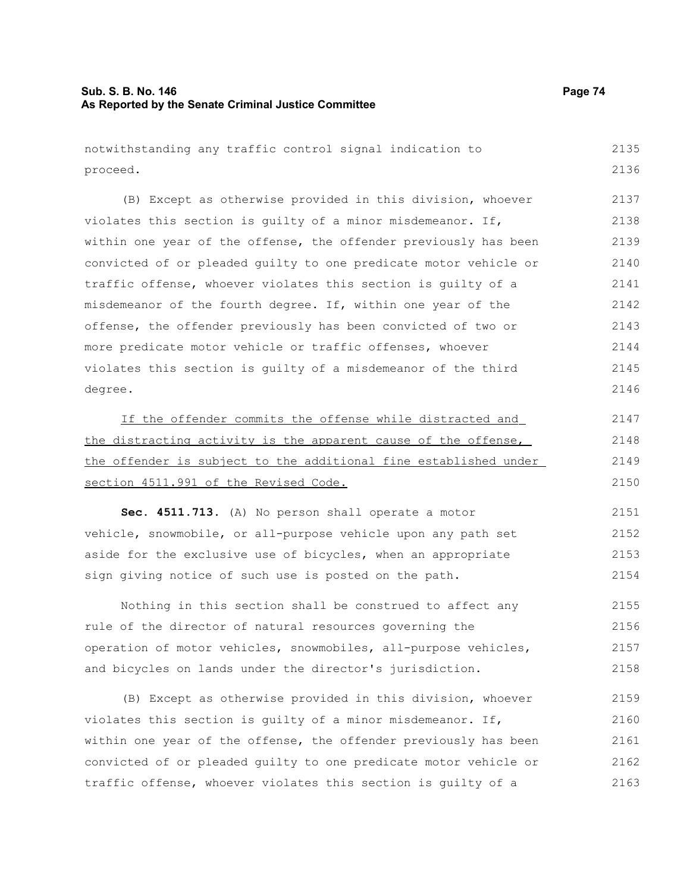# **Sub. S. B. No. 146 Page 74 As Reported by the Senate Criminal Justice Committee**

| notwithstanding any traffic control signal indication to         | 2135 |
|------------------------------------------------------------------|------|
| proceed.                                                         | 2136 |
| (B) Except as otherwise provided in this division, whoever       | 2137 |
| violates this section is quilty of a minor misdemeanor. If,      | 2138 |
| within one year of the offense, the offender previously has been | 2139 |
| convicted of or pleaded quilty to one predicate motor vehicle or | 2140 |
| traffic offense, whoever violates this section is quilty of a    | 2141 |
| misdemeanor of the fourth degree. If, within one year of the     | 2142 |
| offense, the offender previously has been convicted of two or    | 2143 |
| more predicate motor vehicle or traffic offenses, whoever        | 2144 |
| violates this section is quilty of a misdemeanor of the third    | 2145 |
| degree.                                                          | 2146 |
| If the offender commits the offense while distracted and         | 2147 |
| the distracting activity is the apparent cause of the offense,   | 2148 |
| the offender is subject to the additional fine established under | 2149 |
| section 4511.991 of the Revised Code.                            | 2150 |
| Sec. 4511.713. (A) No person shall operate a motor               | 2151 |
| vehicle, snowmobile, or all-purpose vehicle upon any path set    | 2152 |
| aside for the exclusive use of bicycles, when an appropriate     | 2153 |
| sign giving notice of such use is posted on the path.            | 2154 |
| Nothing in this section shall be construed to affect any         | 2155 |
| rule of the director of natural resources governing the          | 2156 |
| operation of motor vehicles, snowmobiles, all-purpose vehicles,  | 2157 |
| and bicycles on lands under the director's jurisdiction.         | 2158 |
| (B) Except as otherwise provided in this division, whoever       | 2159 |
| violates this section is quilty of a minor misdemeanor. If,      | 2160 |
| within one year of the offense, the offender previously has been | 2161 |
| convicted of or pleaded guilty to one predicate motor vehicle or | 2162 |
| traffic offense, whoever violates this section is guilty of a    | 2163 |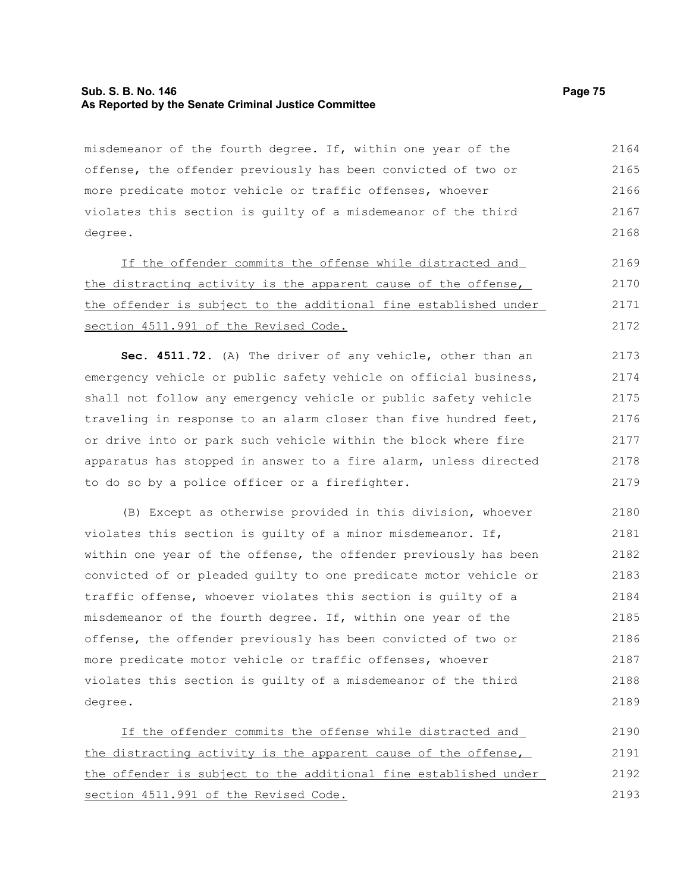#### **Sub. S. B. No. 146 Page 75 As Reported by the Senate Criminal Justice Committee**

misdemeanor of the fourth degree. If, within one year of the offense, the offender previously has been convicted of two or more predicate motor vehicle or traffic offenses, whoever violates this section is guilty of a misdemeanor of the third degree. 2164 2165 2166 2167 2168

 If the offender commits the offense while distracted and the distracting activity is the apparent cause of the offense, the offender is subject to the additional fine established under section 4511.991 of the Revised Code. 2169 2170 2171 2172

**Sec. 4511.72.** (A) The driver of any vehicle, other than an emergency vehicle or public safety vehicle on official business, shall not follow any emergency vehicle or public safety vehicle traveling in response to an alarm closer than five hundred feet, or drive into or park such vehicle within the block where fire apparatus has stopped in answer to a fire alarm, unless directed to do so by a police officer or a firefighter. 2173 2174 2175 2176 2177 2178 2179

(B) Except as otherwise provided in this division, whoever violates this section is guilty of a minor misdemeanor. If, within one year of the offense, the offender previously has been convicted of or pleaded guilty to one predicate motor vehicle or traffic offense, whoever violates this section is guilty of a misdemeanor of the fourth degree. If, within one year of the offense, the offender previously has been convicted of two or more predicate motor vehicle or traffic offenses, whoever violates this section is guilty of a misdemeanor of the third degree. 2180 2181 2182 2183 2184 2185 2186 2187 2188 2189

 If the offender commits the offense while distracted and the distracting activity is the apparent cause of the offense, the offender is subject to the additional fine established under section 4511.991 of the Revised Code. 2190 2191 2192 2193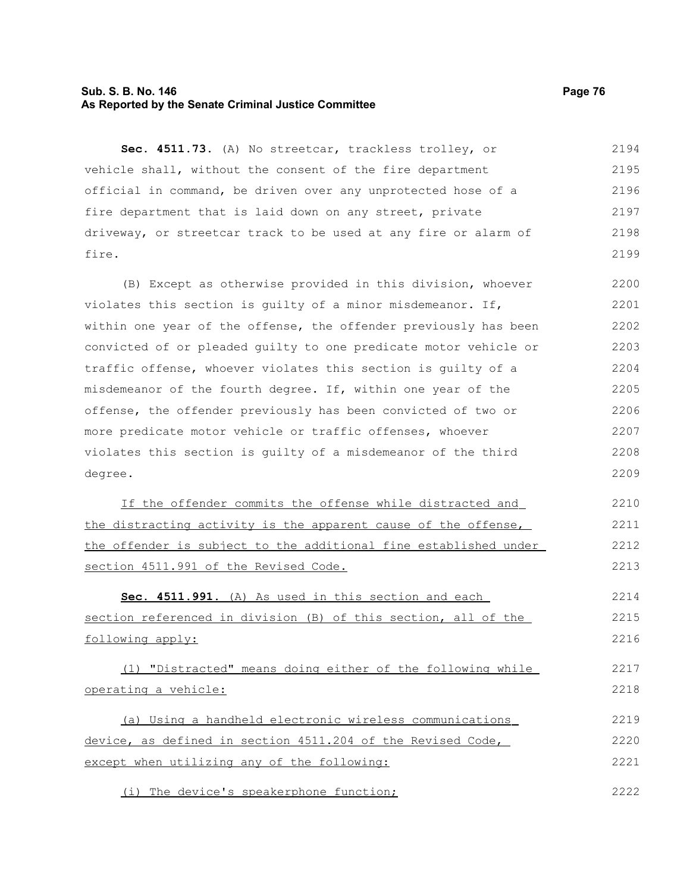### **Sub. S. B. No. 146 Page 76 As Reported by the Senate Criminal Justice Committee**

**Sec. 4511.73.** (A) No streetcar, trackless trolley, or vehicle shall, without the consent of the fire department official in command, be driven over any unprotected hose of a fire department that is laid down on any street, private driveway, or streetcar track to be used at any fire or alarm of fire. 2194 2195 2196 2197 2198 2199

(B) Except as otherwise provided in this division, whoever violates this section is guilty of a minor misdemeanor. If, within one year of the offense, the offender previously has been convicted of or pleaded guilty to one predicate motor vehicle or traffic offense, whoever violates this section is guilty of a misdemeanor of the fourth degree. If, within one year of the offense, the offender previously has been convicted of two or more predicate motor vehicle or traffic offenses, whoever violates this section is guilty of a misdemeanor of the third degree. 2200 2201 2202 2203 2204 2205 2206 2207 2208 2209

 If the offender commits the offense while distracted and the distracting activity is the apparent cause of the offense, the offender is subject to the additional fine established under section 4511.991 of the Revised Code. 2210 2211 2212 2213

 **Sec. 4511.991.** (A) As used in this section and each section referenced in division (B) of this section, all of the following apply: 2214 2215 2216

 (1) "Distracted" means doing either of the following while operating a vehicle: 2217 2218

 (a) Using a handheld electronic wireless communications device, as defined in section 4511.204 of the Revised Code, except when utilizing any of the following: 2219 2220 2221

 (i) The device's speakerphone function; 2222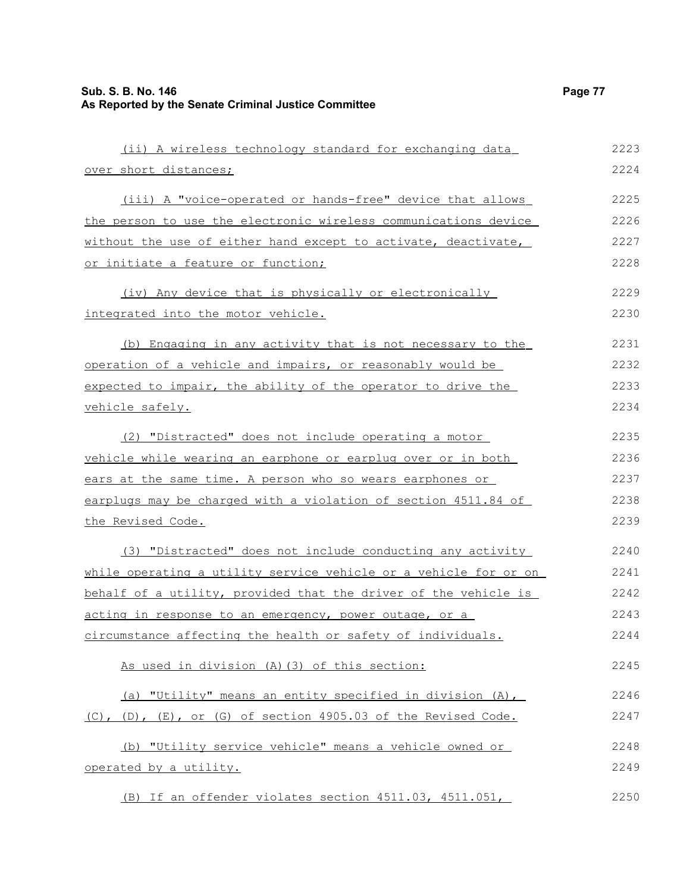| (ii) A wireless technology standard for exchanging data          | 2223 |
|------------------------------------------------------------------|------|
| over short distances;                                            | 2224 |
| (iii) A "voice-operated or hands-free" device that allows        | 2225 |
| the person to use the electronic wireless communications device  | 2226 |
| without the use of either hand except to activate, deactivate,   | 2227 |
| or initiate a feature or function;                               | 2228 |
| (iv) Any device that is physically or electronically             | 2229 |
| integrated into the motor vehicle.                               | 2230 |
| (b) Engaging in any activity that is not necessary to the        | 2231 |
| operation of a vehicle and impairs, or reasonably would be       | 2232 |
| expected to impair, the ability of the operator to drive the     | 2233 |
| vehicle safely.                                                  | 2234 |
| (2) "Distracted" does not include operating a motor              | 2235 |
| vehicle while wearing an earphone or earplug over or in both     | 2236 |
| ears at the same time. A person who so wears earphones or        | 2237 |
| earplugs may be charged with a violation of section 4511.84 of   | 2238 |
| the Revised Code.                                                | 2239 |
| (3) "Distracted" does not include conducting any activity        | 2240 |
| while operating a utility service vehicle or a vehicle for or on | 2241 |
| behalf of a utility, provided that the driver of the vehicle is  | 2242 |
| acting in response to an emergency, power outage, or a           | 2243 |
| circumstance affecting the health or safety of individuals.      | 2244 |
| As used in division (A) (3) of this section:                     | 2245 |
| (a) "Utility" means an entity specified in division (A),         | 2246 |
| (C), (D), (E), or (G) of section 4905.03 of the Revised Code.    | 2247 |
| (b) "Utility service vehicle" means a vehicle owned or           | 2248 |
| operated by a utility.                                           | 2249 |
| (B) If an offender violates section 4511.03, 4511.051,           | 2250 |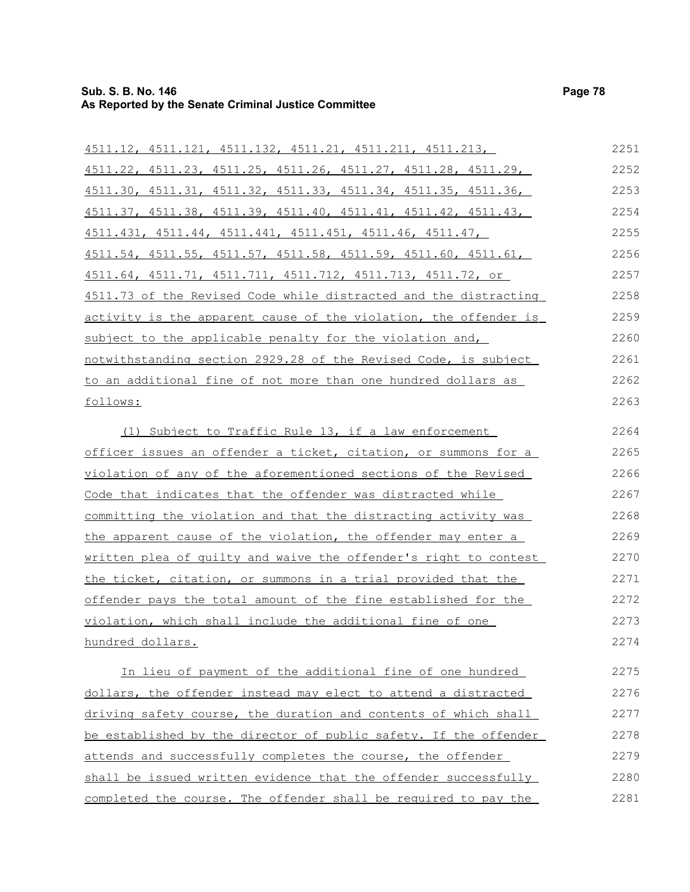| 4511.12, 4511.121, 4511.132, 4511.21, 4511.211, 4511.213,                           | 2251 |
|-------------------------------------------------------------------------------------|------|
| 4511.22, 4511.23, 4511.25, 4511.26, 4511.27, 4511.28, 4511.29,                      | 2252 |
| 4511.30, 4511.31, 4511.32, 4511.33, 4511.34, 4511.35, 4511.36,                      | 2253 |
| 4511.37, 4511.38, 4511.39, 4511.40, 4511.41, 4511.42, 4511.43,                      | 2254 |
| 4511.431, 4511.44, 4511.441, 4511.451, 4511.46, 4511.47,                            | 2255 |
| $4511.54$ , $4511.55$ , $4511.57$ , $4511.58$ , $4511.59$ , $4511.60$ , $4511.61$ , | 2256 |
| 4511.64, 4511.71, 4511.711, 4511.712, 4511.713, 4511.72, or                         | 2257 |
| 4511.73 of the Revised Code while distracted and the distracting                    | 2258 |
| activity is the apparent cause of the violation, the offender is                    | 2259 |
| subject to the applicable penalty for the violation and,                            | 2260 |
| notwithstanding section 2929.28 of the Revised Code, is subject                     | 2261 |
| to an additional fine of not more than one hundred dollars as                       | 2262 |
| follows:                                                                            | 2263 |
| (1) Subject to Traffic Rule 13, if a law enforcement                                | 2264 |
| officer issues an offender a ticket, citation, or summons for a                     | 2265 |
| violation of any of the aforementioned sections of the Revised                      | 2266 |
| Code that indicates that the offender was distracted while                          | 2267 |
| committing the violation and that the distracting activity was                      | 2268 |
| the apparent cause of the violation, the offender may enter a                       | 2269 |
| written plea of quilty and waive the offender's right to contest                    | 2270 |
| the ticket, citation, or summons in a trial provided that the                       | 2271 |
| offender pays the total amount of the fine established for the                      | 2272 |
| violation, which shall include the additional fine of one                           | 2273 |
| hundred dollars.                                                                    |      |

In lieu of payment of the additional fine of one hundred dollars, the offender instead may elect to attend a distracted driving safety course, the duration and contents of which shall be established by the director of public safety. If the offender attends and successfully completes the course, the offender shall be issued written evidence that the offender successfully completed the course. The offender shall be required to pay the 2275 2276 2277 2278 2279 2280 2281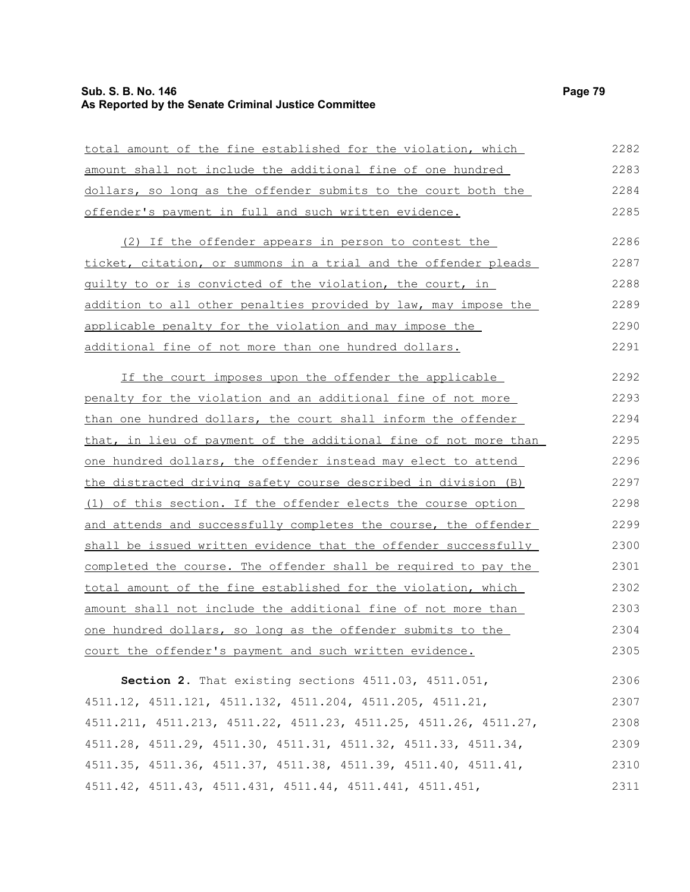# **Sub. S. B. No. 146 Page 79 As Reported by the Senate Criminal Justice Committee**

| total amount of the fine established for the violation, which    | 2282 |
|------------------------------------------------------------------|------|
| amount shall not include the additional fine of one hundred      | 2283 |
| dollars, so long as the offender submits to the court both the   | 2284 |
| offender's payment in full and such written evidence.            | 2285 |
| (2) If the offender appears in person to contest the             | 2286 |
| ticket, citation, or summons in a trial and the offender pleads  | 2287 |
| guilty to or is convicted of the violation, the court, in        | 2288 |
| addition to all other penalties provided by law, may impose the  | 2289 |
| applicable penalty for the violation and may impose the          | 2290 |
| additional fine of not more than one hundred dollars.            | 2291 |
| If the court imposes upon the offender the applicable            | 2292 |
| penalty for the violation and an additional fine of not more     | 2293 |
| than one hundred dollars, the court shall inform the offender    | 2294 |
| that, in lieu of payment of the additional fine of not more than | 2295 |
| one hundred dollars, the offender instead may elect to attend    | 2296 |
| the distracted driving safety course described in division (B)   | 2297 |
| (1) of this section. If the offender elects the course option    | 2298 |
| and attends and successfully completes the course, the offender  | 2299 |
| shall be issued written evidence that the offender successfully  | 2300 |
| completed the course. The offender shall be required to pay the  | 2301 |
| total amount of the fine established for the violation, which    | 2302 |
| amount shall not include the additional fine of not more than    | 2303 |
| one hundred dollars, so long as the offender submits to the      | 2304 |
| court the offender's payment and such written evidence.          | 2305 |
| Section 2. That existing sections 4511.03, 4511.051,             | 2306 |
| 4511.12, 4511.121, 4511.132, 4511.204, 4511.205, 4511.21,        | 2307 |
| 4511.211, 4511.213, 4511.22, 4511.23, 4511.25, 4511.26, 4511.27, | 2308 |
| 4511.28, 4511.29, 4511.30, 4511.31, 4511.32, 4511.33, 4511.34,   | 2309 |
| 4511.35, 4511.36, 4511.37, 4511.38, 4511.39, 4511.40, 4511.41,   | 2310 |

4511.42, 4511.43, 4511.431, 4511.44, 4511.441, 4511.451,

2311